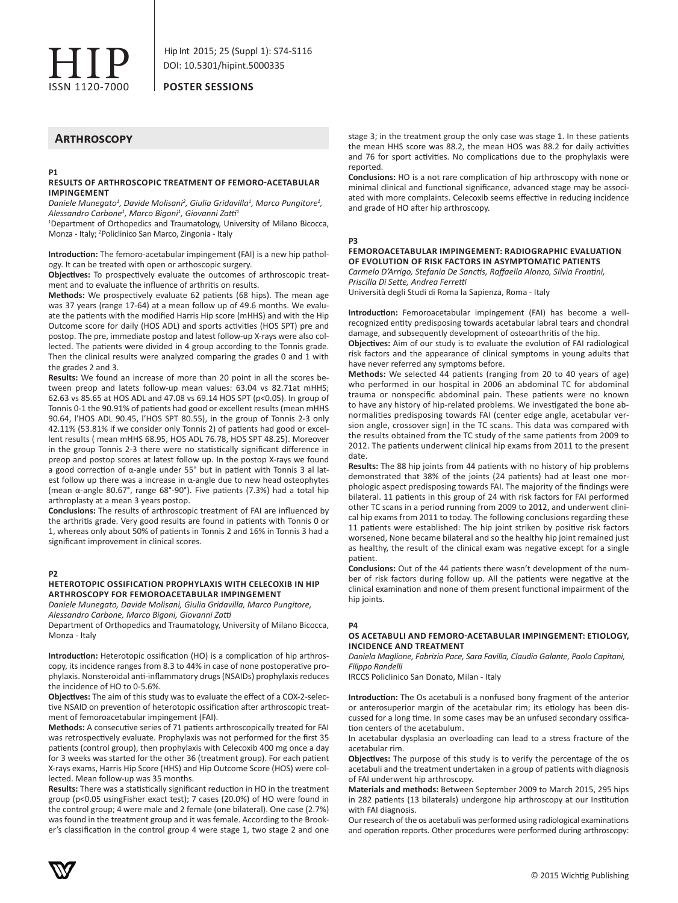

**POSTER SESSIONS**

# **Arthroscopy**

#### **P1 RESULTS OF ARTHROSCOPIC TREATMENT OF FEMORO-ACETABULAR IMPINGEMENT**

*Daniele Munegato<sup>1</sup> , Davide Molisani<sup>2</sup> , Giulia Gridavilla<sup>1</sup> , Marco Pungitore<sup>1</sup> , Alessandro Carbone<sup>1</sup> , Marco Bigoni1 , Giovanni Zatti<sup>1</sup>*

<sup>1</sup>Department of Orthopedics and Traumatology, University of Milano Bicocca, Monza - Italy; <sup>2</sup> Policlinico San Marco, Zingonia - Italy

**Introduction:** The femoro-acetabular impingement (FAI) is a new hip pathology. It can be treated with open or arthoscopic surgery.

**Objectives:** To prospectively evaluate the outcomes of arthroscopic treatment and to evaluate the influence of arthritis on results.

**Methods:** We prospectively evaluate 62 patients (68 hips). The mean age was 37 years (range 17-64) at a mean follow up of 49.6 months. We evaluate the patients with the modified Harris Hip score (mHHS) and with the Hip Outcome score for daily (HOS ADL) and sports activities (HOS SPT) pre and postop. The pre, immediate postop and latest follow-up X-rays were also collected. The patients were divided in 4 group according to the Tonnis grade. Then the clinical results were analyzed comparing the grades 0 and 1 with the grades 2 and 3.

**Results:** We found an increase of more than 20 point in all the scores between preop and latets follow-up mean values: 63.04 vs 82.71at mHHS; 62.63 vs 85.65 at HOS ADL and 47.08 vs 69.14 HOS SPT (p<0.05). In group of Tonnis 0-1 the 90.91% of patients had good or excellent results (mean mHHS 90.64, l'HOS ADL 90.45, l'HOS SPT 80.55), in the group of Tonnis 2-3 only 42.11% (53.81% if we consider only Tonnis 2) of patients had good or excellent results ( mean mHHS 68.95, HOS ADL 76.78, HOS SPT 48.25). Moreover in the group Tonnis 2-3 there were no statistically significant difference in preop and postop scores at latest follow up. In the postop X-rays we found a good correction of α-angle under 55° but in patient with Tonnis 3 al latest follow up there was a increase in α-angle due to new head osteophytes (mean α-angle 80.67°, range 68°-90°). Five patients (7.3%) had a total hip arthroplasty at a mean 3 years postop.

**Conclusions:** The results of arthroscopic treatment of FAI are influenced by the arthritis grade. Very good results are found in patients with Tonnis 0 or 1, whereas only about 50% of patients in Tonnis 2 and 16% in Tonnis 3 had a significant improvement in clinical scores.

#### **P2**

# **HETEROTOPIC OSSIFICATION PROPHYLAXIS WITH CELECOXIB IN HIP ARTHROSCOPY FOR FEMOROACETABULAR IMPINGEMENT**

*Daniele Munegato, Davide Molisani, Giulia Gridavilla, Marco Pungitore, Alessandro Carbone, Marco Bigoni, Giovanni Zatti*

Department of Orthopedics and Traumatology, University of Milano Bicocca, Monza - Italy

**Introduction:** Heterotopic ossification (HO) is a complication of hip arthroscopy, its incidence ranges from 8.3 to 44% in case of none postoperative prophylaxis. Nonsteroidal anti-inflammatory drugs (NSAIDs) prophylaxis reduces the incidence of HO to 0-5.6%.

**Objectives:** The aim of this study was to evaluate the effect of a COX-2-selective NSAID on prevention of heterotopic ossification after arthroscopic treatment of femoroacetabular impingement (FAI).

**Methods:** A consecutive series of 71 patients arthroscopically treated for FAI was retrospectively evaluate. Prophylaxis was not performed for the first 35 patients (control group), then prophylaxis with Celecoxib 400 mg once a day for 3 weeks was started for the other 36 (treatment group). For each patient X-rays exams, Harris Hip Score (HHS) and Hip Outcome Score (HOS) were collected. Mean follow-up was 35 months.

**Results:** There was a statistically significant reduction in HO in the treatment group (p<0.05 usingFisher exact test); 7 cases (20.0%) of HO were found in the control group; 4 were male and 2 female (one bilateral). One case (2.7%) was found in the treatment group and it was female. According to the Brooker's classification in the control group 4 were stage 1, two stage 2 and one

stage 3; in the treatment group the only case was stage 1. In these patients the mean HHS score was 88.2, the mean HOS was 88.2 for daily activities and 76 for sport activities. No complications due to the prophylaxis were reported.

**Conclusions:** HO is a not rare complication of hip arthroscopy with none or minimal clinical and functional significance, advanced stage may be associated with more complaints. Celecoxib seems effective in reducing incidence and grade of HO after hip arthroscopy.

## **P3**

# **FEMOROACETABULAR IMPINGEMENT: RADIOGRAPHIC EVALUATION OF EVOLUTION OF RISK FACTORS IN ASYMPTOMATIC PATIENTS**

*Carmelo D'Arrigo, Stefania De Sanctis, Raffaella Alonzo, Silvia Frontini, Priscilla Di Sette, Andrea Ferretti*

Università degli Studi di Roma la Sapienza, Roma - Italy

**Introduction:** Femoroacetabular impingement (FAI) has become a wellrecognized entity predisposing towards acetabular labral tears and chondral damage, and subsequently development of osteoarthritis of the hip.

**Objectives:** Aim of our study is to evaluate the evolution of FAI radiological risk factors and the appearance of clinical symptoms in young adults that have never referred any symptoms before.

**Methods:** We selected 44 patients (ranging from 20 to 40 years of age) who performed in our hospital in 2006 an abdominal TC for abdominal trauma or nonspecific abdominal pain. These patients were no known to have any history of hip-related problems. We investigated the bone abnormalities predisposing towards FAI (center edge angle, acetabular version angle, crossover sign) in the TC scans. This data was compared with the results obtained from the TC study of the same patients from 2009 to 2012. The patients underwent clinical hip exams from 2011 to the present date.

**Results:** The 88 hip joints from 44 patients with no history of hip problems demonstrated that 38% of the joints (24 patients) had at least one morphologic aspect predisposing towards FAI. The majority of the findings were bilateral. 11 patients in this group of 24 with risk factors for FAI performed other TC scans in a period running from 2009 to 2012, and underwent clinical hip exams from 2011 to today. The following conclusions regarding these 11 patients were established: The hip joint striken by positive risk factors worsened, None became bilateral and so the healthy hip joint remained just as healthy, the result of the clinical exam was negative except for a single patient.

**Conclusions:** Out of the 44 patients there wasn't development of the number of risk factors during follow up. All the patients were negative at the clinical examination and none of them present functional impairment of the hip joints.

#### **P4**

# **OS ACETABULI AND FEMORO-ACETABULAR IMPINGEMENT: ETIOLOGY, INCIDENCE AND TREATMENT**

*Daniela Maglione, Fabrizio Pace, Sara Favilla, Claudio Galante, Paolo Capitani, Filippo Randelli*

IRCCS Policlinico San Donato, Milan - Italy

**Introduction:** The Os acetabuli is a nonfused bony fragment of the anterior or anterosuperior margin of the acetabular rim; its etiology has been discussed for a long time. In some cases may be an unfused secondary ossification centers of the acetabulum.

In acetabular dysplasia an overloading can lead to a stress fracture of the acetabular rim.

**Objectives:** The purpose of this study is to verify the percentage of the os acetabuli and the treatment undertaken in a group of patients with diagnosis of FAI underwent hip arthroscopy.

**Materials and methods:** Between September 2009 to March 2015, 295 hips in 282 patients (13 bilaterals) undergone hip arthroscopy at our Institution with FAI diagnosis.

Our research of the os acetabuli was performed using radiological examinations and operation reports. Other procedures were performed during arthroscopy:

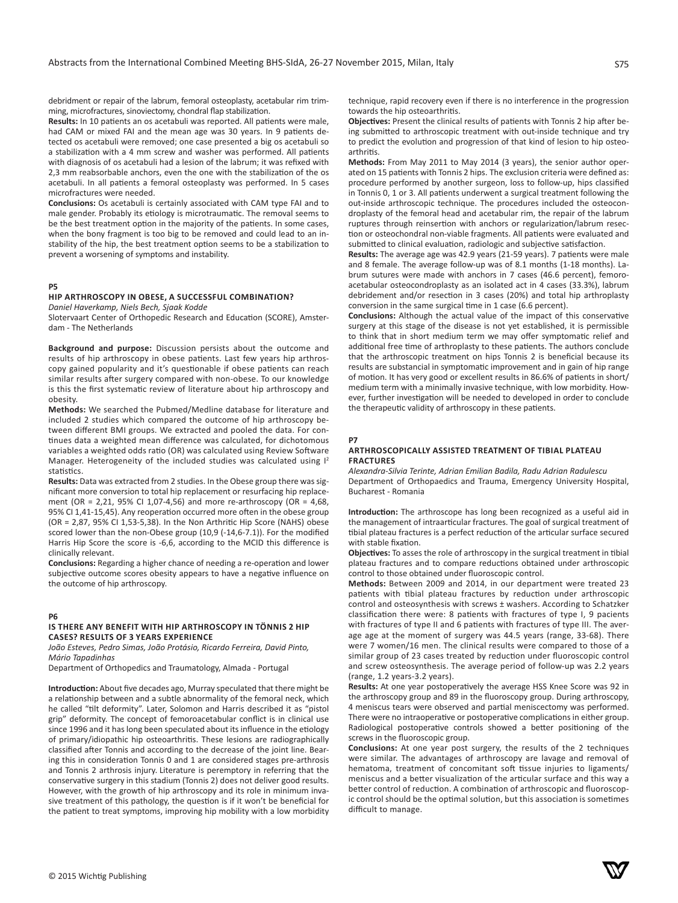debridment or repair of the labrum, femoral osteoplasty, acetabular rim trimming, microfractures, sinoviectomy, chondral flap stabilization.

**Results:** In 10 patients an os acetabuli was reported. All patients were male, had CAM or mixed FAI and the mean age was 30 years. In 9 patients detected os acetabuli were removed; one case presented a big os acetabuli so a stabilization with a 4 mm screw and washer was performed. All patients with diagnosis of os acetabuli had a lesion of the labrum; it was refixed with 2,3 mm reabsorbable anchors, even the one with the stabilization of the os acetabuli. In all patients a femoral osteoplasty was performed. In 5 cases microfractures were needed.

**Conclusions:** Os acetabuli is certainly associated with CAM type FAI and to male gender. Probably its etiology is microtraumatic. The removal seems to be the best treatment option in the majority of the patients. In some cases, when the bony fragment is too big to be removed and could lead to an instability of the hip, the best treatment option seems to be a stabilization to prevent a worsening of symptoms and instability.

# **P5**

# **HIP ARTHROSCOPY IN OBESE, A SUCCESSFUL COMBINATION?**

*Daniel Haverkamp, Niels Bech, Sjaak Kodde*

Slotervaart Center of Orthopedic Research and Education (SCORE), Amsterdam - The Netherlands

**Background and purpose:** Discussion persists about the outcome and results of hip arthroscopy in obese patients. Last few years hip arthroscopy gained popularity and it's questionable if obese patients can reach similar results after surgery compared with non-obese. To our knowledge is this the first systematic review of literature about hip arthroscopy and obesity.

**Methods:** We searched the Pubmed/Medline database for literature and included 2 studies which compared the outcome of hip arthroscopy between different BMI groups. We extracted and pooled the data. For continues data a weighted mean difference was calculated, for dichotomous variables a weighted odds ratio (OR) was calculated using Review Software Manager. Heterogeneity of the included studies was calculated using  $I<sup>2</sup>$ statistics.

**Results:** Data was extracted from 2 studies. In the Obese group there was significant more conversion to total hip replacement or resurfacing hip replacement (OR = 2,21, 95% CI 1,07-4,56) and more re-arthroscopy (OR = 4,68, 95% CI 1,41-15,45). Any reoperation occurred more often in the obese group (OR = 2,87, 95% CI 1,53-5,38). In the Non Arthritic Hip Score (NAHS) obese scored lower than the non-Obese group (10,9 (-14,6-7.1)). For the modified Harris Hip Score the score is -6,6, according to the MCID this difference is clinically relevant.

**Conclusions:** Regarding a higher chance of needing a re-operation and lower subjective outcome scores obesity appears to have a negative influence on the outcome of hip arthroscopy.

#### **P6**

# **IS THERE ANY BENEFIT WITH HIP ARTHROSCOPY IN TÖNNIS 2 HIP CASES? RESULTS OF 3 YEARS EXPERIENCE**

*João Esteves, Pedro Simas, João Protásio, Ricardo Ferreira, David Pinto, Mário Tapadinhas*

Department of Orthopedics and Traumatology, Almada - Portugal

**Introduction:** About five decades ago, Murray speculated that there might be a relationship between and a subtle abnormality of the femoral neck, which he called "tilt deformity". Later, Solomon and Harris described it as "pistol grip" deformity. The concept of femoroacetabular conflict is in clinical use since 1996 and it has long been speculated about its influence in the etiology of primary/idiopathic hip osteoarthritis. These lesions are radiographically classified after Tonnis and according to the decrease of the joint line. Bearing this in consideration Tonnis 0 and 1 are considered stages pre-arthrosis and Tonnis 2 arthrosis injury. Literature is peremptory in referring that the conservative surgery in this stadium (Tonnis 2) does not deliver good results. However, with the growth of hip arthroscopy and its role in minimum invasive treatment of this pathology, the question is if it won't be beneficial for the patient to treat symptoms, improving hip mobility with a low morbidity technique, rapid recovery even if there is no interference in the progression towards the hip osteoarthritis.

**Objectives:** Present the clinical results of patients with Tonnis 2 hip after being submitted to arthroscopic treatment with out-inside technique and try to predict the evolution and progression of that kind of lesion to hip osteoarthritis.

**Methods:** From May 2011 to May 2014 (3 years), the senior author operated on 15 patients with Tonnis 2 hips. The exclusion criteria were defined as: procedure performed by another surgeon, loss to follow-up, hips classified in Tonnis 0, 1 or 3. All patients underwent a surgical treatment following the out-inside arthroscopic technique. The procedures included the osteocondroplasty of the femoral head and acetabular rim, the repair of the labrum ruptures through reinsertion with anchors or regularization/labrum resection or osteochondral non-viable fragments. All patients were evaluated and submitted to clinical evaluation, radiologic and subjective satisfaction.

**Results:** The average age was 42.9 years (21-59 years). 7 patients were male and 8 female. The average follow-up was of 8.1 months (1-18 months). Labrum sutures were made with anchors in 7 cases (46.6 percent), femoroacetabular osteocondroplasty as an isolated act in 4 cases (33.3%), labrum debridement and/or resection in 3 cases (20%) and total hip arthroplasty conversion in the same surgical time in 1 case (6.6 percent).

**Conclusions:** Although the actual value of the impact of this conservative surgery at this stage of the disease is not yet established, it is permissible to think that in short medium term we may offer symptomatic relief and additional free time of arthroplasty to these patients. The authors conclude that the arthroscopic treatment on hips Tonnis 2 is beneficial because its results are substancial in symptomatic improvement and in gain of hip range of motion. It has very good or excellent results in 86.6% of patients in short/ medium term with a minimally invasive technique, with low morbidity. However, further investigation will be needed to developed in order to conclude the therapeutic validity of arthroscopy in these patients.

## **P7**

#### **ARTHROSCOPICALLY ASSISTED TREATMENT OF TIBIAL PLATEAU FRACTURES**

*Alexandra-Silvia Terinte, Adrian Emilian Badila, Radu Adrian Radulescu* Department of Orthopaedics and Trauma, Emergency University Hospital, Bucharest - Romania

**Introduction:** The arthroscope has long been recognized as a useful aid in the management of intraarticular fractures. The goal of surgical treatment of tibial plateau fractures is a perfect reduction of the articular surface secured with stable fixation.

**Objectives:** To asses the role of arthroscopy in the surgical treatment in tibial plateau fractures and to compare reductions obtained under arthroscopic control to those obtained under fluoroscopic control.

**Methods:** Between 2009 and 2014, in our department were treated 23 patients with tibial plateau fractures by reduction under arthroscopic control and osteosynthesis with screws ± washers. According to Schatzker classification there were: 8 patients with fractures of type I, 9 pacients with fractures of type II and 6 patients with fractures of type III. The average age at the moment of surgery was 44.5 years (range, 33-68). There were 7 women/16 men. The clinical results were compared to those of a similar group of 23 cases treated by reduction under fluoroscopic control and screw osteosynthesis. The average period of follow-up was 2.2 years (range, 1.2 years-3.2 years).

**Results:** At one year postoperatively the average HSS Knee Score was 92 in the arthroscopy group and 89 in the fluoroscopy group. During arthroscopy, 4 meniscus tears were observed and partial meniscectomy was performed. There were no intraoperative or postoperative complications in either group. Radiological postoperative controls showed a better positioning of the screws in the fluoroscopic group.

**Conclusions:** At one year post surgery, the results of the 2 techniques were similar. The advantages of arthroscopy are lavage and removal of hematoma, treatment of concomitant soft tissue injuries to ligaments/ meniscus and a better visualization of the articular surface and this way a better control of reduction. A combination of arthroscopic and fluoroscopic control should be the optimal solution, but this association is sometimes difficult to manage.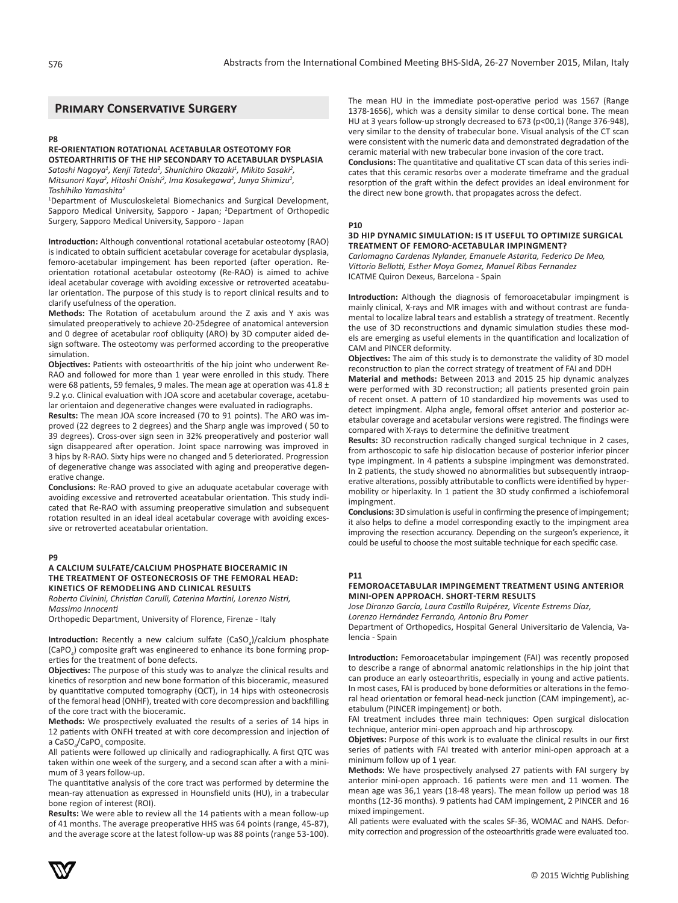# **Primary Conservative Surgery**

#### **P8**

# **RE-ORIENTATION ROTATIONAL ACETABULAR OSTEOTOMY FOR OSTEOARTHRITIS OF THE HIP SECONDARY TO ACETABULAR DYSPLASIA**

*Satoshi Nagoya<sup>1</sup> , Kenji Tateda<sup>2</sup> , Shunichiro Okazaki<sup>1</sup> , Mikito Sasaki<sup>2</sup> , Mitsunori Kaya<sup>2</sup> , Hitoshi Onishi<sup>2</sup> , Ima Kosukegawa<sup>2</sup> , Junya Shimizu<sup>2</sup> , Toshihiko Yamashita<sup>2</sup>*

1 Department of Musculoskeletal Biomechanics and Surgical Development, Sapporo Medical University, Sapporo - Japan; <sup>2</sup>Department of Orthopedic Surgery, Sapporo Medical University, Sapporo - Japan

**Introduction:** Although conventional rotational acetabular osteotomy (RAO) is indicated to obtain sufficient acetabular coverage for acetabular dysplasia, femoro-acetabular impingement has been reported (after operation. Reorientation rotational acetabular osteotomy (Re-RAO) is aimed to achive ideal acetabular coverage with avoiding excessive or retroverted aceatabular orientation. The purpose of this study is to report clinical results and to clarify usefulness of the operation.

**Methods:** The Rotation of acetabulum around the Z axis and Y axis was simulated preoperatively to achieve 20-25degree of anatomical anteversion and 0 degree of acetabular roof obliquity (ARO) by 3D computer aided design software. The osteotomy was performed according to the preoperative simulation.

**Objectives:** Patients with osteoarthritis of the hip joint who underwent Re-RAO and followed for more than 1 year were enrolled in this study. There were 68 patients, 59 females, 9 males. The mean age at operation was 41.8 ± 9.2 y.o. Clinical evaluation with JOA score and acetabular coverage, acetabular orientaion and degenerative changes were evaluated in radiographs.

**Results:** The mean JOA score increased (70 to 91 points). The ARO was improved (22 degrees to 2 degrees) and the Sharp angle was improved ( 50 to 39 degrees). Cross-over sign seen in 32% preoperatively and posterior wall sign disappeared after operation. Joint space narrowing was improved in 3 hips by R-RAO. Sixty hips were no changed and 5 deteriorated. Progression of degenerative change was associated with aging and preoperative degenerative change.

**Conclusions:** Re-RAO proved to give an aduquate acetabular coverage with avoiding excessive and retroverted aceatabular orientation. This study indicated that Re-RAO with assuming preoperative simulation and subsequent rotation resulted in an ideal ideal acetabular coverage with avoiding excessive or retroverted aceatabular orientation.

#### **P9**

# **A CALCIUM SULFATE/CALCIUM PHOSPHATE BIOCERAMIC IN THE TREATMENT OF OSTEONECROSIS OF THE FEMORAL HEAD: KINETICS OF REMODELING AND CLINICAL RESULTS**

*Roberto Civinini, Christian Carulli, Caterina Martini, Lorenzo Nistri, Massimo Innocenti*

Orthopedic Department, University of Florence, Firenze - Italy

**Introduction:** Recently a new calcium sulfate (CaSO<sub>4</sub>)/calcium phosphate (CaPO<sub>4</sub>) composite graft was engineered to enhance its bone forming properties for the treatment of bone defects.

**Objectives:** The purpose of this study was to analyze the clinical results and kinetics of resorption and new bone formation of this bioceramic, measured by quantitative computed tomography (QCT), in 14 hips with osteonecrosis of the femoral head (ONHF), treated with core decompression and backfilling of the core tract with the bioceramic.

**Methods:** We prospectively evaluated the results of a series of 14 hips in 12 patients with ONFH treated at with core decompression and injection of a CaSO<sub>4</sub>/CaPO<sub>4</sub> composite.

All patients were followed up clinically and radiographically. A first QTC was taken within one week of the surgery, and a second scan after a with a minimum of 3 years follow-up.

The quantitative analysis of the core tract was performed by determine the mean-ray attenuation as expressed in Hounsfield units (HU), in a trabecular bone region of interest (ROI).

**Results:** We were able to review all the 14 patients with a mean follow-up of 41 months. The average preoperative HHS was 64 points (range, 45-87), and the average score at the latest follow-up was 88 points (range 53-100). The mean HU in the immediate post-operative period was 1567 (Range 1378-1656), which was a density similar to dense cortical bone. The mean HU at 3 years follow-up strongly decreased to 673 (p<00,1) (Range 376-948), very similar to the density of trabecular bone. Visual analysis of the CT scan were consistent with the numeric data and demonstrated degradation of the ceramic material with new trabecular bone invasion of the core tract. **Conclusions:** The quantitative and qualitative CT scan data of this series indi-

cates that this ceramic resorbs over a moderate timeframe and the gradual resorption of the graft within the defect provides an ideal environment for the direct new bone growth. that propagates across the defect.

#### **P10**

# **3D HIP DYNAMIC SIMULATION: IS IT USEFUL TO OPTIMIZE SURGICAL TREATMENT OF FEMORO-ACETABULAR IMPINGMENT?**

*Carlomagno Cardenas Nylander, Emanuele Astarita, Federico De Meo, Vittorio Bellotti, Esther Moya Gomez, Manuel Ribas Fernandez* ICATME Quiron Dexeus, Barcelona - Spain

**Introduction:** Although the diagnosis of femoroacetabular impingment is mainly clinical, X-rays and MR images with and without contrast are fundamental to localize labral tears and establish a strategy of treatment. Recently the use of 3D reconstructions and dynamic simulation studies these models are emerging as useful elements in the quantification and localization of CAM and PINCER deformity.

**Objectives:** The aim of this study is to demonstrate the validity of 3D model reconstruction to plan the correct strategy of treatment of FAI and DDH

**Material and methods:** Between 2013 and 2015 25 hip dynamic analyzes were performed with 3D reconstruction; all patients presented groin pain of recent onset. A pattern of 10 standardized hip movements was used to detect impingment. Alpha angle, femoral offset anterior and posterior acetabular coverage and acetabular versions were registred. The findings were compared with X-rays to determine the definitive treatment

**Results:** 3D reconstruction radically changed surgical technique in 2 cases, from arthoscopic to safe hip dislocation because of posterior inferior pincer type impingment. In 4 patients a subspine impingment was demonstrated. In 2 patients, the study showed no abnormalities but subsequently intraoperative alterations, possibly attributable to conflicts were identified by hypermobility or hiperlaxity. In 1 patient the 3D study confirmed a ischiofemoral impingment.

**Conclusions:** 3D simulation is useful in confirming the presence of impingement; it also helps to define a model corresponding exactly to the impingment area improving the resection accurancy. Depending on the surgeon's experience, it could be useful to choose the most suitable technique for each specific case.

# **P11**

# **FEMOROACETABULAR IMPINGEMENT TREATMENT USING ANTERIOR MINI-OPEN APPROACH. SHORT-TERM RESULTS**

*Jose Diranzo García, Laura Castillo Ruipérez, Vicente Estrems Díaz, Lorenzo Hernández Ferrando, Antonio Bru Pomer*

Department of Orthopedics, Hospital General Universitario de Valencia, Valencia - Spain

**Introduction:** Femoroacetabular impingement (FAI) was recently proposed to describe a range of abnormal anatomic relationships in the hip joint that can produce an early osteoarthritis, especially in young and active patients. In most cases, FAI is produced by bone deformities or alterations in the femoral head orientation or femoral head-neck junction (CAM impingement), acetabulum (PINCER impingement) or both.

FAI treatment includes three main techniques: Open surgical dislocation technique, anterior mini-open approach and hip arthroscopy.

**Objetives:** Purpose of this work is to evaluate the clinical results in our first series of patients with FAI treated with anterior mini-open approach at a minimum follow up of 1 year.

**Methods:** We have prospectively analysed 27 patients with FAI surgery by anterior mini-open approach. 16 patients were men and 11 women. The mean age was 36,1 years (18-48 years). The mean follow up period was 18 months (12-36 months). 9 patients had CAM impingement, 2 PINCER and 16 mixed impingement.

All patients were evaluated with the scales SF-36, WOMAC and NAHS. Deformity correction and progression of the osteoarthritis grade were evaluated too.

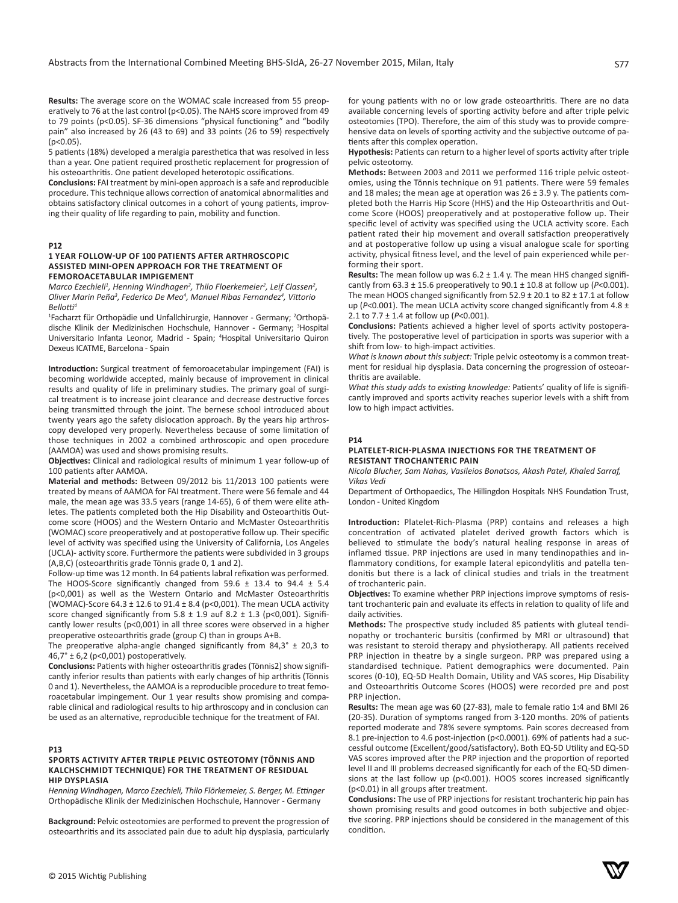**Results:** The average score on the WOMAC scale increased from 55 preoperatively to 76 at the last control (p<0.05). The NAHS score improved from 49 to 79 points (p<0.05). SF-36 dimensions "physical functioning" and "bodily pain" also increased by 26 (43 to 69) and 33 points (26 to 59) respectively  $(p<0.05)$ .

5 patients (18%) developed a meralgia paresthetica that was resolved in less than a year. One patient required prosthetic replacement for progression of his osteoarthritis. One patient developed heterotopic ossifications.

**Conclusions:** FAI treatment by mini-open approach is a safe and reproducible procedure. This technique allows correction of anatomical abnormalities and obtains satisfactory clinical outcomes in a cohort of young patients, improving their quality of life regarding to pain, mobility and function.

#### **P12**

## **1 YEAR FOLLOW-UP OF 100 PATIENTS AFTER ARTHROSCOPIC ASSISTED MINI-OPEN APPROACH FOR THE TREATMENT OF FEMOROACETABULAR IMPIGEMENT**

*Marco Ezechieli<sup>1</sup>, Henning Windhagen<sup>2</sup>, Thilo Floerkemeier<sup>2</sup>, Leif Classen<sup>2</sup>, Oliver Marin Peña<sup>3</sup> , Federico De Meo<sup>4</sup> , Manuel Ribas Fernandez<sup>4</sup> , Vittorio Bellotti<sup>4</sup>*

<sup>1</sup>Facharzt für Orthopädie und Unfallchirurgie, Hannover - Germany; <sup>2</sup>Orthopädische Klinik der Medizinischen Hochschule, Hannover - Germany; <sup>3</sup>Hospital Universitario Infanta Leonor, Madrid - Spain; <sup>4</sup>Hospital Universitario Quiron Dexeus ICATME, Barcelona - Spain

**Introduction:** Surgical treatment of femoroacetabular impingement (FAI) is becoming worldwide accepted, mainly because of improvement in clinical results and quality of life in preliminary studies. The primary goal of surgical treatment is to increase joint clearance and decrease destructive forces being transmitted through the joint. The bernese school introduced about twenty years ago the safety dislocation approach. By the years hip arthroscopy developed very properly. Nevertheless because of some limitation of those techniques in 2002 a combined arthroscopic and open procedure (AAMOA) was used and shows promising results.

**Objectives:** Clinical and radiological results of minimum 1 year follow-up of 100 patients after AAMOA.

**Material and methods:** Between 09/2012 bis 11/2013 100 patients were treated by means of AAMOA for FAI treatment. There were 56 female and 44 male, the mean age was 33.5 years (range 14-65), 6 of them were elite athletes. The patients completed both the Hip Disability and Osteoarthitis Outcome score (HOOS) and the Western Ontario and McMaster Osteoarthritis (WOMAC) score preoperatively and at postoperative follow up. Their specific level of activity was specified using the University of California, Los Angeles (UCLA)- activity score. Furthermore the patients were subdivided in 3 groups (A,B,C) (osteoarthritis grade Tönnis grade 0, 1 and 2).

Follow-up time was 12 month. In 64 patients labral refixation was performed. The HOOS-Score significantly changed from 59.6  $\pm$  13.4 to 94.4  $\pm$  5.4 (p<0,001) as well as the Western Ontario and McMaster Osteoarthritis (WOMAC)-Score  $64.3 \pm 12.6$  to  $91.4 \pm 8.4$  (p<0,001). The mean UCLA activity score changed significantly from  $5.8 \pm 1.9$  auf  $8.2 \pm 1.3$  (p<0,001). Significantly lower results (p<0,001) in all three scores were observed in a higher preoperative osteoarthritis grade (group C) than in groups A+B.

The preoperative alpha-angle changed significantly from  $84.3^\circ \pm 20.3$  to  $46.7^\circ \pm 6.2$  (p<0.001) postoperatively.

**Conclusions:** Patients with higher osteoarthritis grades (Tönnis2) show significantly inferior results than patients with early changes of hip arthritis (Tönnis 0 and 1). Nevertheless, the AAMOA is a reproducible procedure to treat femoroacetabular impingement. Our 1 year results show promising and comparable clinical and radiological results to hip arthroscopy and in conclusion can be used as an alternative, reproducible technique for the treatment of FAI.

# **P13**

# **SPORTS ACTIVITY AFTER TRIPLE PELVIC OSTEOTOMY (TÖNNIS AND KALCHSCHMIDT TECHNIQUE) FOR THE TREATMENT OF RESIDUAL HIP DYSPLASIA**

*Henning Windhagen, Marco Ezechieli, Thilo Flörkemeier, S. Berger, M. Ettinger* Orthopädische Klinik der Medizinischen Hochschule, Hannover - Germany

**Background:** Pelvic osteotomies are performed to prevent the progression of osteoarthritis and its associated pain due to adult hip dysplasia, particularly for young patients with no or low grade osteoarthritis. There are no data available concerning levels of sporting activity before and after triple pelvic osteotomies (TPO). Therefore, the aim of this study was to provide comprehensive data on levels of sporting activity and the subjective outcome of patients after this complex operation.

**Hypothesis:** Patients can return to a higher level of sports activity after triple pelvic osteotomy.

**Methods:** Between 2003 and 2011 we performed 116 triple pelvic osteotomies, using the Tönnis technique on 91 patients. There were 59 females and 18 males; the mean age at operation was  $26 \pm 3.9$  y. The patients completed both the Harris Hip Score (HHS) and the Hip Osteoarthritis and Outcome Score (HOOS) preoperatively and at postoperative follow up. Their specific level of activity was specified using the UCLA activity score. Each patient rated their hip movement and overall satisfaction preoperatively and at postoperative follow up using a visual analogue scale for sporting activity, physical fitness level, and the level of pain experienced while performing their sport.

**Results:** The mean follow up was 6.2 ± 1.4 y. The mean HHS changed significantly from 63.3 ± 15.6 preoperatively to 90.1 ± 10.8 at follow up (*P*<0.001). The mean HOOS changed significantly from  $52.9 \pm 20.1$  to  $82 \pm 17.1$  at follow up (*P*<0.001). The mean UCLA activity score changed significantly from 4.8 ± 2.1 to 7.7 ± 1.4 at follow up (*P*<0.001).

**Conclusions:** Patients achieved a higher level of sports activity postoperatively. The postoperative level of participation in sports was superior with a shift from low- to high-impact activities.

*What is known about this subject:* Triple pelvic osteotomy is a common treatment for residual hip dysplasia. Data concerning the progression of osteoarthritis are available.

*What this study adds to existing knowledge:* Patients' quality of life is significantly improved and sports activity reaches superior levels with a shift from low to high impact activities.

# **P14**

#### **PLATELET-RICH-PLASMA INJECTIONS FOR THE TREATMENT OF RESISTANT TROCHANTERIC PAIN**

*Nicola Blucher, Sam Nahas, Vasileios Bonatsos, Akash Patel, Khaled Sarraf, Vikas Vedi*

Department of Orthopaedics, The Hillingdon Hospitals NHS Foundation Trust, London - United Kingdom

**Introduction:** Platelet-Rich-Plasma (PRP) contains and releases a high concentration of activated platelet derived growth factors which is believed to stimulate the body's natural healing response in areas of inflamed tissue. PRP injections are used in many tendinopathies and inflammatory conditions, for example lateral epicondylitis and patella tendonitis but there is a lack of clinical studies and trials in the treatment of trochanteric pain.

**Objectives:** To examine whether PRP injections improve symptoms of resistant trochanteric pain and evaluate its effects in relation to quality of life and daily activities.

**Methods:** The prospective study included 85 patients with gluteal tendinopathy or trochanteric bursitis (confirmed by MRI or ultrasound) that was resistant to steroid therapy and physiotherapy. All patients received PRP injection in theatre by a single surgeon. PRP was prepared using a standardised technique. Patient demographics were documented. Pain scores (0-10), EQ-5D Health Domain, Utility and VAS scores, Hip Disability and Osteoarthritis Outcome Scores (HOOS) were recorded pre and post PRP injection.

**Results:** The mean age was 60 (27-83), male to female ratio 1:4 and BMI 26 (20-35). Duration of symptoms ranged from 3-120 months. 20% of patients reported moderate and 78% severe symptoms. Pain scores decreased from 8.1 pre-injection to 4.6 post-injection (p<0.0001). 69% of patients had a successful outcome (Excellent/good/satisfactory). Both EQ-5D Utility and EQ-5D VAS scores improved after the PRP injection and the proportion of reported level II and III problems decreased significantly for each of the EQ-5D dimensions at the last follow up (p<0.001). HOOS scores increased significantly (p<0.01) in all groups after treatment.

**Conclusions:** The use of PRP injections for resistant trochanteric hip pain has shown promising results and good outcomes in both subjective and objective scoring. PRP injections should be considered in the management of this condition.

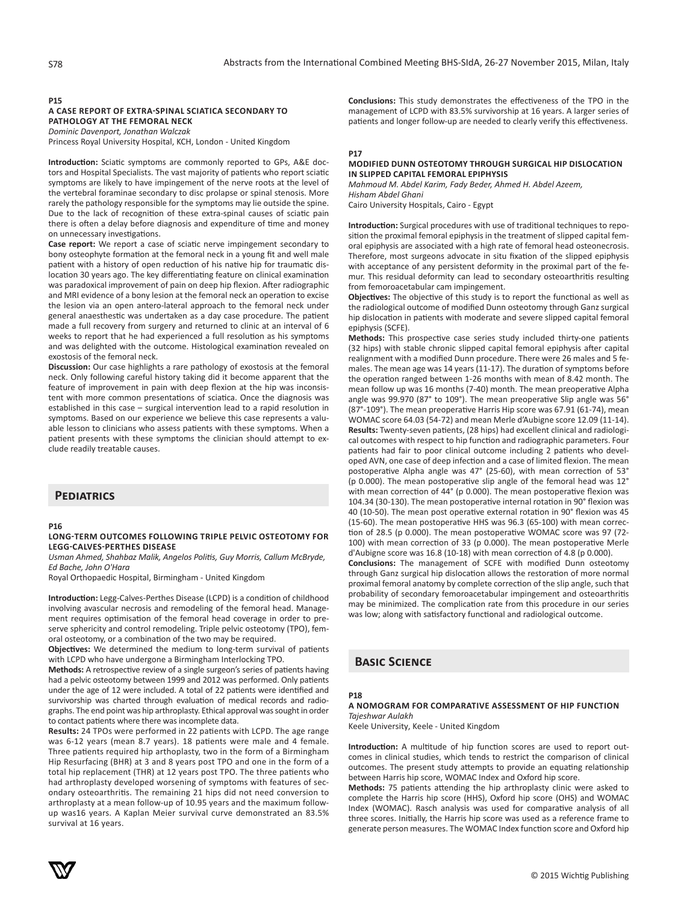# **P15**

# **A CASE REPORT OF EXTRA-SPINAL SCIATICA SECONDARY TO PATHOLOGY AT THE FEMORAL NECK**

*Dominic Davenport, Jonathan Walczak* Princess Royal University Hospital, KCH, London - United Kingdom

**Introduction:** Sciatic symptoms are commonly reported to GPs, A&E doctors and Hospital Specialists. The vast majority of patients who report sciatic symptoms are likely to have impingement of the nerve roots at the level of the vertebral foraminae secondary to disc prolapse or spinal stenosis. More rarely the pathology responsible for the symptoms may lie outside the spine. Due to the lack of recognition of these extra-spinal causes of sciatic pain there is often a delay before diagnosis and expenditure of time and money on unnecessary investigations.

**Case report:** We report a case of sciatic nerve impingement secondary to bony osteophyte formation at the femoral neck in a young fit and well male patient with a history of open reduction of his native hip for traumatic dislocation 30 years ago. The key differentiating feature on clinical examination was paradoxical improvement of pain on deep hip flexion. After radiographic and MRI evidence of a bony lesion at the femoral neck an operation to excise the lesion via an open antero-lateral approach to the femoral neck under general anaesthestic was undertaken as a day case procedure. The patient made a full recovery from surgery and returned to clinic at an interval of 6 weeks to report that he had experienced a full resolution as his symptoms and was delighted with the outcome. Histological examination revealed on exostosis of the femoral neck.

**Discussion:** Our case highlights a rare pathology of exostosis at the femoral neck. Only following careful history taking did it become apparent that the feature of improvement in pain with deep flexion at the hip was inconsistent with more common presentations of sciatica. Once the diagnosis was established in this case – surgical intervention lead to a rapid resolution in symptoms. Based on our experience we believe this case represents a valuable lesson to clinicians who assess patients with these symptoms. When a patient presents with these symptoms the clinician should attempt to exclude readily treatable causes.

# **Pediatrics**

# **P16**

## **LONG-TERM OUTCOMES FOLLOWING TRIPLE PELVIC OSTEOTOMY FOR LEGG-CALVES-PERTHES DISEASE**

*Usman Ahmed, Shahbaz Malik, Angelos Politis, Guy Morris, Callum McBryde, Ed Bache, John O'Hara*

Royal Orthopaedic Hospital, Birmingham - United Kingdom

**Introduction:** Legg-Calves-Perthes Disease (LCPD) is a condition of childhood involving avascular necrosis and remodeling of the femoral head. Management requires optimisation of the femoral head coverage in order to preserve sphericity and control remodeling. Triple pelvic osteotomy (TPO), femoral osteotomy, or a combination of the two may be required.

**Objectives:** We determined the medium to long-term survival of patients with LCPD who have undergone a Birmingham Interlocking TPO.

**Methods:** A retrospective review of a single surgeon's series of patients having had a pelvic osteotomy between 1999 and 2012 was performed. Only patients under the age of 12 were included. A total of 22 patients were identified and survivorship was charted through evaluation of medical records and radiographs. The end point was hip arthroplasty. Ethical approval was sought in order to contact patients where there was incomplete data.

**Results:** 24 TPOs were performed in 22 patients with LCPD. The age range was 6-12 years (mean 8.7 years). 18 patients were male and 4 female. Three patients required hip arthoplasty, two in the form of a Birmingham Hip Resurfacing (BHR) at 3 and 8 years post TPO and one in the form of a total hip replacement (THR) at 12 years post TPO. The three patients who had arthroplasty developed worsening of symptoms with features of secondary osteoarthritis. The remaining 21 hips did not need conversion to arthroplasty at a mean follow-up of 10.95 years and the maximum followup was16 years. A Kaplan Meier survival curve demonstrated an 83.5% survival at 16 years.

**Conclusions:** This study demonstrates the effectiveness of the TPO in the management of LCPD with 83.5% survivorship at 16 years. A larger series of patients and longer follow-up are needed to clearly verify this effectiveness.

# **P17**

## **MODIFIED DUNN OSTEOTOMY THROUGH SURGICAL HIP DISLOCATION IN SLIPPED CAPITAL FEMORAL EPIPHYSIS**

*Mahmoud M. Abdel Karim, Fady Beder, Ahmed H. Abdel Azeem, Hisham Abdel Ghani*

Cairo University Hospitals, Cairo - Egypt

**Introduction:** Surgical procedures with use of traditional techniques to reposition the proximal femoral epiphysis in the treatment of slipped capital femoral epiphysis are associated with a high rate of femoral head osteonecrosis. Therefore, most surgeons advocate in situ fixation of the slipped epiphysis with acceptance of any persistent deformity in the proximal part of the femur. This residual deformity can lead to secondary osteoarthritis resulting from femoroacetabular cam impingement.

**Objectives:** The objective of this study is to report the functional as well as the radiological outcome of modified Dunn osteotomy through Ganz surgical hip dislocation in patients with moderate and severe slipped capital femoral epiphysis (SCFE).

**Methods:** This prospective case series study included thirty-one patients (32 hips) with stable chronic slipped capital femoral epiphysis after capital realignment with a modified Dunn procedure. There were 26 males and 5 females. The mean age was 14 years (11-17). The duration of symptoms before the operation ranged between 1-26 months with mean of 8.42 month. The mean follow up was 16 months (7-40) month. The mean preoperative Alpha angle was 99.970 (87° to 109°). The mean preoperative Slip angle was 56° (87°-109°). The mean preoperative Harris Hip score was 67.91 (61-74), mean WOMAC score 64.03 (54-72) and mean Merle d'Aubigne score 12.09 (11-14). **Results:** Twenty-seven patients, (28 hips) had excellent clinical and radiological outcomes with respect to hip function and radiographic parameters. Four patients had fair to poor clinical outcome including 2 patients who developed AVN, one case of deep infection and a case of limited flexion. The mean postoperative Alpha angle was 47° (25-60), with mean correction of 53° (p 0.000). The mean postoperative slip angle of the femoral head was 12° with mean correction of 44° (p 0.000). The mean postoperative flexion was 104.34 (30-130). The mean postoperative internal rotation in 90° flexion was 40 (10-50). The mean post operative external rotation in 90° flexion was 45 (15-60). The mean postoperative HHS was 96.3 (65-100) with mean correction of 28.5 (p 0.000). The mean postoperative WOMAC score was 97 (72- 100) with mean correction of 33 (p 0.000). The mean postoperative Merle d'Aubigne score was 16.8 (10-18) with mean correction of 4.8 (p 0.000). **Conclusions:** The management of SCFE with modified Dunn osteotomy through Ganz surgical hip dislocation allows the restoration of more normal proximal femoral anatomy by complete correction of the slip angle, such that probability of secondary femoroacetabular impingement and osteoarthritis may be minimized. The complication rate from this procedure in our series was low; along with satisfactory functional and radiological outcome.

# **Basic Science**

# **P18**

#### **A NOMOGRAM FOR COMPARATIVE ASSESSMENT OF HIP FUNCTION** *Tajeshwar Aulakh*

Keele University, Keele - United Kingdom

**Introduction:** A multitude of hip function scores are used to report outcomes in clinical studies, which tends to restrict the comparison of clinical outcomes. The present study attempts to provide an equating relationship between Harris hip score, WOMAC Index and Oxford hip score.

**Methods:** 75 patients attending the hip arthroplasty clinic were asked to complete the Harris hip score (HHS), Oxford hip score (OHS) and WOMAC Index (WOMAC). Rasch analysis was used for comparative analysis of all three scores. Initially, the Harris hip score was used as a reference frame to generate person measures. The WOMAC Index function score and Oxford hip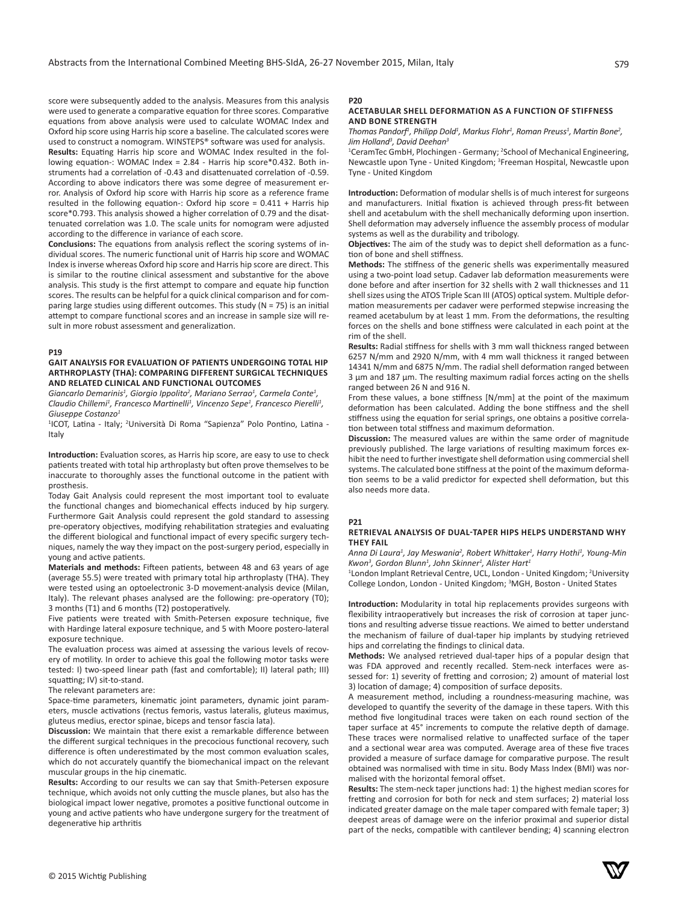score were subsequently added to the analysis. Measures from this analysis were used to generate a comparative equation for three scores. Comparative equations from above analysis were used to calculate WOMAC Index and Oxford hip score using Harris hip score a baseline. The calculated scores were used to construct a nomogram. WINSTEPS<sup>®</sup> software was used for analysis. **Results:** Equating Harris hip score and WOMAC Index resulted in the fol-

lowing equation-: WOMAC Index = 2.84 - Harris hip score\*0.432. Both instruments had a correlation of -0.43 and disattenuated correlation of -0.59. According to above indicators there was some degree of measurement error. Analysis of Oxford hip score with Harris hip score as a reference frame resulted in the following equation-: Oxford hip score = 0.411 + Harris hip score\*0.793. This analysis showed a higher correlation of 0.79 and the disattenuated correlation was 1.0. The scale units for nomogram were adjusted according to the difference in variance of each score.

**Conclusions:** The equations from analysis reflect the scoring systems of individual scores. The numeric functional unit of Harris hip score and WOMAC Index is inverse whereas Oxford hip score and Harris hip score are direct. This is similar to the routine clinical assessment and substantive for the above analysis. This study is the first attempt to compare and equate hip function scores. The results can be helpful for a quick clinical comparison and for comparing large studies using different outcomes. This study (N = 75) is an initial attempt to compare functional scores and an increase in sample size will result in more robust assessment and generalization.

#### **P19**

# **GAIT ANALYSIS FOR EVALUATION OF PATIENTS UNDERGOING TOTAL HIP ARTHROPLASTY (THA): COMPARING DIFFERENT SURGICAL TECHNIQUES AND RELATED CLINICAL AND FUNCTIONAL OUTCOMES**

Giancarlo Demarinis<sup>1</sup>, Giorgio Ippolito<sup>2</sup>, Mariano Serrao<sup>1</sup>, Carmela Conte<sup>1</sup>, *Claudio Chillemi<sup>1</sup> , Francesco Martinelli<sup>1</sup> , Vincenzo Sepe<sup>1</sup> , Francesco Pierelli<sup>1</sup> , Giuseppe Costanzo<sup>1</sup>*

<sup>1</sup>ICOT, Latina - Italy; <sup>2</sup>Università Di Roma "Sapienza" Polo Pontino, Latina -Italy

**Introduction:** Evaluation scores, as Harris hip score, are easy to use to check patients treated with total hip arthroplasty but often prove themselves to be inaccurate to thoroughly asses the functional outcome in the patient with prosthesis.

Today Gait Analysis could represent the most important tool to evaluate the functional changes and biomechanical effects induced by hip surgery. Furthermore Gait Analysis could represent the gold standard to assessing pre-operatory objectives, modifying rehabilitation strategies and evaluating the different biological and functional impact of every specific surgery techniques, namely the way they impact on the post-surgery period, especially in young and active patients.

**Materials and methods:** Fifteen patients, between 48 and 63 years of age (average 55.5) were treated with primary total hip arthroplasty (THA). They were tested using an optoelectronic 3-D movement-analysis device (Milan, Italy). The relevant phases analysed are the following: pre-operatory (T0); 3 months (T1) and 6 months (T2) postoperatively.

Five patients were treated with Smith-Petersen exposure technique, five with Hardinge lateral exposure technique, and 5 with Moore postero-lateral exposure technique.

The evaluation process was aimed at assessing the various levels of recovery of motility. In order to achieve this goal the following motor tasks were tested: I) two-speed linear path (fast and comfortable); II) lateral path; III) squatting; IV) sit-to-stand.

The relevant parameters are:

Space-time parameters, kinematic joint parameters, dynamic joint parameters, muscle activations (rectus femoris, vastus lateralis, gluteus maximus, gluteus medius, erector spinae, biceps and tensor fascia lata).

**Discussion:** We maintain that there exist a remarkable difference between the different surgical techniques in the precocious functional recovery, such difference is often underestimated by the most common evaluation scales, which do not accurately quantify the biomechanical impact on the relevant muscular groups in the hip cinematic.

**Results:** According to our results we can say that Smith-Petersen exposure technique, which avoids not only cutting the muscle planes, but also has the biological impact lower negative, promotes a positive functional outcome in young and active patients who have undergone surgery for the treatment of degenerative hip arthritis

# **P20**

## **ACETABULAR SHELL DEFORMATION AS A FUNCTION OF STIFFNESS AND BONE STRENGTH**

*Thomas Pandorf<sup>1</sup>, Philipp Dold<sup>1</sup>, Markus Flohr<sup>1</sup>, Roman Preuss<sup>1</sup>, Martin Bone<sup>2</sup>, Jim Holland<sup>3</sup> , David Deehan<sup>3</sup>*

<sup>1</sup>CeramTec GmbH, Plochingen - Germany; <sup>2</sup>School of Mechanical Engineering, Newcastle upon Tyne - United Kingdom; <sup>3</sup> Freeman Hospital, Newcastle upon Tyne - United Kingdom

**Introduction:** Deformation of modular shells is of much interest for surgeons and manufacturers. Initial fixation is achieved through press-fit between shell and acetabulum with the shell mechanically deforming upon insertion. Shell deformation may adversely influence the assembly process of modular systems as well as the durability and tribology.

**Objectives:** The aim of the study was to depict shell deformation as a function of bone and shell stiffness.

**Methods:** The stiffness of the generic shells was experimentally measured using a two-point load setup. Cadaver lab deformation measurements were done before and after insertion for 32 shells with 2 wall thicknesses and 11 shell sizes using the ATOS Triple Scan III (ATOS) optical system. Multiple deformation measurements per cadaver were performed stepwise increasing the reamed acetabulum by at least 1 mm. From the deformations, the resulting forces on the shells and bone stiffness were calculated in each point at the rim of the shell.

**Results:** Radial stiffness for shells with 3 mm wall thickness ranged between 6257 N/mm and 2920 N/mm, with 4 mm wall thickness it ranged between 14341 N/mm and 6875 N/mm. The radial shell deformation ranged between 3 µm and 187 µm. The resulting maximum radial forces acting on the shells ranged between 26 N and 916 N.

From these values, a bone stiffness [N/mm] at the point of the maximum deformation has been calculated. Adding the bone stiffness and the shell stiffness using the equation for serial springs, one obtains a positive correlation between total stiffness and maximum deformation.

**Discussion:** The measured values are within the same order of magnitude previously published. The large variations of resulting maximum forces exhibit the need to further investigate shell deformation using commercial shell systems. The calculated bone stiffness at the point of the maximum deformation seems to be a valid predictor for expected shell deformation, but this also needs more data.

#### **P21**

## **RETRIEVAL ANALYSIS OF DUAL-TAPER HIPS HELPS UNDERSTAND WHY THEY FAIL**

*Anna Di Laura<sup>1</sup> , Jay Meswania<sup>2</sup> , Robert Whittaker<sup>1</sup> , Harry Hothi<sup>1</sup> , Young-Min Kwon<sup>3</sup> , Gordon Blunn<sup>1</sup> , John Skinner<sup>1</sup> , Alister Hart<sup>1</sup>*

<sup>1</sup> London Implant Retrieval Centre, UCL, London - United Kingdom; <sup>2</sup> University College London, London - United Kingdom; <sup>3</sup> MGH, Boston - United States

**Introduction:** Modularity in total hip replacements provides surgeons with flexibility intraoperatively but increases the risk of corrosion at taper junctions and resulting adverse tissue reactions. We aimed to better understand the mechanism of failure of dual-taper hip implants by studying retrieved hips and correlating the findings to clinical data.

**Methods:** We analysed retrieved dual-taper hips of a popular design that was FDA approved and recently recalled. Stem-neck interfaces were assessed for: 1) severity of fretting and corrosion; 2) amount of material lost 3) location of damage; 4) composition of surface deposits.

A measurement method, including a roundness-measuring machine, was developed to quantify the severity of the damage in these tapers. With this method five longitudinal traces were taken on each round section of the taper surface at 45° increments to compute the relative depth of damage. These traces were normalised relative to unaffected surface of the taper and a sectional wear area was computed. Average area of these five traces provided a measure of surface damage for comparative purpose. The result obtained was normalised with time in situ. Body Mass Index (BMI) was normalised with the horizontal femoral offset.

**Results:** The stem-neck taper junctions had: 1) the highest median scores for fretting and corrosion for both for neck and stem surfaces; 2) material loss indicated greater damage on the male taper compared with female taper; 3) deepest areas of damage were on the inferior proximal and superior distal part of the necks, compatible with cantilever bending; 4) scanning electron

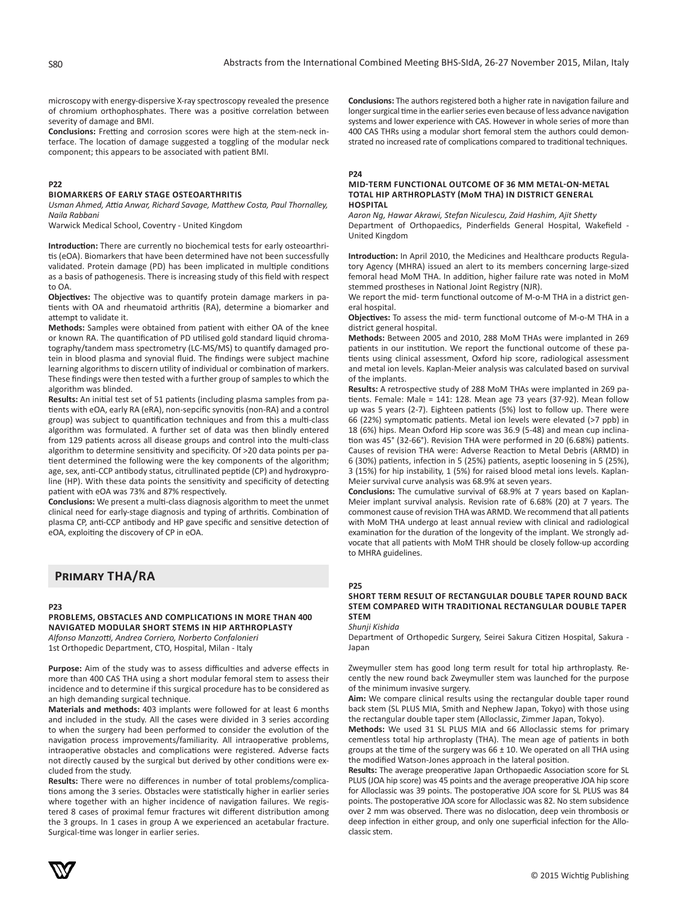microscopy with energy-dispersive X-ray spectroscopy revealed the presence of chromium orthophosphates. There was a positive correlation between severity of damage and BMI.

**Conclusions:** Fretting and corrosion scores were high at the stem-neck interface. The location of damage suggested a toggling of the modular neck component; this appears to be associated with patient BMI.

# **P22**

#### **BIOMARKERS OF EARLY STAGE OSTEOARTHRITIS**

*Usman Ahmed, Attia Anwar, Richard Savage, Matthew Costa, Paul Thornalley, Naila Rabbani*

Warwick Medical School, Coventry - United Kingdom

**Introduction:** There are currently no biochemical tests for early osteoarthritis (eOA). Biomarkers that have been determined have not been successfully validated. Protein damage (PD) has been implicated in multiple conditions as a basis of pathogenesis. There is increasing study of this field with respect to OA.

**Objectives:** The objective was to quantify protein damage markers in patients with OA and rheumatoid arthritis (RA), determine a biomarker and attempt to validate it.

**Methods:** Samples were obtained from patient with either OA of the knee or known RA. The quantification of PD utilised gold standard liquid chromatography/tandem mass spectrometry (LC-MS/MS) to quantify damaged protein in blood plasma and synovial fluid. The findings were subject machine learning algorithms to discern utility of individual or combination of markers. These findings were then tested with a further group of samples to which the algorithm was blinded.

**Results:** An initial test set of 51 patients (including plasma samples from patients with eOA, early RA (eRA), non-sepcific synovitis (non-RA) and a control group) was subject to quantification techniques and from this a multi-class algorithm was formulated. A further set of data was then blindly entered from 129 patients across all disease groups and control into the multi-class algorithm to determine sensitivity and specificity. Of >20 data points per patient determined the following were the key components of the algorithm; age, sex, anti-CCP antibody status, citrullinated peptide (CP) and hydroxyproline (HP). With these data points the sensitivity and specificity of detecting patient with eOA was 73% and 87% respectively.

**Conclusions:** We present a multi-class diagnosis algorithm to meet the unmet clinical need for early-stage diagnosis and typing of arthritis. Combination of plasma CP, anti-CCP antibody and HP gave specific and sensitive detection of eOA, exploiting the discovery of CP in eOA.

# **Primary THA/RA**

#### **P23**

**PROBLEMS, OBSTACLES AND COMPLICATIONS IN MORE THAN 400 NAVIGATED MODULAR SHORT STEMS IN HIP ARTHROPLASTY**

*Alfonso Manzotti, Andrea Corriero, Norberto Confalonieri* 1st Orthopedic Department, CTO, Hospital, Milan - Italy

Purpose: Aim of the study was to assess difficulties and adverse effects in more than 400 CAS THA using a short modular femoral stem to assess their incidence and to determine if this surgical procedure has to be considered as an high demanding surgical technique.

**Materials and methods:** 403 implants were followed for at least 6 months and included in the study. All the cases were divided in 3 series according to when the surgery had been performed to consider the evolution of the navigation process improvements/familiarity. All intraoperative problems, intraoperative obstacles and complications were registered. Adverse facts not directly caused by the surgical but derived by other conditions were excluded from the study.

**Results:** There were no differences in number of total problems/complications among the 3 series. Obstacles were statistically higher in earlier series where together with an higher incidence of navigation failures. We registered 8 cases of proximal femur fractures wit different distribution among the 3 groups. In 1 cases in group A we experienced an acetabular fracture. Surgical-time was longer in earlier series.

**Conclusions:** The authors registered both a higher rate in navigation failure and longer surgical time in the earlier series even because of less advance navigation systems and lower experience with CAS. However in whole series of more than 400 CAS THRs using a modular short femoral stem the authors could demonstrated no increased rate of complications compared to traditional techniques.

#### **P24**

#### **MID-TERM FUNCTIONAL OUTCOME OF 36 MM METAL-ON-METAL TOTAL HIP ARTHROPLASTY (MoM THA) IN DISTRICT GENERAL HOSPITAL**

*Aaron Ng, Hawar Akrawi, Stefan Niculescu, Zaid Hashim, Ajit Shetty* Department of Orthopaedics, Pinderfields General Hospital, Wakefield - United Kingdom

**Introduction:** In April 2010, the Medicines and Healthcare products Regulatory Agency (MHRA) issued an alert to its members concerning large-sized femoral head MoM THA. In addition, higher failure rate was noted in MoM stemmed prostheses in National Joint Registry (NJR).

We report the mid- term functional outcome of M-o-M THA in a district general hospital.

**Objectives:** To assess the mid- term functional outcome of M-o-M THA in a district general hospital.

**Methods:** Between 2005 and 2010, 288 MoM THAs were implanted in 269 patients in our institution. We report the functional outcome of these patients using clinical assessment, Oxford hip score, radiological assessment and metal ion levels. Kaplan-Meier analysis was calculated based on survival of the implants.

**Results:** A retrospective study of 288 MoM THAs were implanted in 269 patients. Female: Male = 141: 128. Mean age 73 years (37-92). Mean follow up was 5 years (2-7). Eighteen patients (5%) lost to follow up. There were 66 (22%) symptomatic patients. Metal ion levels were elevated (>7 ppb) in 18 (6%) hips. Mean Oxford Hip score was 36.9 (5-48) and mean cup inclination was 45° (32-66°). Revision THA were performed in 20 (6.68%) patients. Causes of revision THA were: Adverse Reaction to Metal Debris (ARMD) in 6 (30%) patients, infection in 5 (25%) patients, aseptic loosening in 5 (25%), 3 (15%) for hip instability, 1 (5%) for raised blood metal ions levels. Kaplan-Meier survival curve analysis was 68.9% at seven years.

**Conclusions:** The cumulative survival of 68.9% at 7 years based on Kaplan-Meier implant survival analysis. Revision rate of 6.68% (20) at 7 years. The commonest cause of revision THA was ARMD. We recommend that all patients with MoM THA undergo at least annual review with clinical and radiological examination for the duration of the longevity of the implant. We strongly advocate that all patients with MoM THR should be closely follow-up according to MHRA guidelines.

#### **P25**

#### **SHORT TERM RESULT OF RECTANGULAR DOUBLE TAPER ROUND BACK STEM COMPARED WITH TRADITIONAL RECTANGULAR DOUBLE TAPER STEM**

*Shunji Kishida*

Department of Orthopedic Surgery, Seirei Sakura Citizen Hospital, Sakura - Japan

Zweymuller stem has good long term result for total hip arthroplasty. Recently the new round back Zweymuller stem was launched for the purpose of the minimum invasive surgery.

**Aim:** We compare clinical results using the rectangular double taper round back stem (SL PLUS MIA, Smith and Nephew Japan, Tokyo) with those using the rectangular double taper stem (Alloclassic, Zimmer Japan, Tokyo).

**Methods:** We used 31 SL PLUS MIA and 66 Alloclassic stems for primary cementless total hip arthroplasty (THA). The mean age of patients in both groups at the time of the surgery was  $66 \pm 10$ . We operated on all THA using the modified Watson-Jones approach in the lateral position.

**Results:** The average preoperative Japan Orthopaedic Association score for SL PLUS (JOA hip score) was 45 points and the average preoperative JOA hip score for Alloclassic was 39 points. The postoperative JOA score for SL PLUS was 84 points. The postoperative JOA score for Alloclassic was 82. No stem subsidence over 2 mm was observed. There was no dislocation, deep vein thrombosis or deep infection in either group, and only one superficial infection for the Alloclassic stem.

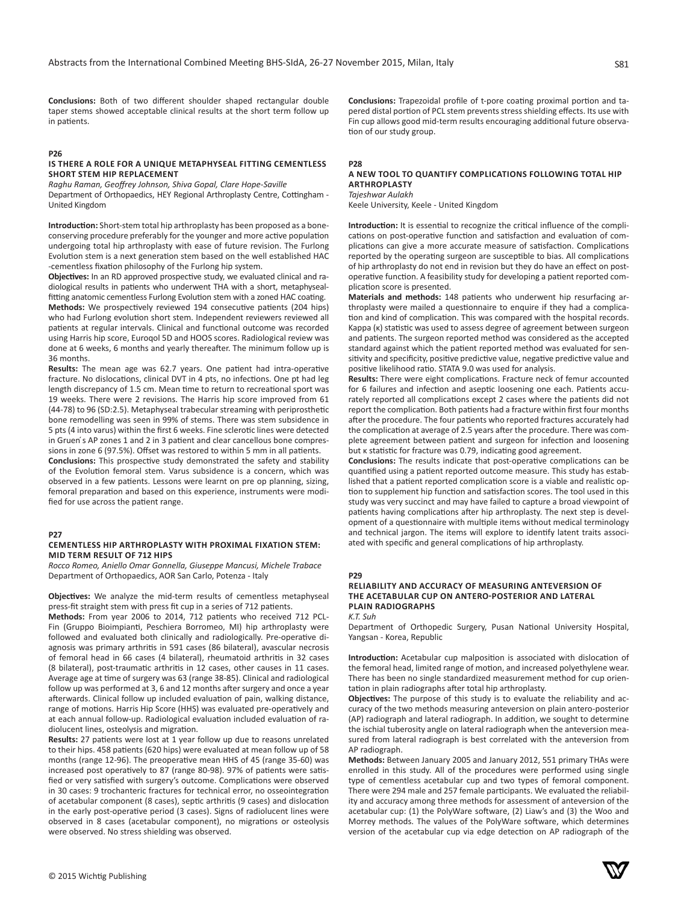**Conclusions:** Both of two different shoulder shaped rectangular double taper stems showed acceptable clinical results at the short term follow up in patients.

# **P26**

## **IS THERE A ROLE FOR A UNIQUE METAPHYSEAL FITTING CEMENTLESS SHORT STEM HIP REPLACEMENT**

*Raghu Raman, Geoffrey Johnson, Shiva Gopal, Clare Hope-Saville*

Department of Orthopaedics, HEY Regional Arthroplasty Centre, Cottingham - United Kingdom

**Introduction:** Short-stem total hip arthroplasty has been proposed as a boneconserving procedure preferably for the younger and more active population undergoing total hip arthroplasty with ease of future revision. The Furlong Evolution stem is a next generation stem based on the well established HAC -cementless fixation philosophy of the Furlong hip system.

**Objectives:** In an RD approved prospective study, we evaluated clinical and radiological results in patients who underwent THA with a short, metaphysealfitting anatomic cementless Furlong Evolution stem with a zoned HAC coating. **Methods:** We prospectively reviewed 194 consecutive patients (204 hips) who had Furlong evolution short stem. Independent reviewers reviewed all patients at regular intervals. Clinical and functional outcome was recorded using Harris hip score, Euroqol 5D and HOOS scores. Radiological review was done at 6 weeks, 6 months and yearly thereafter. The minimum follow up is 36 months.

**Results:** The mean age was 62.7 years. One patient had intra-operative fracture. No dislocations, clinical DVT in 4 pts, no infections. One pt had leg length discrepancy of 1.5 cm. Mean time to return to recreational sport was 19 weeks. There were 2 revisions. The Harris hip score improved from 61 (44-78) to 96 (SD:2.5). Metaphyseal trabecular streaming with periprosthetic bone remodelling was seen in 99% of stems. There was stem subsidence in 5 pts (4 into varus) within the first 6 weeks. Fine sclerotic lines were detected in Gruen's AP zones 1 and 2 in 3 patient and clear cancellous bone compressions in zone 6 (97.5%). Offset was restored to within 5 mm in all patients. **Conclusions:** This prospective study demonstrated the safety and stability of the Evolution femoral stem. Varus subsidence is a concern, which was observed in a few patients. Lessons were learnt on pre op planning, sizing, femoral preparation and based on this experience, instruments were modified for use across the patient range.

#### **P27**

## **CEMENTLESS HIP ARTHROPLASTY WITH PROXIMAL FIXATION STEM: MID TERM RESULT OF 712 HIPS**

*Rocco Romeo, Aniello Omar Gonnella, Giuseppe Mancusi, Michele Trabace* Department of Orthopaedics, AOR San Carlo, Potenza - Italy

**Objectives:** We analyze the mid-term results of cementless metaphyseal press-fit straight stem with press fit cup in a series of 712 patients.

**Methods:** From year 2006 to 2014, 712 patients who received 712 PCL-Fin (Gruppo Bioimpianti, Peschiera Borromeo, MI) hip arthroplasty were followed and evaluated both clinically and radiologically. Pre-operative diagnosis was primary arthritis in 591 cases (86 bilateral), avascular necrosis of femoral head in 66 cases (4 bilateral), rheumatoid arthritis in 32 cases (8 bilateral), post-traumatic arthritis in 12 cases, other causes in 11 cases. Average age at time of surgery was 63 (range 38-85). Clinical and radiological follow up was performed at 3, 6 and 12 months after surgery and once a year afterwards. Clinical follow up included evaluation of pain, walking distance, range of motions. Harris Hip Score (HHS) was evaluated pre-operatively and at each annual follow-up. Radiological evaluation included evaluation of radiolucent lines, osteolysis and migration.

**Results:** 27 patients were lost at 1 year follow up due to reasons unrelated to their hips. 458 patients (620 hips) were evaluated at mean follow up of 58 months (range 12-96). The preoperative mean HHS of 45 (range 35-60) was increased post operatively to 87 (range 80-98). 97% of patients were satisfied or very satisfied with surgery's outcome. Complications were observed in 30 cases: 9 trochanteric fractures for technical error, no osseointegration of acetabular component (8 cases), septic arthritis (9 cases) and dislocation in the early post-operative period (3 cases). Signs of radiolucent lines were observed in 8 cases (acetabular component), no migrations or osteolysis were observed. No stress shielding was observed.

**Conclusions:** Trapezoidal profile of t-pore coating proximal portion and tapered distal portion of PCL stem prevents stress shielding effects. Its use with Fin cup allows good mid-term results encouraging additional future observation of our study group.

#### **P28**

# **A NEW TOOL TO QUANTIFY COMPLICATIONS FOLLOWING TOTAL HIP ARTHROPLASTY**

*Tajeshwar Aulakh* Keele University, Keele - United Kingdom

**Introduction:** It is essential to recognize the critical influence of the complications on post-operative function and satisfaction and evaluation of complications can give a more accurate measure of satisfaction. Complications reported by the operating surgeon are susceptible to bias. All complications of hip arthroplasty do not end in revision but they do have an effect on postoperative function. A feasibility study for developing a patient reported complication score is presented.

**Materials and methods:** 148 patients who underwent hip resurfacing arthroplasty were mailed a questionnaire to enquire if they had a complication and kind of complication. This was compared with the hospital records. Kappa (κ) statistic was used to assess degree of agreement between surgeon and patients. The surgeon reported method was considered as the accepted standard against which the patient reported method was evaluated for sensitivity and specificity, positive predictive value, negative predictive value and positive likelihood ratio. STATA 9.0 was used for analysis.

**Results:** There were eight complications. Fracture neck of femur accounted for 6 failures and infection and aseptic loosening one each. Patients accurately reported all complications except 2 cases where the patients did not report the complication. Both patients had a fracture within first four months after the procedure. The four patients who reported fractures accurately had the complication at average of 2.5 years after the procedure. There was complete agreement between patient and surgeon for infection and loosening but κ statistic for fracture was 0.79, indicating good agreement.

**Conclusions:** The results indicate that post-operative complications can be quantified using a patient reported outcome measure. This study has established that a patient reported complication score is a viable and realistic option to supplement hip function and satisfaction scores. The tool used in this study was very succinct and may have failed to capture a broad viewpoint of patients having complications after hip arthroplasty. The next step is development of a questionnaire with multiple items without medical terminology and technical jargon. The items will explore to identify latent traits associated with specific and general complications of hip arthroplasty.

# **P29**

# **RELIABILITY AND ACCURACY OF MEASURING ANTEVERSION OF THE ACETABULAR CUP ON ANTERO-POSTERIOR AND LATERAL PLAIN RADIOGRAPHS**

*K.T. Suh*

Department of Orthopedic Surgery, Pusan National University Hospital, Yangsan - Korea, Republic

**Introduction:** Acetabular cup malposition is associated with dislocation of the femoral head, limited range of motion, and increased polyethylene wear. There has been no single standardized measurement method for cup orientation in plain radiographs after total hip arthroplasty.

**Objectives:** The purpose of this study is to evaluate the reliability and accuracy of the two methods measuring anteversion on plain antero-posterior (AP) radiograph and lateral radiograph. In addition, we sought to determine the ischial tuberosity angle on lateral radiograph when the anteversion measured from lateral radiograph is best correlated with the anteversion from AP radiograph.

**Methods:** Between January 2005 and January 2012, 551 primary THAs were enrolled in this study. All of the procedures were performed using single type of cementless acetabular cup and two types of femoral component. There were 294 male and 257 female participants. We evaluated the reliability and accuracy among three methods for assessment of anteversion of the acetabular cup: (1) the PolyWare software, (2) Liaw's and (3) the Woo and Morrey methods. The values of the PolyWare software, which determines version of the acetabular cup via edge detection on AP radiograph of the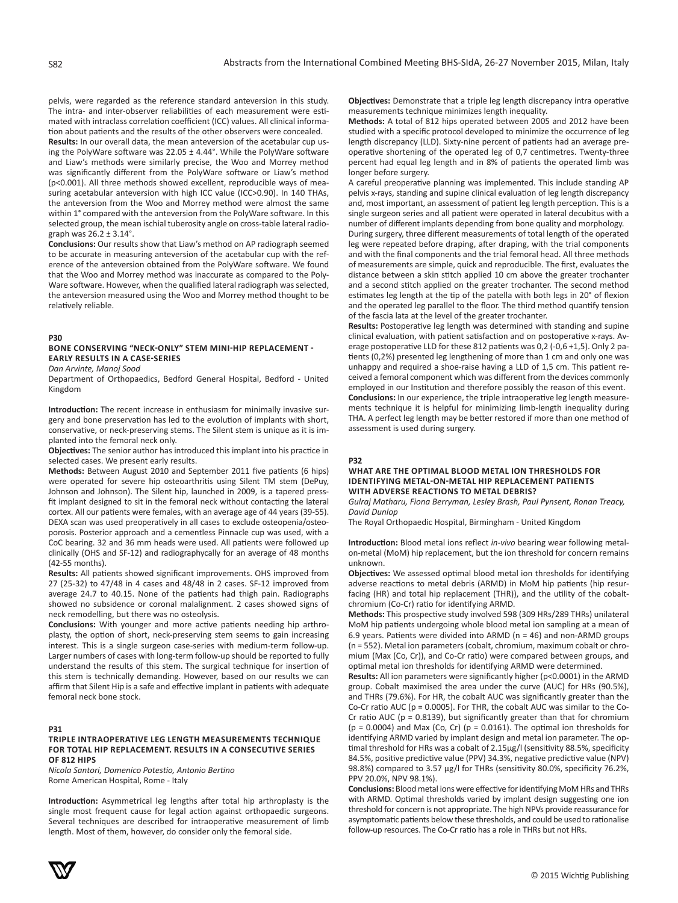pelvis, were regarded as the reference standard anteversion in this study. The intra- and inter-observer reliabilities of each measurement were estimated with intraclass correlation coefficient (ICC) values. All clinical information about patients and the results of the other observers were concealed.

**Results:** In our overall data, the mean anteversion of the acetabular cup using the PolyWare software was 22.05 ± 4.44°. While the PolyWare software and Liaw's methods were similarly precise, the Woo and Morrey method was significantly different from the PolyWare software or Liaw's method (p<0.001). All three methods showed excellent, reproducible ways of measuring acetabular anteversion with high ICC value (ICC>0.90). In 140 THAs, the anteversion from the Woo and Morrey method were almost the same within 1° compared with the anteversion from the PolyWare software. In this selected group, the mean ischial tuberosity angle on cross-table lateral radiograph was 26.2 ± 3.14°.

**Conclusions:** Our results show that Liaw's method on AP radiograph seemed to be accurate in measuring anteversion of the acetabular cup with the reference of the anteversion obtained from the PolyWare software. We found that the Woo and Morrey method was inaccurate as compared to the Poly-Ware software. However, when the qualified lateral radiograph was selected, the anteversion measured using the Woo and Morrey method thought to be relatively reliable.

# **P30**

# **BONE CONSERVING "NECK-ONLY" STEM MINI-HIP REPLACEMENT - EARLY RESULTS IN A CASE-SERIES**

*Dan Arvinte, Manoj Sood*

Department of Orthopaedics, Bedford General Hospital, Bedford - United Kingdom

**Introduction:** The recent increase in enthusiasm for minimally invasive surgery and bone preservation has led to the evolution of implants with short, conservative, or neck-preserving stems. The Silent stem is unique as it is implanted into the femoral neck only.

**Objectives:** The senior author has introduced this implant into his practice in selected cases. We present early results.

**Methods:** Between August 2010 and September 2011 five patients (6 hips) were operated for severe hip osteoarthritis using Silent TM stem (DePuy, Johnson and Johnson). The Silent hip, launched in 2009, is a tapered pressfit implant designed to sit in the femoral neck without contacting the lateral cortex. All our patients were females, with an average age of 44 years (39-55). DEXA scan was used preoperatively in all cases to exclude osteopenia/osteoporosis. Posterior approach and a cementless Pinnacle cup was used, with a CoC bearing. 32 and 36 mm heads were used. All patients were followed up clinically (OHS and SF-12) and radiographycally for an average of 48 months (42-55 months).

**Results:** All patients showed significant improvements. OHS improved from 27 (25-32) to 47/48 in 4 cases and 48/48 in 2 cases. SF-12 improved from average 24.7 to 40.15. None of the patients had thigh pain. Radiographs showed no subsidence or coronal malalignment. 2 cases showed signs of neck remodelling, but there was no osteolysis.

**Conclusions:** With younger and more active patients needing hip arthroplasty, the option of short, neck-preserving stem seems to gain increasing interest. This is a single surgeon case-series with medium-term follow-up. Larger numbers of cases with long-term follow-up should be reported to fully understand the results of this stem. The surgical technique for insertion of this stem is technically demanding. However, based on our results we can affirm that Silent Hip is a safe and effective implant in patients with adequate femoral neck bone stock.

## **P31**

#### **TRIPLE INTRAOPERATIVE LEG LENGTH MEASUREMENTS TECHNIQUE FOR TOTAL HIP REPLACEMENT. RESULTS IN A CONSECUTIVE SERIES OF 812 HIPS**

*Nicola Santori, Domenico Potestio, Antonio Bertino* Rome American Hospital, Rome - Italy

**Introduction:** Asymmetrical leg lengths after total hip arthroplasty is the single most frequent cause for legal action against orthopaedic surgeons. Several techniques are described for intraoperative measurement of limb length. Most of them, however, do consider only the femoral side.

**Objectives:** Demonstrate that a triple leg length discrepancy intra operative measurements technique minimizes length inequality.

**Methods:** A total of 812 hips operated between 2005 and 2012 have been studied with a specific protocol developed to minimize the occurrence of leg length discrepancy (LLD). Sixty-nine percent of patients had an average preoperative shortening of the operated leg of 0,7 centimetres. Twenty-three percent had equal leg length and in 8% of patients the operated limb was longer before surgery.

A careful preoperative planning was implemented. This include standing AP pelvis x-rays, standing and supine clinical evaluation of leg length discrepancy and, most important, an assessment of patient leg length perception. This is a single surgeon series and all patient were operated in lateral decubitus with a number of different implants depending from bone quality and morphology. During surgery, three different measurements of total length of the operated leg were repeated before draping, after draping, with the trial components and with the final components and the trial femoral head. All three methods of measurements are simple, quick and reproducible. The first, evaluates the distance between a skin stitch applied 10 cm above the greater trochanter and a second stitch applied on the greater trochanter. The second method estimates leg length at the tip of the patella with both legs in 20° of flexion and the operated leg parallel to the floor. The third method quantify tension

of the fascia lata at the level of the greater trochanter. **Results:** Postoperative leg length was determined with standing and supine clinical evaluation, with patient satisfaction and on postoperative x-rays. Average postoperative LLD for these 812 patients was 0,2 (-0,6 +1,5). Only 2 patients (0,2%) presented leg lengthening of more than 1 cm and only one was unhappy and required a shoe-raise having a LLD of 1,5 cm. This patient received a femoral component which was different from the devices commonly employed in our Institution and therefore possibly the reason of this event. **Conclusions:** In our experience, the triple intraoperative leg length measurements technique it is helpful for minimizing limb-length inequality during THA. A perfect leg length may be better restored if more than one method of assessment is used during surgery.

#### **P32**

# **WHAT ARE THE OPTIMAL BLOOD METAL ION THRESHOLDS FOR IDENTIFYING METAL-ON-METAL HIP REPLACEMENT PATIENTS WITH ADVERSE REACTIONS TO METAL DEBRIS?**

*Gulraj Matharu, Fiona Berryman, Lesley Brash, Paul Pynsent, Ronan Treacy, David Dunlop*

The Royal Orthopaedic Hospital, Birmingham - United Kingdom

**Introduction:** Blood metal ions reflect *in-vivo* bearing wear following metalon-metal (MoM) hip replacement, but the ion threshold for concern remains unknown.

**Objectives:** We assessed optimal blood metal ion thresholds for identifying adverse reactions to metal debris (ARMD) in MoM hip patients (hip resurfacing (HR) and total hip replacement (THR)), and the utility of the cobaltchromium (Co-Cr) ratio for identifying ARMD.

**Methods:** This prospective study involved 598 (309 HRs/289 THRs) unilateral MoM hip patients undergoing whole blood metal ion sampling at a mean of 6.9 years. Patients were divided into ARMD (n = 46) and non-ARMD groups (n = 552). Metal ion parameters (cobalt, chromium, maximum cobalt or chromium (Max (Co, Cr)), and Co-Cr ratio) were compared between groups, and optimal metal ion thresholds for identifying ARMD were determined.

**Results:** All ion parameters were significantly higher (p<0.0001) in the ARMD group. Cobalt maximised the area under the curve (AUC) for HRs (90.5%), and THRs (79.6%). For HR, the cobalt AUC was significantly greater than the Co-Cr ratio AUC ( $p = 0.0005$ ). For THR, the cobalt AUC was similar to the Co-Cr ratio AUC ( $p = 0.8139$ ), but significantly greater than that for chromium ( $p = 0.0004$ ) and Max (Co, Cr) ( $p = 0.0161$ ). The optimal ion thresholds for identifying ARMD varied by implant design and metal ion parameter. The optimal threshold for HRs was a cobalt of 2.15µg/l (sensitivity 88.5%, specificity 84.5%, positive predictive value (PPV) 34.3%, negative predictive value (NPV) 98.8%) compared to 3.57 µg/l for THRs (sensitivity 80.0%, specificity 76.2%, PPV 20.0%, NPV 98.1%).

**Conclusions:** Blood metal ions were effective for identifying MoM HRs and THRs with ARMD. Optimal thresholds varied by implant design suggesting one ion threshold for concern is not appropriate. The high NPVs provide reassurance for asymptomatic patients below these thresholds, and could be used to rationalise follow-up resources. The Co-Cr ratio has a role in THRs but not HRs.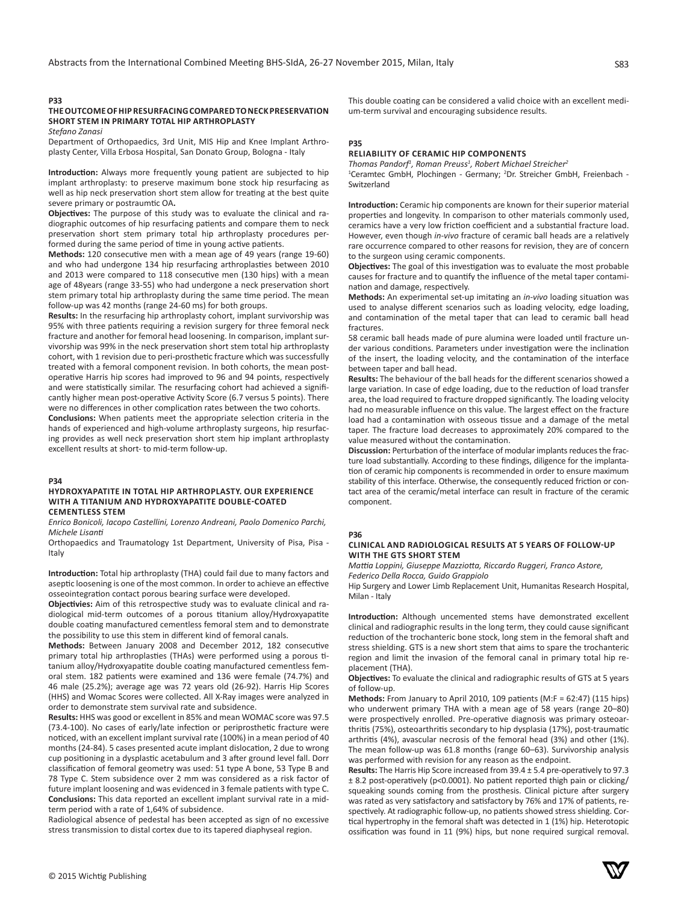# **P33**

# **THE OUTCOME OF HIP RESURFACING COMPARED TO NECK PRESERVATION SHORT STEM IN PRIMARY TOTAL HIP ARTHROPLASTY**

*Stefano Zanasi*

Department of Orthopaedics, 3rd Unit, MIS Hip and Knee Implant Arthroplasty Center, Villa Erbosa Hospital, San Donato Group, Bologna - Italy

**Introduction:** Always more frequently young patient are subjected to hip implant arthroplasty: to preserve maximum bone stock hip resurfacing as well as hip neck preservation short stem allow for treating at the best quite severe primary or postraumtic OA**.**

**Objectives:** The purpose of this study was to evaluate the clinical and radiographic outcomes of hip resurfacing patients and compare them to neck preservation short stem primary total hip arthroplasty procedures performed during the same period of time in young active patients.

**Methods:** 120 consecutive men with a mean age of 49 years (range 19-60) and who had undergone 134 hip resurfacing arthroplasties between 2010 and 2013 were compared to 118 consecutive men (130 hips) with a mean age of 48years (range 33-55) who had undergone a neck preservation short stem primary total hip arthroplasty during the same time period. The mean follow-up was 42 months (range 24-60 ms) for both groups.

**Results:** In the resurfacing hip arthroplasty cohort, implant survivorship was 95% with three patients requiring a revision surgery for three femoral neck fracture and another for femoral head loosening. In comparison, implant survivorship was 99% in the neck preservation short stem total hip arthroplasty cohort, with 1 revision due to peri-prosthetic fracture which was successfully treated with a femoral component revision. In both cohorts, the mean postoperative Harris hip scores had improved to 96 and 94 points, respectively and were statistically similar. The resurfacing cohort had achieved a significantly higher mean post-operative Activity Score (6.7 versus 5 points). There were no differences in other complication rates between the two cohorts.

**Conclusions:** When patients meet the appropriate selection criteria in the hands of experienced and high-volume arthroplasty surgeons, hip resurfacing provides as well neck preservation short stem hip implant arthroplasty excellent results at short- to mid-term follow-up.

#### **P34**

## **HYDROXYAPATITE IN TOTAL HIP ARTHROPLASTY. OUR EXPERIENCE WITH A TITANIUM AND HYDROXYAPATITE DOUBLE-COATED CEMENTLESS STEM**

*Enrico Bonicoli, Iacopo Castellini, Lorenzo Andreani, Paolo Domenico Parchi, Michele Lisanti*

Orthopaedics and Traumatology 1st Department, University of Pisa, Pisa - Italy

**Introduction:** Total hip arthroplasty (THA) could fail due to many factors and aseptic loosening is one of the most common. In order to achieve an effective osseointegration contact porous bearing surface were developed.

**Objectivies:** Aim of this retrospective study was to evaluate clinical and radiological mid-term outcomes of a porous titanium alloy/Hydroxyapatite double coating manufactured cementless femoral stem and to demonstrate the possibility to use this stem in different kind of femoral canals.

**Methods:** Between January 2008 and December 2012, 182 consecutive primary total hip arthroplasties (THAs) were performed using a porous titanium alloy/Hydroxyapatite double coating manufactured cementless femoral stem. 182 patients were examined and 136 were female (74.7%) and 46 male (25.2%); average age was 72 years old (26-92). Harris Hip Scores (HHS) and Womac Scores were collected. All X-Ray images were analyzed in order to demonstrate stem survival rate and subsidence.

**Results:** HHS was good or excellent in 85% and mean WOMAC score was 97.5 (73.4-100). No cases of early/late infection or periprosthetic fracture were noticed, with an excellent implant survival rate (100%) in a mean period of 40 months (24-84). 5 cases presented acute implant dislocation, 2 due to wrong cup positioning in a dysplastic acetabulum and 3 after ground level fall. Dorr classification of femoral geometry was used: 51 type A bone, 53 Type B and 78 Type C. Stem subsidence over 2 mm was considered as a risk factor of future implant loosening and was evidenced in 3 female patients with type C. **Conclusions:** This data reported an excellent implant survival rate in a midterm period with a rate of 1,64% of subsidence.

Radiological absence of pedestal has been accepted as sign of no excessive stress transmission to distal cortex due to its tapered diaphyseal region.

This double coating can be considered a valid choice with an excellent medium-term survival and encouraging subsidence results.

#### **P35**

# **RELIABILITY OF CERAMIC HIP COMPONENTS**

*Thomas Pandorf<sup>1</sup> , Roman Preuss<sup>1</sup> , Robert Michael Streicher<sup>2</sup>*

<sup>1</sup>Ceramtec GmbH, Plochingen - Germany; <sup>2</sup>Dr. Streicher GmbH, Freienbach -Switzerland

**Introduction:** Ceramic hip components are known for their superior material properties and longevity. In comparison to other materials commonly used, ceramics have a very low friction coefficient and a substantial fracture load. However, even though *in-vivo* fracture of ceramic ball heads are a relatively rare occurrence compared to other reasons for revision, they are of concern to the surgeon using ceramic components.

**Objectives:** The goal of this investigation was to evaluate the most probable causes for fracture and to quantify the influence of the metal taper contamination and damage, respectively.

**Methods:** An experimental set-up imitating an *in-vivo* loading situation was used to analyse different scenarios such as loading velocity, edge loading, and contamination of the metal taper that can lead to ceramic ball head fractures.

58 ceramic ball heads made of pure alumina were loaded until fracture under various conditions. Parameters under investigation were the inclination of the insert, the loading velocity, and the contamination of the interface between taper and ball head.

**Results:** The behaviour of the ball heads for the different scenarios showed a large variation. In case of edge loading, due to the reduction of load transfer area, the load required to fracture dropped significantly. The loading velocity had no measurable influence on this value. The largest effect on the fracture load had a contamination with osseous tissue and a damage of the metal taper. The fracture load decreases to approximately 20% compared to the value measured without the contamination.

**Discussion:** Perturbation of the interface of modular implants reduces the fracture load substantially. According to these findings, diligence for the implantation of ceramic hip components is recommended in order to ensure maximum stability of this interface. Otherwise, the consequently reduced friction or contact area of the ceramic/metal interface can result in fracture of the ceramic component.

# **P36**

# **CLINICAL AND RADIOLOGICAL RESULTS AT 5 YEARS OF FOLLOW-UP WITH THE GTS SHORT STEM**

*Mattia Loppini, Giuseppe Mazziotta, Riccardo Ruggeri, Franco Astore, Federico Della Rocca, Guido Grappiolo*

Hip Surgery and Lower Limb Replacement Unit, Humanitas Research Hospital, Milan - Italy

**Introduction:** Although uncemented stems have demonstrated excellent clinical and radiographic results in the long term, they could cause significant reduction of the trochanteric bone stock, long stem in the femoral shaft and stress shielding. GTS is a new short stem that aims to spare the trochanteric region and limit the invasion of the femoral canal in primary total hip replacement (THA).

**Objectives:** To evaluate the clinical and radiographic results of GTS at 5 years of follow-up.

**Methods:** From January to April 2010, 109 patients (M:F = 62:47) (115 hips) who underwent primary THA with a mean age of 58 years (range 20–80) were prospectively enrolled. Pre-operative diagnosis was primary osteoarthritis (75%), osteoarthritis secondary to hip dysplasia (17%), post-traumatic arthritis (4%), avascular necrosis of the femoral head (3%) and other (1%). The mean follow-up was 61.8 months (range 60–63). Survivorship analysis was performed with revision for any reason as the endpoint.

**Results:** The Harris Hip Score increased from 39.4 ± 5.4 pre-operatively to 97.3 ± 8.2 post-operatively (p<0.0001). No patient reported thigh pain or clicking/ squeaking sounds coming from the prosthesis. Clinical picture after surgery was rated as very satisfactory and satisfactory by 76% and 17% of patients, respectively. At radiographic follow-up, no patients showed stress shielding. Cortical hypertrophy in the femoral shaft was detected in 1 (1%) hip. Heterotopic ossification was found in 11 (9%) hips, but none required surgical removal.

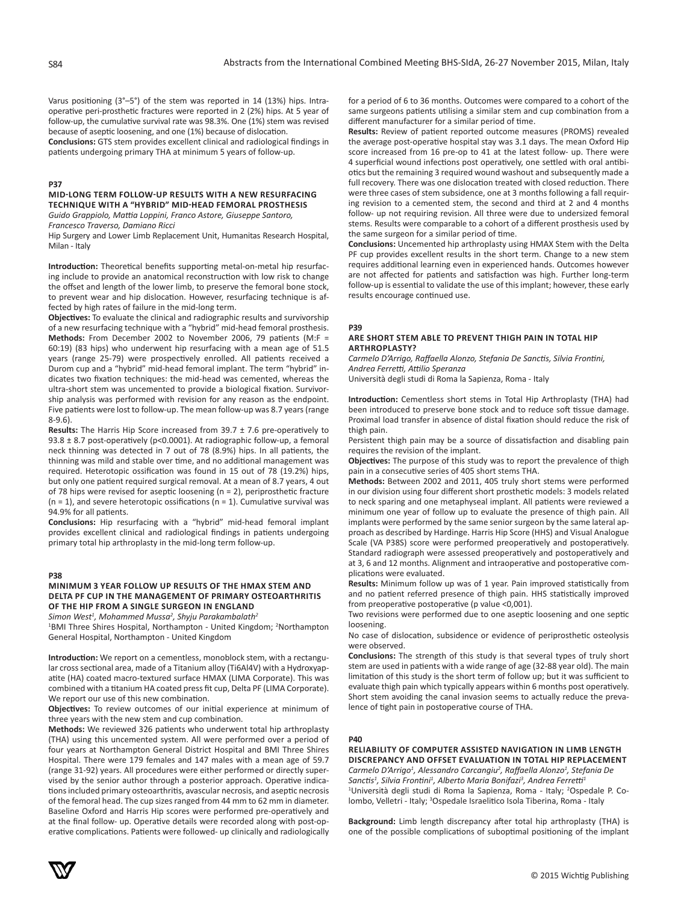Varus positioning (3°–5°) of the stem was reported in 14 (13%) hips. Intraoperative peri-prosthetic fractures were reported in 2 (2%) hips. At 5 year of follow-up, the cumulative survival rate was 98.3%. One (1%) stem was revised because of aseptic loosening, and one (1%) because of dislocation.

**Conclusions:** GTS stem provides excellent clinical and radiological findings in patients undergoing primary THA at minimum 5 years of follow-up.

# **P37**

**MID-LONG TERM FOLLOW-UP RESULTS WITH A NEW RESURFACING TECHNIQUE WITH A "HYBRID" MID-HEAD FEMORAL PROSTHESIS**

*Guido Grappiolo, Mattia Loppini, Franco Astore, Giuseppe Santoro, Francesco Traverso, Damiano Ricci*

Hip Surgery and Lower Limb Replacement Unit, Humanitas Research Hospital, Milan - Italy

**Introduction:** Theoretical benefits supporting metal-on-metal hip resurfacing include to provide an anatomical reconstruction with low risk to change the offset and length of the lower limb, to preserve the femoral bone stock, to prevent wear and hip dislocation. However, resurfacing technique is affected by high rates of failure in the mid-long term.

**Objectives:** To evaluate the clinical and radiographic results and survivorship of a new resurfacing technique with a "hybrid" mid-head femoral prosthesis. **Methods:** From December 2002 to November 2006, 79 patients (M:F = 60:19) (83 hips) who underwent hip resurfacing with a mean age of 51.5 years (range 25-79) were prospectively enrolled. All patients received a Durom cup and a "hybrid" mid-head femoral implant. The term "hybrid" indicates two fixation techniques: the mid-head was cemented, whereas the ultra-short stem was uncemented to provide a biological fixation. Survivorship analysis was performed with revision for any reason as the endpoint. Five patients were lost to follow-up. The mean follow-up was 8.7 years (range 8-9.6).

**Results:** The Harris Hip Score increased from 39.7 ± 7.6 pre-operatively to 93.8 ± 8.7 post-operatively (p<0.0001). At radiographic follow-up, a femoral neck thinning was detected in 7 out of 78 (8.9%) hips. In all patients, the thinning was mild and stable over time, and no additional management was required. Heterotopic ossification was found in 15 out of 78 (19.2%) hips, but only one patient required surgical removal. At a mean of 8.7 years, 4 out of 78 hips were revised for aseptic loosening (n = 2), periprosthetic fracture  $(n = 1)$ , and severe heterotopic ossifications  $(n = 1)$ . Cumulative survival was 94.9% for all patients.

**Conclusions:** Hip resurfacing with a "hybrid" mid-head femoral implant provides excellent clinical and radiological findings in patients undergoing primary total hip arthroplasty in the mid-long term follow-up.

#### **P38**

# **MINIMUM 3 YEAR FOLLOW UP RESULTS OF THE HMAX STEM AND DELTA PF CUP IN THE MANAGEMENT OF PRIMARY OSTEOARTHRITIS OF THE HIP FROM A SINGLE SURGEON IN ENGLAND**

*Simon West<sup>1</sup> , Mohammed Mussa<sup>2</sup> , Shyju Parakambalath<sup>2</sup>*

1 BMI Three Shires Hospital, Northampton - United Kingdom; <sup>2</sup> Northampton General Hospital, Northampton - United Kingdom

**Introduction:** We report on a cementless, monoblock stem, with a rectangular cross sectional area, made of a Titanium alloy (Ti6Al4V) with a Hydroxyapatite (HA) coated macro-textured surface HMAX (LIMA Corporate). This was combined with a titanium HA coated press fit cup, Delta PF (LIMA Corporate). We report our use of this new combination.

**Objectives:** To review outcomes of our initial experience at minimum of three years with the new stem and cup combination.

**Methods:** We reviewed 326 patients who underwent total hip arthroplasty (THA) using this uncemented system. All were performed over a period of four years at Northampton General District Hospital and BMI Three Shires Hospital. There were 179 females and 147 males with a mean age of 59.7 (range 31-92) years. All procedures were either performed or directly supervised by the senior author through a posterior approach. Operative indications included primary osteoarthritis, avascular necrosis, and aseptic necrosis of the femoral head. The cup sizes ranged from 44 mm to 62 mm in diameter. Baseline Oxford and Harris Hip scores were performed pre-operatively and at the final follow- up. Operative details were recorded along with post-operative complications. Patients were followed- up clinically and radiologically for a period of 6 to 36 months. Outcomes were compared to a cohort of the same surgeons patients utilising a similar stem and cup combination from a different manufacturer for a similar period of time.

**Results:** Review of patient reported outcome measures (PROMS) revealed the average post-operative hospital stay was 3.1 days. The mean Oxford Hip score increased from 16 pre-op to 41 at the latest follow- up. There were 4 superficial wound infections post operatively, one settled with oral antibiotics but the remaining 3 required wound washout and subsequently made a full recovery. There was one dislocation treated with closed reduction. There were three cases of stem subsidence, one at 3 months following a fall requiring revision to a cemented stem, the second and third at 2 and 4 months follow- up not requiring revision. All three were due to undersized femoral stems. Results were comparable to a cohort of a different prosthesis used by the same surgeon for a similar period of time.

**Conclusions:** Uncemented hip arthroplasty using HMAX Stem with the Delta PF cup provides excellent results in the short term. Change to a new stem requires additional learning even in experienced hands. Outcomes however are not affected for patients and satisfaction was high. Further long-term follow-up is essential to validate the use of this implant; however, these early results encourage continued use.

#### **P39**

#### **ARE SHORT STEM ABLE TO PREVENT THIGH PAIN IN TOTAL HIP ARTHROPLASTY?**

*Carmelo D'Arrigo, Raffaella Alonzo, Stefania De Sanctis, Silvia Frontini, Andrea Ferretti, Attilio Speranza*

Università degli studi di Roma la Sapienza, Roma - Italy

**Introduction:** Cementless short stems in Total Hip Arthroplasty (THA) had been introduced to preserve bone stock and to reduce soft tissue damage. Proximal load transfer in absence of distal fixation should reduce the risk of thigh pain.

Persistent thigh pain may be a source of dissatisfaction and disabling pain requires the revision of the implant.

**Objectives:** The purpose of this study was to report the prevalence of thigh pain in a consecutive series of 405 short stems THA.

**Methods:** Between 2002 and 2011, 405 truly short stems were performed in our division using four different short prosthetic models: 3 models related to neck sparing and one metaphyseal implant. All patients were reviewed a minimum one year of follow up to evaluate the presence of thigh pain. All implants were performed by the same senior surgeon by the same lateral approach as described by Hardinge. Harris Hip Score (HHS) and Visual Analogue Scale (VA P38S) score were performed preoperatively and postoperatively. Standard radiograph were assessed preoperatively and postoperatively and at 3, 6 and 12 months. Alignment and intraoperative and postoperative complications were evaluated.

**Results:** Minimum follow up was of 1 year. Pain improved statistically from and no patient referred presence of thigh pain. HHS statistically improved from preoperative postoperative (p value <0,001).

Two revisions were performed due to one aseptic loosening and one septic loosening.

No case of dislocation, subsidence or evidence of periprosthetic osteolysis were observed.

**Conclusions:** The strength of this study is that several types of truly short stem are used in patients with a wide range of age (32-88 year old). The main limitation of this study is the short term of follow up; but it was sufficient to evaluate thigh pain which typically appears within 6 months post operatively. Short stem avoiding the canal invasion seems to actually reduce the prevalence of tight pain in postoperative course of THA.

## **P40**

#### **RELIABILITY OF COMPUTER ASSISTED NAVIGATION IN LIMB LENGTH DISCREPANCY AND OFFSET EVALUATION IN TOTAL HIP REPLACEMENT**

*Carmelo D'Arrigo1 , Alessandro Carcangiu<sup>2</sup> , Raffaella Alonzo<sup>1</sup> , Stefania De*  Sanctis<sup>1</sup>, Silvia Frontini<sup>1</sup>, Alberto Maria Bonifazi<sup>3</sup>, Andrea Ferretti<sup>1</sup> <sup>1</sup>Università degli studi di Roma la Sapienza, Roma - Italy; <sup>2</sup>Ospedale P. Colombo, Velletri - Italy; <sup>3</sup>Ospedale Israelitico Isola Tiberina, Roma - Italy

**Background:** Limb length discrepancy after total hip arthroplasty (THA) is one of the possible complications of suboptimal positioning of the implant

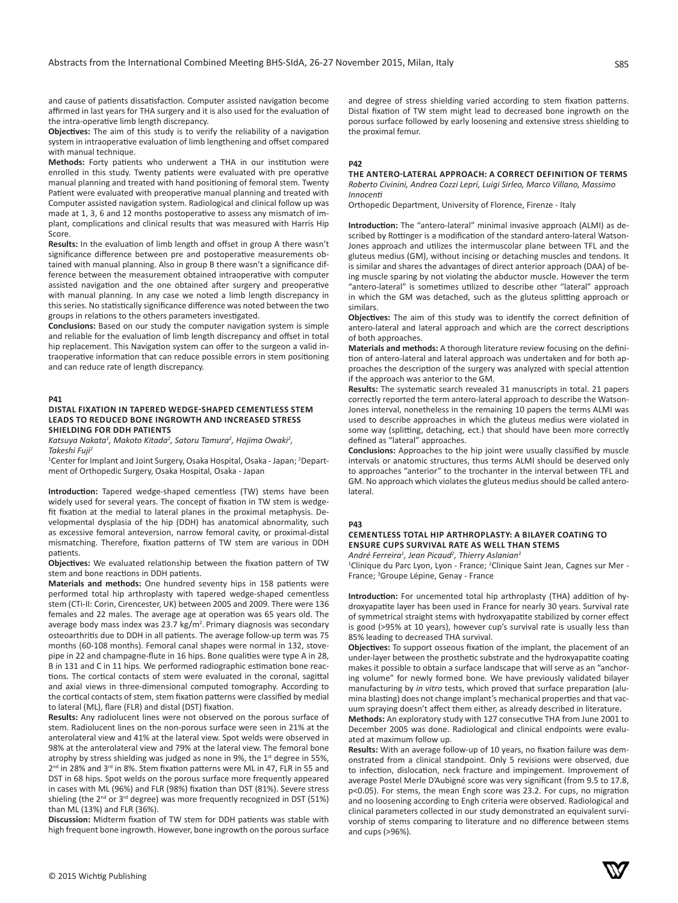and cause of patients dissatisfaction. Computer assisted navigation become affirmed in last years for THA surgery and it is also used for the evaluation of the intra-operative limb length discrepancy.

**Objectives:** The aim of this study is to verify the reliability of a navigation system in intraoperative evaluation of limb lengthening and offset compared with manual technique.

**Methods:** Forty patients who underwent a THA in our institution were enrolled in this study. Twenty patients were evaluated with pre operative manual planning and treated with hand positioning of femoral stem. Twenty Patient were evaluated with preoperative manual planning and treated with Computer assisted navigation system. Radiological and clinical follow up was made at 1, 3, 6 and 12 months postoperative to assess any mismatch of implant, complications and clinical results that was measured with Harris Hip **Score** 

**Results:** In the evaluation of limb length and offset in group A there wasn't significance difference between pre and postoperative measurements obtained with manual planning. Also in group B there wasn't a significance difference between the measurement obtained intraoperative with computer assisted navigation and the one obtained after surgery and preoperative with manual planning. In any case we noted a limb length discrepancy in this series. No statistically significance difference was noted between the two groups in relations to the others parameters investigated.

**Conclusions:** Based on our study the computer navigation system is simple and reliable for the evaluation of limb length discrepancy and offset in total hip replacement. This Navigation system can offer to the surgeon a valid intraoperative information that can reduce possible errors in stem positioning and can reduce rate of length discrepancy.

#### **P41**

## **DISTAL FIXATION IN TAPERED WEDGE-SHAPED CEMENTLESS STEM LEADS TO REDUCED BONE INGROWTH AND INCREASED STRESS SHIELDING FOR DDH PATIENTS**

*Katsuya Nakata<sup>1</sup> , Makoto Kitada<sup>2</sup> , Satoru Tamura<sup>2</sup> , Hajima Owaki<sup>2</sup> , Takeshi Fuji<sup>2</sup>*

<sup>1</sup>Center for Implant and Joint Surgery, Osaka Hospital, Osaka - Japan; <sup>2</sup>Department of Orthopedic Surgery, Osaka Hospital, Osaka - Japan

**Introduction:** Tapered wedge-shaped cementless (TW) stems have been widely used for several years. The concept of fixation in TW stem is wedgefit fixation at the medial to lateral planes in the proximal metaphysis. Developmental dysplasia of the hip (DDH) has anatomical abnormality, such as excessive femoral anteversion, narrow femoral cavity, or proximal-distal mismatching. Therefore, fixation patterns of TW stem are various in DDH patients.

**Objectives:** We evaluated relationship between the fixation pattern of TW stem and bone reactions in DDH patients.

**Materials and methods:** One hundred seventy hips in 158 patients were performed total hip arthroplasty with tapered wedge-shaped cementless stem (CTi-II: Corin, Cirencester, UK) between 2005 and 2009. There were 136 females and 22 males. The average age at operation was 65 years old. The average body mass index was 23.7 kg/m<sup>2</sup>. Primary diagnosis was secondary osteoarthritis due to DDH in all patients. The average follow-up term was 75 months (60-108 months). Femoral canal shapes were normal in 132, stovepipe in 22 and champagne-flute in 16 hips. Bone qualities were type A in 28, B in 131 and C in 11 hips. We performed radiographic estimation bone reactions. The cortical contacts of stem were evaluated in the coronal, sagittal and axial views in three-dimensional computed tomography. According to the cortical contacts of stem, stem fixation patterns were classified by medial to lateral (ML), flare (FLR) and distal (DST) fixation.

**Results:** Any radiolucent lines were not observed on the porous surface of stem. Radiolucent lines on the non-porous surface were seen in 21% at the anterolateral view and 41% at the lateral view. Spot welds were observed in 98% at the anterolateral view and 79% at the lateral view. The femoral bone atrophy by stress shielding was judged as none in 9%, the  $1<sup>st</sup>$  degree in 55%, 2<sup>nd</sup> in 28% and 3<sup>rd</sup> in 8%. Stem fixation patterns were ML in 47, FLR in 55 and DST in 68 hips. Spot welds on the porous surface more frequently appeared in cases with ML (96%) and FLR (98%) fixation than DST (81%). Severe stress shieling (the  $2^{nd}$  or  $3^{rd}$  degree) was more frequently recognized in DST (51%) than ML (13%) and FLR (36%).

**Discussion:** Midterm fixation of TW stem for DDH patients was stable with high frequent bone ingrowth. However, bone ingrowth on the porous surface and degree of stress shielding varied according to stem fixation patterns. Distal fixation of TW stem might lead to decreased bone ingrowth on the porous surface followed by early loosening and extensive stress shielding to the proximal femur.

#### **P42**

*Innocenti*

## **THE ANTERO-LATERAL APPROACH: A CORRECT DEFINITION OF TERMS** *Roberto Civinini, Andrea Cozzi Lepri, Luigi Sirleo, Marco Villano, Massimo*

Orthopedic Department, University of Florence, Firenze - Italy

**Introduction:** The "antero-lateral" minimal invasive approach (ALMI) as described by Rottinger is a modification of the standard antero-lateral Watson-Jones approach and utilizes the intermuscolar plane between TFL and the gluteus medius (GM), without incising or detaching muscles and tendons. It is similar and shares the advantages of direct anterior approach (DAA) of being muscle sparing by not violating the abductor muscle. However the term "antero-lateral" is sometimes utilized to describe other "lateral" approach in which the GM was detached, such as the gluteus splitting approach or similars.

**Objectives:** The aim of this study was to identify the correct definition of antero-lateral and lateral approach and which are the correct descriptions of both approaches.

**Materials and methods:** A thorough literature review focusing on the definition of antero-lateral and lateral approach was undertaken and for both approaches the description of the surgery was analyzed with special attention if the approach was anterior to the GM.

**Results:** The systematic search revealed 31 manuscripts in total. 21 papers correctly reported the term antero-lateral approach to describe the Watson-Jones interval, nonetheless in the remaining 10 papers the terms ALMI was used to describe approaches in which the gluteus medius were violated in some way (splitting, detaching, ect.) that should have been more correctly defined as "lateral" approaches.

**Conclusions:** Approaches to the hip joint were usually classified by muscle intervals or anatomic structures, thus terms ALMI should be deserved only to approaches "anterior" to the trochanter in the interval between TFL and GM. No approach which violates the gluteus medius should be called antero**lateral** 

#### **P43**

#### **CEMENTLESS TOTAL HIP ARTHROPLASTY: A BILAYER COATING TO ENSURE CUPS SURVIVAL RATE AS WELL THAN STEMS** *André Ferreira<sup>1</sup> , Jean Picaud<sup>2</sup> , Thierry Aslanian<sup>3</sup>*

<sup>1</sup>Clinique du Parc Lyon, Lyon - France; <sup>2</sup>Clinique Saint Jean, Cagnes sur Mer -

France; <sup>3</sup>Groupe Lépine, Genay - France

**Introduction:** For uncemented total hip arthroplasty (THA) addition of hydroxyapatite layer has been used in France for nearly 30 years. Survival rate of symmetrical straight stems with hydroxyapatite stabilized by corner effect is good (>95% at 10 years), however cup's survival rate is usually less than 85% leading to decreased THA survival.

**Objectives:** To support osseous fixation of the implant, the placement of an under-layer between the prosthetic substrate and the hydroxyapatite coating makes it possible to obtain a surface landscape that will serve as an "anchoring volume" for newly formed bone. We have previously validated bilayer manufacturing by *in vitro* tests, which proved that surface preparation (alumina blasting) does not change implant's mechanical properties and that vacuum spraying doesn't affect them either, as already described in literature.

**Methods:** An exploratory study with 127 consecutive THA from June 2001 to December 2005 was done. Radiological and clinical endpoints were evaluated at maximum follow up.

**Results:** With an average follow-up of 10 years, no fixation failure was demonstrated from a clinical standpoint. Only 5 revisions were observed, due to infection, dislocation, neck fracture and impingement. Improvement of average Postel Merle D'Aubigné score was very significant (from 9.5 to 17.8, p<0.05). For stems, the mean Engh score was 23.2. For cups, no migration and no loosening according to Engh criteria were observed. Radiological and clinical parameters collected in our study demonstrated an equivalent survivorship of stems comparing to literature and no difference between stems and cups (>96%).

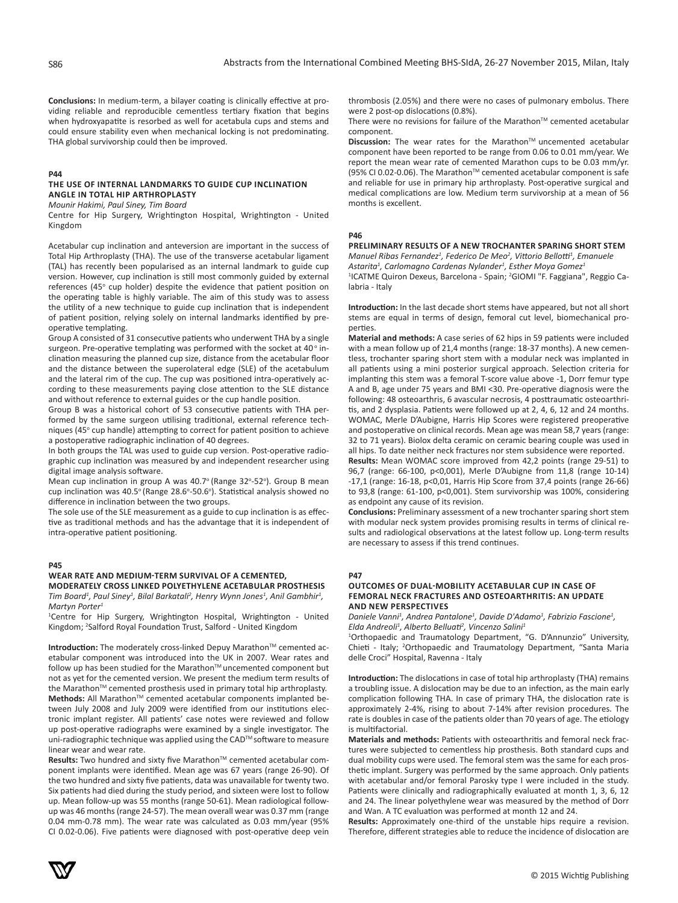**Conclusions:** In medium-term, a bilayer coating is clinically effective at providing reliable and reproducible cementless tertiary fixation that begins when hydroxyapatite is resorbed as well for acetabula cups and stems and could ensure stability even when mechanical locking is not predominating. THA global survivorship could then be improved.

# **P44**

# **THE USE OF INTERNAL LANDMARKS TO GUIDE CUP INCLINATION ANGLE IN TOTAL HIP ARTHROPLASTY**

*Mounir Hakimi, Paul Siney, Tim Board*

Centre for Hip Surgery, Wrightington Hospital, Wrightington - United Kingdom

Acetabular cup inclination and anteversion are important in the success of Total Hip Arthroplasty (THA). The use of the transverse acetabular ligament (TAL) has recently been popularised as an internal landmark to guide cup version. However, cup inclination is still most commonly guided by external references (45° cup holder) despite the evidence that patient position on the operating table is highly variable. The aim of this study was to assess the utility of a new technique to guide cup inclination that is independent of patient position, relying solely on internal landmarks identified by preoperative templating.

Group A consisted of 31 consecutive patients who underwent THA by a single surgeon. Pre-operative templating was performed with the socket at 40° inclination measuring the planned cup size, distance from the acetabular floor and the distance between the superolateral edge (SLE) of the acetabulum and the lateral rim of the cup. The cup was positioned intra-operatively according to these measurements paying close attention to the SLE distance and without reference to external guides or the cup handle position.

Group B was a historical cohort of 53 consecutive patients with THA performed by the same surgeon utilising traditional, external reference techniques (45° cup handle) attempting to correct for patient position to achieve a postoperative radiographic inclination of 40 degrees.

In both groups the TAL was used to guide cup version. Post-operative radiographic cup inclination was measured by and independent researcher using digital image analysis software.

Mean cup inclination in group A was 40.7° (Range 32°-52°). Group B mean cup inclination was 40.5° (Range 28.6°-50.6°). Statistical analysis showed no difference in inclination between the two groups.

The sole use of the SLE measurement as a guide to cup inclination is as effective as traditional methods and has the advantage that it is independent of intra-operative patient positioning.

#### **P45**

# **WEAR RATE AND MEDIUM-TERM SURVIVAL OF A CEMENTED,**

**MODERATELY CROSS LINKED POLYETHYLENE ACETABULAR PROSTHESIS** *Tim Board<sup>1</sup>*, Paul Siney<sup>1</sup>, Bilal Barkatali<sup>2</sup>, Henry Wynn Jones<sup>1</sup>, Anil Gambhir<sup>1</sup>, *Martyn Porter<sup>1</sup>*

1 Centre for Hip Surgery, Wrightington Hospital, Wrightington - United Kingdom; <sup>2</sup>Salford Royal Foundation Trust, Salford - United Kingdom

**Introduction:** The moderately cross-linked Depuy Marathon™ cemented acetabular component was introduced into the UK in 2007. Wear rates and follow up has been studied for the Marathon™ uncemented component but not as yet for the cemented version. We present the medium term results of the Marathon™ cemented prosthesis used in primary total hip arthroplasty. Methods: All Marathon<sup>™</sup> cemented acetabular components implanted between July 2008 and July 2009 were identified from our institutions electronic implant register. All patients' case notes were reviewed and follow up post-operative radiographs were examined by a single investigator. The uni-radiographic technique was applied using the CAD™ software to measure linear wear and wear rate.

**Results:** Two hundred and sixty five Marathon™ cemented acetabular component implants were identified. Mean age was 67 years (range 26-90). Of the two hundred and sixty five patients, data was unavailable for twenty two. Six patients had died during the study period, and sixteen were lost to follow up. Mean follow-up was 55 months (range 50-61). Mean radiological followup was 46 months (range 24-57). The mean overall wear was 0.37 mm (range 0.04 mm-0.78 mm). The wear rate was calculated as 0.03 mm/year (95% CI 0.02-0.06). Five patients were diagnosed with post-operative deep vein thrombosis (2.05%) and there were no cases of pulmonary embolus. There were 2 post-op dislocations (0.8%).

There were no revisions for failure of the Marathon™ cemented acetabular component.

**Discussion:** The wear rates for the Marathon™ uncemented acetabular component have been reported to be range from 0.06 to 0.01 mm/year. We report the mean wear rate of cemented Marathon cups to be 0.03 mm/yr. (95% CI 0.02-0.06). The Marathon™ cemented acetabular component is safe and reliable for use in primary hip arthroplasty. Post-operative surgical and medical complications are low. Medium term survivorship at a mean of 56 months is excellent.

## **P46**

## **PRELIMINARY RESULTS OF A NEW TROCHANTER SPARING SHORT STEM** *Manuel Ribas Fernandez<sup>1</sup> , Federico De Meo<sup>2</sup> , Vittorio Bellotti<sup>1</sup> , Emanuele*

*Astarita<sup>1</sup> , Carlomagno Cardenas Nylander<sup>1</sup> , Esther Moya Gomez<sup>1</sup>*

<sup>1</sup>ICATME Quiron Dexeus, Barcelona - Spain; <sup>2</sup>GIOMI "F. Faggiana", Reggio Calabria - Italy

**Introduction:** In the last decade short stems have appeared, but not all short stems are equal in terms of design, femoral cut level, biomechanical properties.

**Material and methods:** A case series of 62 hips in 59 patients were included with a mean follow up of 21,4 months (range: 18-37 months). A new cementless, trochanter sparing short stem with a modular neck was implanted in all patients using a mini posterior surgical approach. Selection criteria for implanting this stem was a femoral T-score value above -1, Dorr femur type A and B, age under 75 years and BMI <30. Pre-operative diagnosis were the following: 48 osteoarthris, 6 avascular necrosis, 4 posttraumatic osteoarthritis, and 2 dysplasia. Patients were followed up at 2, 4, 6, 12 and 24 months. WOMAC, Merle D'Aubigne, Harris Hip Scores were registered preoperative and postoperative on clinical records. Mean age was mean 58,7 years (range: 32 to 71 years). Biolox delta ceramic on ceramic bearing couple was used in all hips. To date neither neck fractures nor stem subsidence were reported. **Results:** Mean WOMAC score improved from 42,2 points (range 29-51) to 96,7 (range: 66-100, p<0,001), Merle D'Aubigne from 11,8 (range 10-14) -17,1 (range: 16-18, p<0,01, Harris Hip Score from 37,4 points (range 26-66) to 93,8 (range: 61-100, p<0,001). Stem survivorship was 100%, considering as endpoint any cause of its revision.

**Conclusions:** Preliminary assessment of a new trochanter sparing short stem with modular neck system provides promising results in terms of clinical results and radiological observations at the latest follow up. Long-term results are necessary to assess if this trend continues.

# **P47**

# **OUTCOMES OF DUAL-MOBILITY ACETABULAR CUP IN CASE OF FEMORAL NECK FRACTURES AND OSTEOARTHRITIS: AN UPDATE AND NEW PERSPECTIVES**

Daniele Vanni<sup>1</sup>, Andrea Pantalone<sup>1</sup>, Davide D'Adamo<sup>1</sup>, Fabrizio Fascione<sup>1</sup>, *Elda Andreoli<sup>1</sup> , Alberto Belluati<sup>2</sup> , Vincenzo Salini<sup>1</sup>*

1 Orthopaedic and Traumatology Department, "G. D'Annunzio" University, Chieti - Italy; <sup>2</sup>Orthopaedic and Traumatology Department, "Santa Maria delle Croci" Hospital, Ravenna - Italy

**Introduction:** The dislocations in case of total hip arthroplasty (THA) remains a troubling issue. A dislocation may be due to an infection, as the main early complication following THA. In case of primary THA, the dislocation rate is approximately 2-4%, rising to about 7-14% after revision procedures. The rate is doubles in case of the patients older than 70 years of age. The etiology is multifactorial.

**Materials and methods:** Patients with osteoarthritis and femoral neck fractures were subjected to cementless hip prosthesis. Both standard cups and dual mobility cups were used. The femoral stem was the same for each prosthetic implant. Surgery was performed by the same approach. Only patients with acetabular and/or femoral Parosky type I were included in the study. Patients were clinically and radiographically evaluated at month 1, 3, 6, 12 and 24. The linear polyethylene wear was measured by the method of Dorr and Wan. A TC evaluation was performed at month 12 and 24.

**Results:** Approximately one-third of the unstable hips require a revision. Therefore, different strategies able to reduce the incidence of dislocation are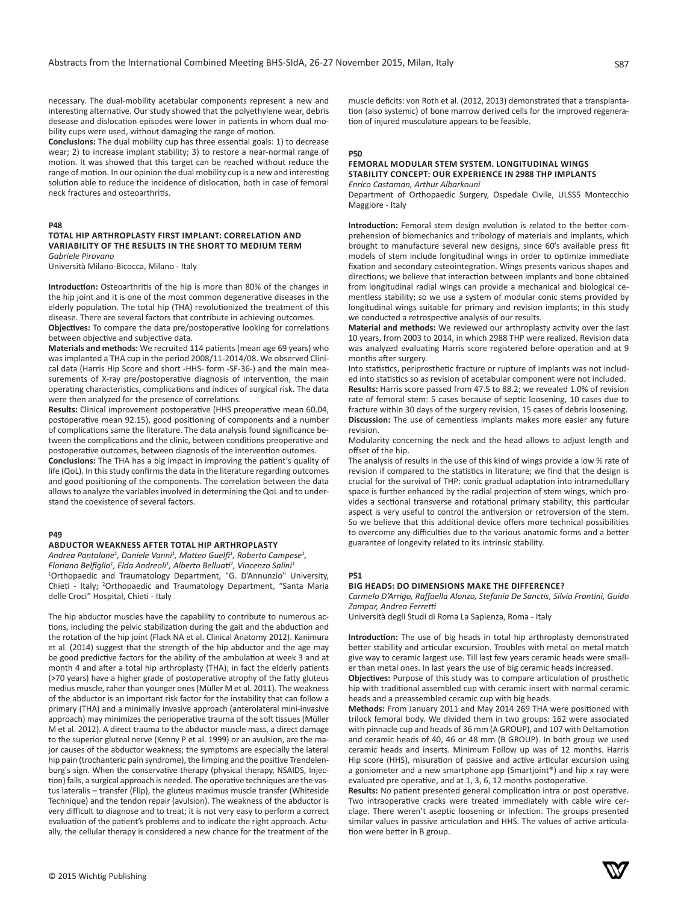necessary. The dual-mobility acetabular components represent a new and interesting alternative. Our study showed that the polyethylene wear, debris desease and dislocation episodes were lower in patients in whom dual mobility cups were used, without damaging the range of motion.

**Conclusions:** The dual mobility cup has three essential goals: 1) to decrease wear; 2) to increase implant stability; 3) to restore a near-normal range of motion. It was showed that this target can be reached without reduce the range of motion. In our opinion the dual mobility cup is a new and interesting solution able to reduce the incidence of dislocation, both in case of femoral neck fractures and osteoarthritis.

#### **P48**

#### **TOTAL HIP ARTHROPLASTY FIRST IMPLANT: CORRELATION AND VARIABILITY OF THE RESULTS IN THE SHORT TO MEDIUM TERM** *Gabriele Pirovano*

Università Milano-Bicocca, Milano - Italy

**Introduction:** Osteoarthritis of the hip is more than 80% of the changes in the hip joint and it is one of the most common degenerative diseases in the elderly population. The total hip (THA) revolutionized the treatment of this disease. There are several factors that contribute in achieving outcomes.

**Objectives:** To compare the data pre/postoperative looking for correlations between objective and subjective data.

**Materials and methods:** We recruited 114 patients (mean age 69 years) who was implanted a THA cup in the period 2008/11-2014/08. We observed Clinical data (Harris Hip Score and short -HHS- form -SF-36-) and the main measurements of X-ray pre/postoperative diagnosis of intervention, the main operating characteristics, complications and indices of surgical risk. The data were then analyzed for the presence of correlations.

**Results:** Clinical improvement postoperative (HHS preoperative mean 60.04, postoperative mean 92.15), good positioning of components and a number of complications same the literature. The data analysis found significance between the complications and the clinic, between conditions preoperative and postoperative outcomes, between diagnosis of the intervention outomes.

**Conclusions:** The THA has a big impact in improving the patient's quality of life (QoL). In this study confirms the data in the literature regarding outcomes and good positioning of the components. The correlation between the data allows to analyze the variables involved in determining the QoL and to understand the coexistence of several factors.

#### **P49**

#### **ABDUCTOR WEAKNESS AFTER TOTAL HIP ARTHROPLASTY**

Andrea Pantalone<sup>1</sup>, Daniele Vanni<sup>1</sup>, Matteo Guelfi<sup>1</sup>, Roberto Campese<sup>1</sup>, *Floriano Belfiglio<sup>1</sup> , Elda Andreoli<sup>1</sup> , Alberto Belluati<sup>2</sup> , Vincenzo Salini<sup>1</sup>* 1 Orthopaedic and Traumatology Department, "G. D'Annunzio" University, Chieti - Italy; <sup>2</sup>Orthopaedic and Traumatology Department, "Santa Maria delle Croci" Hospital, Chieti - Italy

The hip abductor muscles have the capability to contribute to numerous actions, including the pelvic stabilization during the gait and the abduction and the rotation of the hip joint (Flack NA et al. Clinical Anatomy 2012). Kanimura et al. (2014) suggest that the strength of the hip abductor and the age may be good predictive factors for the ability of the ambulation at week 3 and at month 4 and after a total hip arthroplasty (THA); in fact the elderly patients (>70 years) have a higher grade of postoperative atrophy of the fatty gluteus medius muscle, raher than younger ones (Müller M et al. 2011). The weakness of the abductor is an important risk factor for the instability that can follow a primary (THA) and a minimally invasive approach (anterolateral mini-invasive approach) may minimizes the perioperative trauma of the soft tissues (Müller M et al. 2012). A direct trauma to the abductor muscle mass, a direct damage to the superior gluteal nerve (Kenny P et al. 1999) or an avulsion, are the major causes of the abductor weakness; the symptoms are especially the lateral hip pain (trochanteric pain syndrome), the limping and the positive Trendelenburg's sign. When the conservative therapy (physical therapy, NSAIDS, Injection) fails, a surgical approach is needed. The operative techniques are the vastus lateralis – transfer (Flip), the gluteus maximus muscle transfer (Whiteside Technique) and the tendon repair (avulsion). The weakness of the abductor is very difficult to diagnose and to treat; it is not very easy to perform a correct evaluation of the patient's problems and to indicate the right approach. Actually, the cellular therapy is considered a new chance for the treatment of the

muscle deficits: von Roth et al. (2012, 2013) demonstrated that a transplantation (also systemic) of bone marrow derived cells for the improved regeneration of injured musculature appears to be feasible.

#### **P50**

#### **FEMORAL MODULAR STEM SYSTEM. LONGITUDINAL WINGS STABILITY CONCEPT: OUR EXPERIENCE IN 2988 THP IMPLANTS** *Enrico Castaman, Arthur Albarkouni*

Department of Orthopaedic Surgery, Ospedale Civile, ULSS5 Montecchio Maggiore - Italy

**Introduction:** Femoral stem design evolution is related to the better comprehension of biomechanics and tribology of materials and implants, which brought to manufacture several new designs, since 60's available press fit models of stem include longitudinal wings in order to optimize immediate fixation and secondary osteointegration. Wings presents various shapes and directions; we believe that interaction between implants and bone obtained from longitudinal radial wings can provide a mechanical and biological cementless stability; so we use a system of modular conic stems provided by longitudinal wings suitable for primary and revision implants; in this study we conducted a retrospective analysis of our results.

**Material and methods:** We reviewed our arthroplasty activity over the last 10 years, from 2003 to 2014, in which 2988 THP were realized. Revision data was analyzed evaluating Harris score registered before operation and at 9 months after surgery.

Into statistics, periprosthetic fracture or rupture of implants was not included into statistics so as revision of acetabular component were not included. **Results:** Harris score passed from 47.5 to 88.2; we revealed 1.0% of revision rate of femoral stem: 5 cases because of septic loosening, 10 cases due to fracture within 30 days of the surgery revision, 15 cases of debris loosening. **Discussion:** The use of cementless implants makes more easier any future revision.

Modularity concerning the neck and the head allows to adjust length and offset of the hip.

The analysis of results in the use of this kind of wings provide a low % rate of revision if compared to the statistics in literature; we find that the design is crucial for the survival of THP: conic gradual adaptation into intramedullary space is further enhanced by the radial projection of stem wings, which provides a sectional transverse and rotational primary stability; this particular aspect is very useful to control the antiversion or retroversion of the stem. So we believe that this additional device offers more technical possibilities to overcome any difficulties due to the various anatomic forms and a better guarantee of longevity related to its intrinsic stability.

# **P51**

#### **BIG HEADS: DO DIMENSIONS MAKE THE DIFFERENCE?**

*Carmelo D'Arrigo, Raffaella Alonzo, Stefania De Sanctis, Silvia Frontini, Guido Zampar, Andrea Ferretti*

Università degli Studi di Roma La Sapienza, Roma - Italy

**Introduction:** The use of big heads in total hip arthroplasty demonstrated better stability and articular excursion. Troubles with metal on metal match give way to ceramic largest use. Till last few years ceramic heads were smaller than metal ones. In last years the use of big ceramic heads increased.

**Objectives:** Purpose of this study was to compare articulation of prosthetic hip with traditional assembled cup with ceramic insert with normal ceramic heads and a preassembled ceramic cup with big heads.

**Methods:** From January 2011 and May 2014 269 THA were positioned with trilock femoral body. We divided them in two groups: 162 were associated with pinnacle cup and heads of 36 mm (A GROUP), and 107 with Deltamotion and ceramic heads of 40, 46 or 48 mm (B GROUP). In both group we used ceramic heads and inserts. Minimum Follow up was of 12 months. Harris Hip score (HHS), misuration of passive and active articular excursion using a goniometer and a new smartphone app (Smartjoint®) and hip x ray were evaluated pre operative, and at 1, 3, 6, 12 months postoperative.

**Results:** No patient presented general complication intra or post operative. Two intraoperative cracks were treated immediately with cable wire cerclage. There weren't aseptic loosening or infection. The groups presented similar values in passive articulation and HHS. The values of active articulation were better in B group.

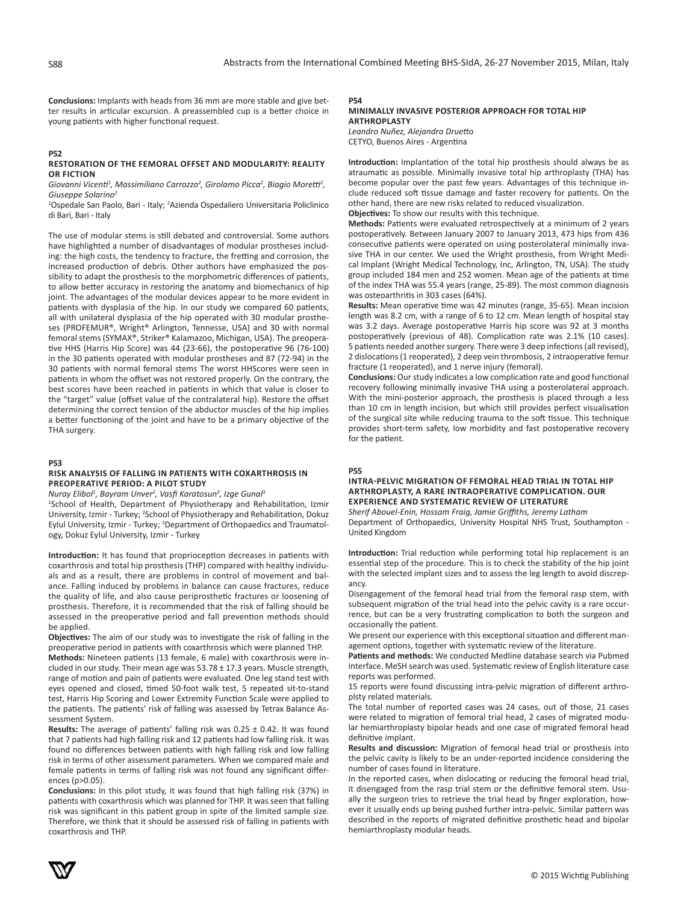**Conclusions:** Implants with heads from 36 mm are more stable and give better results in articular excursion. A preassembled cup is a better choice in young patients with higher functional request.

#### **P52 RESTORATION OF THE FEMORAL OFFSET AND MODULARITY: REALITY OR FICTION**

*Giovanni Vicenti<sup>1</sup> , Massimiliano Carrozzo<sup>2</sup> , Girolamo Picca<sup>2</sup> , Biagio Moretti<sup>2</sup> , Giuseppe Solarino<sup>2</sup>*

<sup>1</sup>Ospedale San Paolo, Bari - Italy; <sup>2</sup>Azienda Ospedaliero Universitaria Policlinico di Bari, Bari - Italy

The use of modular stems is still debated and controversial. Some authors have highlighted a number of disadvantages of modular prostheses including: the high costs, the tendency to fracture, the fretting and corrosion, the increased production of debris. Other authors have emphasized the possibility to adapt the prosthesis to the morphometric differences of patients, to allow better accuracy in restoring the anatomy and biomechanics of hip joint. The advantages of the modular devices appear to be more evident in patients with dysplasia of the hip. In our study we compared 60 patients, all with unilateral dysplasia of the hip operated with 30 modular prostheses (PROFEMUR®, Wright® Arlington, Tennesse, USA) and 30 with normal femoral stems (SYMAX®, Striker® Kalamazoo, Michigan, USA). The preoperative HHS (Harris Hip Score) was 44 (23-66), the postoperative 96 (76-100) in the 30 patients operated with modular prostheses and 87 (72-94) in the 30 patients with normal femoral stems The worst HHScores were seen in patients in whom the offset was not restored properly. On the contrary, the best scores have been reached in patients in which that value is closer to the "target" value (offset value of the contralateral hip). Restore the offset determining the correct tension of the abductor muscles of the hip implies a better functioning of the joint and have to be a primary objective of the THA surgery.

#### **P53**

## **RISK ANALYSIS OF FALLING IN PATIENTS WITH COXARTHROSIS IN PREOPERATIVE PERIOD: A PILOT STUDY**

*Nuray Elibol<sup>1</sup> , Bayram Unver<sup>2</sup> , Vasfi Karatosun<sup>3</sup> , Izge Gunal<sup>3</sup>*

1 School of Health, Department of Physiotherapy and Rehabilitation, Izmir University, Izmir - Turkey; <sup>2</sup>School of Physiotherapy and Rehabilitation, Dokuz Eylul University, Izmir - Turkey; <sup>3</sup>Department of Orthopaedics and Traumatology, Dokuz Eylul University, Izmir - Turkey

**Introduction:** It has found that proprioception decreases in patients with coxarthrosis and total hip prosthesis (THP) compared with healthy individuals and as a result, there are problems in control of movement and balance. Falling induced by problems in balance can cause fractures, reduce the quality of life, and also cause periprosthetic fractures or loosening of prosthesis. Therefore, it is recommended that the risk of falling should be assessed in the preoperative period and fall prevention methods should be applied.

**Objectives:** The aim of our study was to investigate the risk of falling in the preoperative period in patients with coxarthrosis which were planned THP.

**Methods:** Nineteen patients (13 female, 6 male) with coxarthrosis were included in our study. Their mean age was  $53.78 \pm 17.3$  years. Muscle strength, range of motion and pain of patients were evaluated. One leg stand test with eyes opened and closed, timed 50-foot walk test, 5 repeated sit-to-stand test, Harris Hip Scoring and Lower Extremity Function Scale were applied to the patients. The patients' risk of falling was assessed by Tetrax Balance Assessment System.

**Results:** The average of patients' falling risk was 0.25 ± 0.42. It was found that 7 patients had high falling risk and 12 patients had low falling risk. It was found no differences between patients with high falling risk and low falling risk in terms of other assessment parameters. When we compared male and female patients in terms of falling risk was not found any significant differences (p>0.05).

**Conclusions:** In this pilot study, it was found that high falling risk (37%) in patients with coxarthrosis which was planned for THP. It was seen that falling risk was significant in this patient group in spite of the limited sample size. Therefore, we think that it should be assessed risk of falling in patients with coxarthrosis and THP.

# **P54**

# **MINIMALLY INVASIVE POSTERIOR APPROACH FOR TOTAL HIP ARTHROPLASTY**

*Leandro Nuñez, Alejandro Druetto* CETYO, Buenos Aires - Argentina

**Introduction:** Implantation of the total hip prosthesis should always be as atraumatic as possible. Minimally invasive total hip arthroplasty (THA) has become popular over the past few years. Advantages of this technique include reduced soft tissue damage and faster recovery for patients. On the other hand, there are new risks related to reduced visualization. **Objectives:** To show our results with this technique.

**Methods:** Patients were evaluated retrospectively at a minimum of 2 years postoperatively. Between January 2007 to January 2013, 473 hips from 436 consecutive patients were operated on using posterolateral minimally invasive THA in our center. We used the Wright prosthesis, from Wright Medi-

cal Implant (Wright Medical Technology, Inc, Arlington, TN, USA). The study group included 184 men and 252 women. Mean age of the patients at time of the index THA was 55.4 years (range, 25-89). The most common diagnosis was osteoarthritis in 303 cases (64%).

**Results:** Mean operative time was 42 minutes (range, 35-65). Mean incision length was 8.2 cm, with a range of 6 to 12 cm. Mean length of hospital stay was 3.2 days. Average postoperative Harris hip score was 92 at 3 months postoperatively (previous of 48). Complication rate was 2.1% (10 cases). 5 patients needed another surgery. There were 3 deep infections (all revised), 2 dislocations (1 reoperated), 2 deep vein thrombosis, 2 intraoperative femur fracture (1 reoperated), and 1 nerve injury (femoral).

**Conclusions:** Our study indicates a low complication rate and good functional recovery following minimally invasive THA using a posterolateral approach. With the mini-posterior approach, the prosthesis is placed through a less than 10 cm in length incision, but which still provides perfect visualisation of the surgical site while reducing trauma to the soft tissue. This technique provides short-term safety, low morbidity and fast postoperative recovery for the patient.

#### **P55**

#### **INTRA-PELVIC MIGRATION OF FEMORAL HEAD TRIAL IN TOTAL HIP ARTHROPLASTY, A RARE INTRAOPERATIVE COMPLICATION. OUR EXPERIENCE AND SYSTEMATIC REVIEW OF LITERATURE**

*Sherif Abouel-Enin, Hossam Fraig, Jamie Griffiths, Jeremy Latham* Department of Orthopaedics, University Hospital NHS Trust, Southampton - United Kingdom

**Introduction:** Trial reduction while performing total hip replacement is an essential step of the procedure. This is to check the stability of the hip joint with the selected implant sizes and to assess the leg length to avoid discrepancy.

Disengagement of the femoral head trial from the femoral rasp stem, with subsequent migration of the trial head into the pelvic cavity is a rare occurrence, but can be a very frustrating complication to both the surgeon and occasionally the patient.

We present our experience with this exceptional situation and different management options, together with systematic review of the literature.

**Patients and methods:** We conducted Medline database search via Pubmed interface. MeSH search was used. Systematic review of English literature case reports was performed.

15 reports were found discussing intra-pelvic migration of different arthroplsty related materials.

The total number of reported cases was 24 cases, out of those, 21 cases were related to migration of femoral trial head, 2 cases of migrated modular hemiarthroplasty bipolar heads and one case of migrated femoral head definitive implant.

**Results and discussion:** Migration of femoral head trial or prosthesis into the pelvic cavity is likely to be an under-reported incidence considering the number of cases found in literature.

In the reported cases, when dislocating or reducing the femoral head trial, it disengaged from the rasp trial stem or the definitive femoral stem. Usually the surgeon tries to retrieve the trial head by finger exploration, however it usually ends up being pushed further intra-pelvic. Similar pattern was described in the reports of migrated definitive prosthetic head and bipolar hemiarthroplasty modular heads.

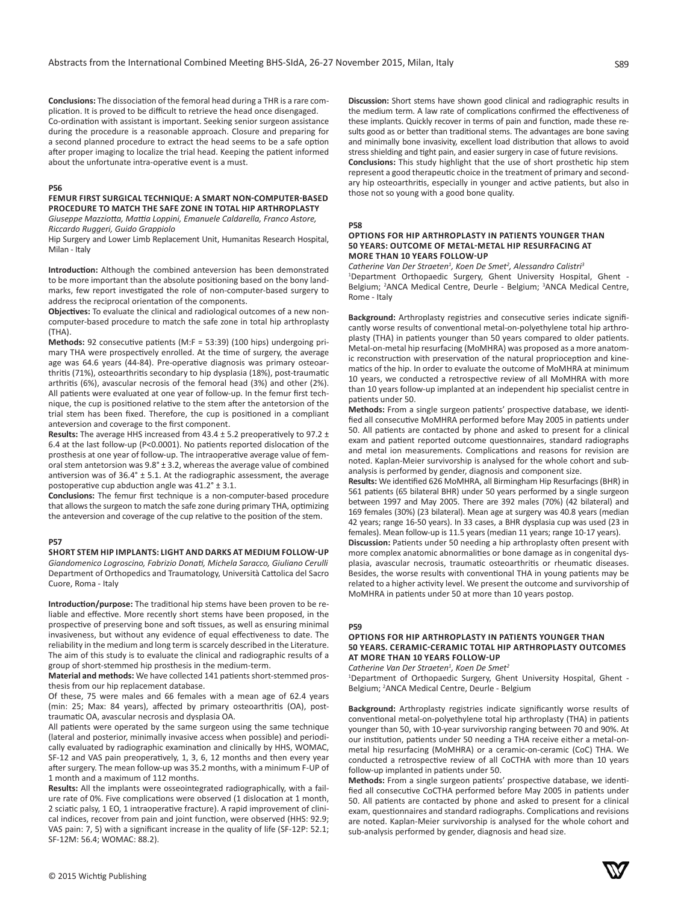**Conclusions:** The dissociation of the femoral head during a THR is a rare complication. It is proved to be difficult to retrieve the head once disengaged. Co-ordination with assistant is important. Seeking senior surgeon assistance during the procedure is a reasonable approach. Closure and preparing for a second planned procedure to extract the head seems to be a safe option after proper imaging to localize the trial head. Keeping the patient informed about the unfortunate intra-operative event is a must.

## **P56**

# **FEMUR FIRST SURGICAL TECHNIQUE: A SMART NON-COMPUTER-BASED PROCEDURE TO MATCH THE SAFE ZONE IN TOTAL HIP ARTHROPLASTY**

*Giuseppe Mazziotta, Mattia Loppini, Emanuele Caldarella, Franco Astore, Riccardo Ruggeri, Guido Grappiolo*

Hip Surgery and Lower Limb Replacement Unit, Humanitas Research Hospital, Milan - Italy

**Introduction:** Although the combined anteversion has been demonstrated to be more important than the absolute positioning based on the bony landmarks, few report investigated the role of non-computer-based surgery to address the reciprocal orientation of the components.

**Objectives:** To evaluate the clinical and radiological outcomes of a new noncomputer-based procedure to match the safe zone in total hip arthroplasty (THA).

**Methods:** 92 consecutive patients (M:F = 53:39) (100 hips) undergoing primary THA were prospectively enrolled. At the time of surgery, the average age was 64.6 years (44-84). Pre-operative diagnosis was primary osteoarthritis (71%), osteoarthritis secondary to hip dysplasia (18%), post-traumatic arthritis (6%), avascular necrosis of the femoral head (3%) and other (2%). All patients were evaluated at one year of follow-up. In the femur first technique, the cup is positioned relative to the stem after the antetorsion of the trial stem has been fixed. Therefore, the cup is positioned in a compliant anteversion and coverage to the first component.

**Results:** The average HHS increased from 43.4 ± 5.2 preoperatively to 97.2 ± 6.4 at the last follow-up (P<0.0001). No patients reported dislocation of the prosthesis at one year of follow-up. The intraoperative average value of femoral stem antetorsion was 9.8° ± 3.2, whereas the average value of combined antiversion was of 36.4° ± 5.1. At the radiographic assessment, the average postoperative cup abduction angle was 41.2° ± 3.1.

**Conclusions:** The femur first technique is a non-computer-based procedure that allows the surgeon to match the safe zone during primary THA, optimizing the anteversion and coverage of the cup relative to the position of the stem.

# **P57**

**SHORT STEM HIP IMPLANTS: LIGHT AND DARKS AT MEDIUM FOLLOW-UP** *Giandomenico Logroscino, Fabrizio Donati, Michela Saracco, Giuliano Cerulli* Department of Orthopedics and Traumatology, Università Cattolica del Sacro Cuore, Roma - Italy

**Introduction/purpose:** The traditional hip stems have been proven to be reliable and effective. More recently short stems have been proposed, in the prospective of preserving bone and soft tissues, as well as ensuring minimal invasiveness, but without any evidence of equal effectiveness to date. The reliability in the medium and long term is scarcely described in the Literature. The aim of this study is to evaluate the clinical and radiographic results of a group of short-stemmed hip prosthesis in the medium-term.

**Material and methods:** We have collected 141 patients short-stemmed prosthesis from our hip replacement database.

Of these, 75 were males and 66 females with a mean age of 62.4 years (min: 25; Max: 84 years), affected by primary osteoarthritis (OA), posttraumatic OA, avascular necrosis and dysplasia OA.

All patients were operated by the same surgeon using the same technique (lateral and posterior, minimally invasive access when possible) and periodically evaluated by radiographic examination and clinically by HHS, WOMAC, SF-12 and VAS pain preoperatively, 1, 3, 6, 12 months and then every year after surgery. The mean follow-up was 35.2 months, with a minimum F-UP of 1 month and a maximum of 112 months.

**Results:** All the implants were osseointegrated radiographically, with a failure rate of 0%. Five complications were observed (1 dislocation at 1 month, 2 sciatic palsy, 1 EO, 1 intraoperative fracture). A rapid improvement of clinical indices, recover from pain and joint function, were observed (HHS: 92.9; VAS pain: 7, 5) with a significant increase in the quality of life (SF-12P: 52.1; SF-12M: 56.4; WOMAC: 88.2).

**Discussion:** Short stems have shown good clinical and radiographic results in the medium term. A law rate of complications confirmed the effectiveness of these implants. Quickly recover in terms of pain and function, made these results good as or better than traditional stems. The advantages are bone saving and minimally bone invasivity, excellent load distribution that allows to avoid stress shielding and tight pain, and easier surgery in case of future revisions.

**Conclusions:** This study highlight that the use of short prosthetic hip stem represent a good therapeutic choice in the treatment of primary and secondary hip osteoarthritis, especially in younger and active patients, but also in those not so young with a good bone quality.

#### **P58**

## **OPTIONS FOR HIP ARTHROPLASTY IN PATIENTS YOUNGER THAN 50 YEARS: OUTCOME OF METAL-METAL HIP RESURFACING AT MORE THAN 10 YEARS FOLLOW-UP**

*Catherine Van Der Straeten<sup>1</sup> , Koen De Smet<sup>2</sup> , Alessandro Calistri<sup>3</sup>* 1 Department Orthopaedic Surgery, Ghent University Hospital, Ghent - Belgium; <sup>2</sup>ANCA Medical Centre, Deurle - Belgium; <sup>3</sup>ANCA Medical Centre, Rome - Italy

**Background:** Arthroplasty registries and consecutive series indicate significantly worse results of conventional metal-on-polyethylene total hip arthroplasty (THA) in patients younger than 50 years compared to older patients. Metal-on-metal hip resurfacing (MoMHRA) was proposed as a more anatomic reconstruction with preservation of the natural proprioception and kinematics of the hip. In order to evaluate the outcome of MoMHRA at minimum 10 years, we conducted a retrospective review of all MoMHRA with more than 10 years follow-up implanted at an independent hip specialist centre in patients under 50.

**Methods:** From a single surgeon patients' prospective database, we identified all consecutive MoMHRA performed before May 2005 in patients under 50. All patients are contacted by phone and asked to present for a clinical exam and patient reported outcome questionnaires, standard radiographs and metal ion measurements. Complications and reasons for revision are noted. Kaplan-Meier survivorship is analysed for the whole cohort and subanalysis is performed by gender, diagnosis and component size.

**Results:** We identified 626 MoMHRA, all Birmingham Hip Resurfacings (BHR) in 561 patients (65 bilateral BHR) under 50 years performed by a single surgeon between 1997 and May 2005. There are 392 males (70%) (42 bilateral) and 169 females (30%) (23 bilateral). Mean age at surgery was 40.8 years (median 42 years; range 16-50 years). In 33 cases, a BHR dysplasia cup was used (23 in females). Mean follow-up is 11.5 years (median 11 years; range 10-17 years).

**Discussion:** Patients under 50 needing a hip arthroplasty often present with more complex anatomic abnormalities or bone damage as in congenital dysplasia, avascular necrosis, traumatic osteoarthritis or rheumatic diseases. Besides, the worse results with conventional THA in young patients may be related to a higher activity level. We present the outcome and survivorship of MoMHRA in patients under 50 at more than 10 years postop.

#### **P59**

# **OPTIONS FOR HIP ARTHROPLASTY IN PATIENTS YOUNGER THAN 50 YEARS. CERAMIC-CERAMIC TOTAL HIP ARTHROPLASTY OUTCOMES AT MORE THAN 10 YEARS FOLLOW-UP**

*Catherine Van Der Straeten<sup>1</sup> , Koen De Smet<sup>2</sup>*

1 Department of Orthopaedic Surgery, Ghent University Hospital, Ghent - Belgium; 2 ANCA Medical Centre, Deurle - Belgium

**Background:** Arthroplasty registries indicate significantly worse results of conventional metal-on-polyethylene total hip arthroplasty (THA) in patients younger than 50, with 10-year survivorship ranging between 70 and 90%. At our institution, patients under 50 needing a THA receive either a metal-onmetal hip resurfacing (MoMHRA) or a ceramic-on-ceramic (CoC) THA. We conducted a retrospective review of all CoCTHA with more than 10 years follow-up implanted in patients under 50.

**Methods:** From a single surgeon patients' prospective database, we identified all consecutive CoCTHA performed before May 2005 in patients under 50. All patients are contacted by phone and asked to present for a clinical exam, questionnaires and standard radiographs. Complications and revisions are noted. Kaplan-Meier survivorship is analysed for the whole cohort and sub-analysis performed by gender, diagnosis and head size.

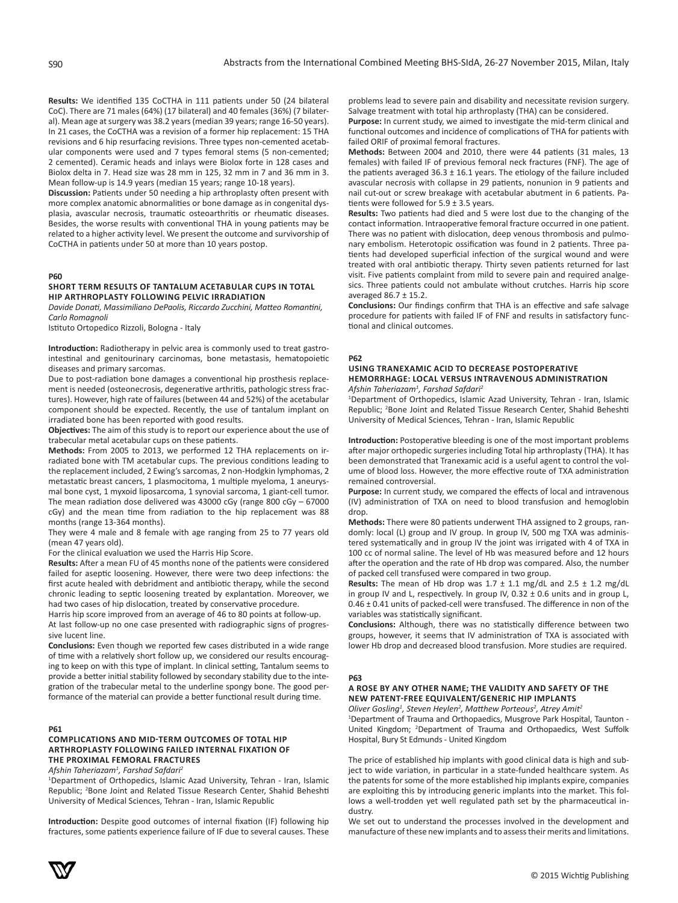**Results:** We identified 135 CoCTHA in 111 patients under 50 (24 bilateral CoC). There are 71 males (64%) (17 bilateral) and 40 females (36%) (7 bilateral). Mean age at surgery was 38.2 years (median 39 years; range 16-50 years). In 21 cases, the CoCTHA was a revision of a former hip replacement: 15 THA revisions and 6 hip resurfacing revisions. Three types non-cemented acetabular components were used and 7 types femoral stems (5 non-cemented; 2 cemented). Ceramic heads and inlays were Biolox forte in 128 cases and Biolox delta in 7. Head size was 28 mm in 125, 32 mm in 7 and 36 mm in 3. Mean follow-up is 14.9 years (median 15 years; range 10-18 years).

**Discussion:** Patients under 50 needing a hip arthroplasty often present with more complex anatomic abnormalities or bone damage as in congenital dysplasia, avascular necrosis, traumatic osteoarthritis or rheumatic diseases. Besides, the worse results with conventional THA in young patients may be related to a higher activity level. We present the outcome and survivorship of CoCTHA in patients under 50 at more than 10 years postop.

# **P60**

# **SHORT TERM RESULTS OF TANTALUM ACETABULAR CUPS IN TOTAL HIP ARTHROPLASTY FOLLOWING PELVIC IRRADIATION**

*Davide Donati, Massimiliano DePaolis, Riccardo Zucchini, Matteo Romantini, Carlo Romagnoli*

Istituto Ortopedico Rizzoli, Bologna - Italy

**Introduction:** Radiotherapy in pelvic area is commonly used to treat gastrointestinal and genitourinary carcinomas, bone metastasis, hematopoietic diseases and primary sarcomas.

Due to post-radiation bone damages a conventional hip prosthesis replacement is needed (osteonecrosis, degenerative arthritis, pathologic stress fractures). However, high rate of failures (between 44 and 52%) of the acetabular component should be expected. Recently, the use of tantalum implant on irradiated bone has been reported with good results.

**Objectives:** The aim of this study is to report our experience about the use of trabecular metal acetabular cups on these patients.

**Methods:** From 2005 to 2013, we performed 12 THA replacements on irradiated bone with TM acetabular cups. The previous conditions leading to the replacement included, 2 Ewing's sarcomas, 2 non-Hodgkin lymphomas, 2 metastatic breast cancers, 1 plasmocitoma, 1 multiple myeloma, 1 aneurysmal bone cyst, 1 myxoid liposarcoma, 1 synovial sarcoma, 1 giant-cell tumor. The mean radiation dose delivered was 43000 cGy (range 800 cGy – 67000 cGy) and the mean time from radiation to the hip replacement was 88 months (range 13-364 months).

They were 4 male and 8 female with age ranging from 25 to 77 years old (mean 47 years old).

For the clinical evaluation we used the Harris Hip Score.

**Results:** After a mean FU of 45 months none of the patients were considered failed for aseptic loosening. However, there were two deep infections: the first acute healed with debridment and antibiotic therapy, while the second chronic leading to septic loosening treated by explantation. Moreover, we had two cases of hip dislocation, treated by conservative procedure.

Harris hip score improved from an average of 46 to 80 points at follow-up.

At last follow-up no one case presented with radiographic signs of progressive lucent line. **Conclusions:** Even though we reported few cases distributed in a wide range

of time with a relatively short follow up, we considered our results encouraging to keep on with this type of implant. In clinical setting, Tantalum seems to provide a better initial stability followed by secondary stability due to the integration of the trabecular metal to the underline spongy bone. The good performance of the material can provide a better functional result during time.

## **P61**

# **COMPLICATIONS AND MID-TERM OUTCOMES OF TOTAL HIP ARTHROPLASTY FOLLOWING FAILED INTERNAL FIXATION OF THE PROXIMAL FEMORAL FRACTURES**

*Afshin Taheriazam<sup>1</sup> , Farshad Safdari<sup>2</sup>*

<sup>1</sup>Department of Orthopedics, Islamic Azad University, Tehran - Iran, Islamic Republic; <sup>2</sup>Bone Joint and Related Tissue Research Center, Shahid Beheshti University of Medical Sciences, Tehran - Iran, Islamic Republic

**Introduction:** Despite good outcomes of internal fixation (IF) following hip fractures, some patients experience failure of IF due to several causes. These problems lead to severe pain and disability and necessitate revision surgery. Salvage treatment with total hip arthroplasty (THA) can be considered.

**Purpose:** In current study, we aimed to investigate the mid-term clinical and functional outcomes and incidence of complications of THA for patients with failed ORIF of proximal femoral fractures.

**Methods:** Between 2004 and 2010, there were 44 patients (31 males, 13 females) with failed IF of previous femoral neck fractures (FNF). The age of the patients averaged  $36.3 \pm 16.1$  years. The etiology of the failure included avascular necrosis with collapse in 29 patients, nonunion in 9 patients and nail cut-out or screw breakage with acetabular abutment in 6 patients. Patients were followed for  $5.9 \pm 3.5$  years.

**Results:** Two patients had died and 5 were lost due to the changing of the contact information. Intraoperative femoral fracture occurred in one patient. There was no patient with dislocation, deep venous thrombosis and pulmonary embolism. Heterotopic ossification was found in 2 patients. Three patients had developed superficial infection of the surgical wound and were treated with oral antibiotic therapy. Thirty seven patients returned for last visit. Five patients complaint from mild to severe pain and required analgesics. Three patients could not ambulate without crutches. Harris hip score averaged 86.7 ± 15.2.

**Conclusions:** Our findings confirm that THA is an effective and safe salvage procedure for patients with failed IF of FNF and results in satisfactory functional and clinical outcomes.

## **P62**

# **USING TRANEXAMIC ACID TO DECREASE POSTOPERATIVE HEMORRHAGE: LOCAL VERSUS INTRAVENOUS ADMINISTRATION** *Afshin Taheriazam<sup>1</sup> , Farshad Safdari<sup>2</sup>*

1 Department of Orthopedics, Islamic Azad University, Tehran - Iran, Islamic Republic; <sup>2</sup>Bone Joint and Related Tissue Research Center, Shahid Beheshti University of Medical Sciences, Tehran - Iran, Islamic Republic

**Introduction:** Postoperative bleeding is one of the most important problems after major orthopedic surgeries including Total hip arthroplasty (THA). It has been demonstrated that Tranexamic acid is a useful agent to control the volume of blood loss. However, the more effective route of TXA administration remained controversial.

**Purpose:** In current study, we compared the effects of local and intravenous (IV) administration of TXA on need to blood transfusion and hemoglobin drop.

**Methods:** There were 80 patients underwent THA assigned to 2 groups, randomly: local (L) group and IV group. In group IV, 500 mg TXA was administered systematically and in group IV the joint was irrigated with 4 of TXA in 100 cc of normal saline. The level of Hb was measured before and 12 hours after the operation and the rate of Hb drop was compared. Also, the number of packed cell transfused were compared in two group.

**Results:** The mean of Hb drop was  $1.7 \pm 1.1$  mg/dL and  $2.5 \pm 1.2$  mg/dL in group IV and L, respectively. In group IV,  $0.32 \pm 0.6$  units and in group L, 0.46 ± 0.41 units of packed-cell were transfused. The difference in non of the variables was statistically significant.

**Conclusions:** Although, there was no statistically difference between two groups, however, it seems that IV administration of TXA is associated with lower Hb drop and decreased blood transfusion. More studies are required.

#### **P63**

## **A ROSE BY ANY OTHER NAME; THE VALIDITY AND SAFETY OF THE NEW PATENT-FREE EQUIVALENT/GENERIC HIP IMPLANTS**

*Oliver Gosling<sup>1</sup> , Steven Heylen<sup>2</sup> , Matthew Porteous<sup>2</sup> , Atrey Amit<sup>2</sup>*

1 Department of Trauma and Orthopaedics, Musgrove Park Hospital, Taunton - United Kingdom; <sup>2</sup>Department of Trauma and Orthopaedics, West Suffolk Hospital, Bury St Edmunds - United Kingdom

The price of established hip implants with good clinical data is high and subject to wide variation, in particular in a state-funded healthcare system. As the patents for some of the more established hip implants expire, companies are exploiting this by introducing generic implants into the market. This follows a well-trodden yet well regulated path set by the pharmaceutical industry.

We set out to understand the processes involved in the development and manufacture of these new implants and to assess their merits and limitations.

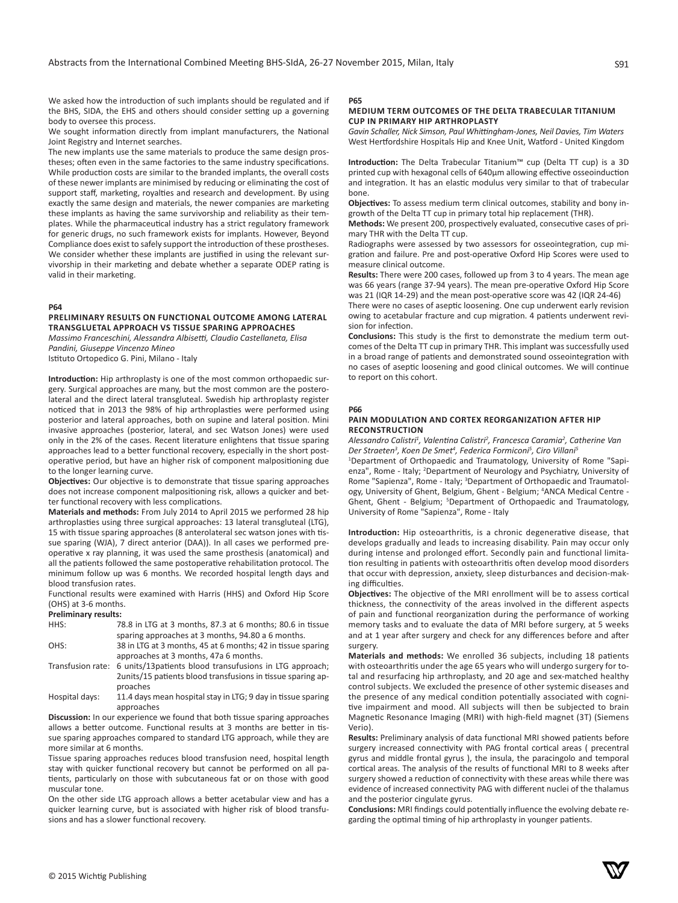We asked how the introduction of such implants should be regulated and if the BHS, SIDA, the EHS and others should consider setting up a governing body to oversee this process.

We sought information directly from implant manufacturers, the National Joint Registry and Internet searches.

The new implants use the same materials to produce the same design prostheses; often even in the same factories to the same industry specifications. While production costs are similar to the branded implants, the overall costs of these newer implants are minimised by reducing or eliminating the cost of support staff, marketing, royalties and research and development. By using exactly the same design and materials, the newer companies are marketing these implants as having the same survivorship and reliability as their templates. While the pharmaceutical industry has a strict regulatory framework for generic drugs, no such framework exists for implants. However, Beyond Compliance does exist to safely support the introduction of these prostheses. We consider whether these implants are justified in using the relevant survivorship in their marketing and debate whether a separate ODEP rating is valid in their marketing.

# **P64**

#### **PRELIMINARY RESULTS ON FUNCTIONAL OUTCOME AMONG LATERAL TRANSGLUETAL APPROACH VS TISSUE SPARING APPROACHES**

*Massimo Franceschini, Alessandra Albisetti, Claudio Castellaneta, Elisa Pandini, Giuseppe Vincenzo Mineo* Istituto Ortopedico G. Pini, Milano - Italy

**Introduction:** Hip arthroplasty is one of the most common orthopaedic surgery. Surgical approaches are many, but the most common are the posterolateral and the direct lateral transgluteal. Swedish hip arthroplasty register noticed that in 2013 the 98% of hip arthroplasties were performed using posterior and lateral approaches, both on supine and lateral position. Mini invasive approaches (posterior, lateral, and sec Watson Jones) were used only in the 2% of the cases. Recent literature enlightens that tissue sparing approaches lead to a better functional recovery, especially in the short postoperative period, but have an higher risk of component malpositioning due to the longer learning curve.

**Objectives:** Our objective is to demonstrate that tissue sparing approaches does not increase component malpositioning risk, allows a quicker and better functional recovery with less complications.

**Materials and methods:** From July 2014 to April 2015 we performed 28 hip arthroplasties using three surgical approaches: 13 lateral transgluteal (LTG), 15 with tissue sparing approaches (8 anterolateral sec watson jones with tissue sparing (WJA), 7 direct anterior (DAA)). In all cases we performed preoperative x ray planning, it was used the same prosthesis (anatomical) and all the patients followed the same postoperative rehabilitation protocol. The minimum follow up was 6 months. We recorded hospital length days and blood transfusion rates.

Functional results were examined with Harris (HHS) and Oxford Hip Score (OHS) at 3-6 months.

# **Preliminary results:**

| HHS: | 78.8 in LTG at 3 months, 87.3 at 6 months: 80.6 in tissue   |
|------|-------------------------------------------------------------|
|      | sparing approaches at 3 months, 94.80 a 6 months.           |
| OHS: | 38 in LTG at 3 months, 45 at 6 months; 42 in tissue sparing |

approaches at 3 months, 47a 6 months. Transfusion rate: 6 units/13patients blood transufusions in LTG approach;

2units/15 patients blood transfusions in tissue sparing approaches

Hospital days: 11.4 days mean hospital stay in LTG; 9 day in tissue sparing approaches

**Discussion:** In our experience we found that both tissue sparing approaches allows a better outcome. Functional results at 3 months are better in tissue sparing approaches compared to standard LTG approach, while they are more similar at 6 months.

Tissue sparing approaches reduces blood transfusion need, hospital length stay with quicker functional recovery but cannot be performed on all patients, particularly on those with subcutaneous fat or on those with good muscular tone.

On the other side LTG approach allows a better acetabular view and has a quicker learning curve, but is associated with higher risk of blood transfusions and has a slower functional recovery.

#### **P65**

## **MEDIUM TERM OUTCOMES OF THE DELTA TRABECULAR TITANIUM CUP IN PRIMARY HIP ARTHROPLASTY**

*Gavin Schaller, Nick Simson, Paul Whittingham-Jones, Neil Davies, Tim Waters* West Hertfordshire Hospitals Hip and Knee Unit, Watford - United Kingdom

**Introduction:** The Delta Trabecular Titanium™ cup (Delta TT cup) is a 3D printed cup with hexagonal cells of 640μm allowing effective osseoinduction and integration. It has an elastic modulus very similar to that of trabecular bone.

**Objectives:** To assess medium term clinical outcomes, stability and bony ingrowth of the Delta TT cup in primary total hip replacement (THR).

**Methods:** We present 200, prospectively evaluated, consecutive cases of primary THR with the Delta TT cup.

Radiographs were assessed by two assessors for osseointegration, cup migration and failure. Pre and post-operative Oxford Hip Scores were used to measure clinical outcome.

**Results:** There were 200 cases, followed up from 3 to 4 years. The mean age was 66 years (range 37-94 years). The mean pre-operative Oxford Hip Score was 21 (IQR 14-29) and the mean post-operative score was 42 (IQR 24-46)

There were no cases of aseptic loosening. One cup underwent early revision owing to acetabular fracture and cup migration. 4 patients underwent revision for infection.

**Conclusions:** This study is the first to demonstrate the medium term outcomes of the Delta TT cup in primary THR. This implant was successfully used in a broad range of patients and demonstrated sound osseointegration with no cases of aseptic loosening and good clinical outcomes. We will continue to report on this cohort.

#### **P66**

#### **PAIN MODULATION AND CORTEX REORGANIZATION AFTER HIP RECONSTRUCTION**

*Alessandro Calistri<sup>1</sup> , Valentina Calistri<sup>2</sup> , Francesca Caramia<sup>2</sup> , Catherine Van Der Straeten3 , Koen De Smet<sup>4</sup> , Federica Formiconi<sup>5</sup> , Ciro Villani5* 

1 Department of Orthopaedic and Traumatology, University of Rome "Sapienza", Rome - Italy; <sup>2</sup>Department of Neurology and Psychiatry, University of Rome "Sapienza", Rome - Italy; <sup>3</sup>Department of Orthopaedic and Traumatology, University of Ghent, Belgium, Ghent - Belgium; <sup>4</sup>ANCA Medical Centre -Ghent, Ghent - Belgium; <sup>5</sup>Department of Orthopaedic and Traumatology, University of Rome "Sapienza", Rome - Italy

**Introduction:** Hip osteoarthritis, is a chronic degenerative disease, that develops gradually and leads to increasing disability. Pain may occur only during intense and prolonged effort. Secondly pain and functional limitation resulting in patients with osteoarthritis often develop mood disorders that occur with depression, anxiety, sleep disturbances and decision-making difficulties.

**Objectives:** The objective of the MRI enrollment will be to assess cortical thickness, the connectivity of the areas involved in the different aspects of pain and functional reorganization during the performance of working memory tasks and to evaluate the data of MRI before surgery, at 5 weeks and at 1 year after surgery and check for any differences before and after surgery.

**Materials and methods:** We enrolled 36 subjects, including 18 patients with osteoarthritis under the age 65 years who will undergo surgery for total and resurfacing hip arthroplasty, and 20 age and sex-matched healthy control subjects. We excluded the presence of other systemic diseases and the presence of any medical condition potentially associated with cognitive impairment and mood. All subjects will then be subjected to brain Magnetic Resonance Imaging (MRI) with high-field magnet (3T) (Siemens Verio).

**Results:** Preliminary analysis of data functional MRI showed patients before surgery increased connectivity with PAG frontal cortical areas ( precentral gyrus and middle frontal gyrus ), the insula, the paracingolo and temporal cortical areas. The analysis of the results of functional MRI to 8 weeks after surgery showed a reduction of connectivity with these areas while there was evidence of increased connectivity PAG with different nuclei of the thalamus and the posterior cingulate gyrus.

**Conclusions:** MRI findings could potentially influence the evolving debate regarding the optimal timing of hip arthroplasty in younger patients.

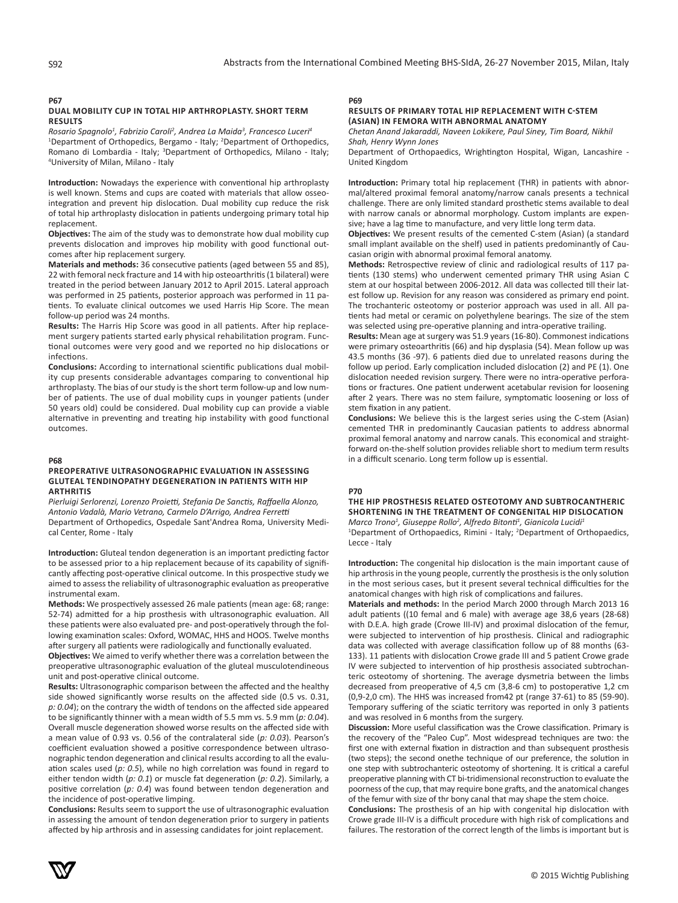**P67**

# **DUAL MOBILITY CUP IN TOTAL HIP ARTHROPLASTY. SHORT TERM RESULTS**

*Rosario Spagnolo<sup>1</sup> , Fabrizio Caroli<sup>2</sup> , Andrea La Maida<sup>3</sup> , Francesco Luceri<sup>4</sup>* <sup>1</sup>Department of Orthopedics, Bergamo - Italy; <sup>2</sup>Department of Orthopedics, Romano di Lombardia - Italy; <sup>3</sup>Department of Orthopedics, Milano - Italy; 4 University of Milan, Milano - Italy

**Introduction:** Nowadays the experience with conventional hip arthroplasty is well known. Stems and cups are coated with materials that allow osseointegration and prevent hip dislocation. Dual mobility cup reduce the risk of total hip arthroplasty dislocation in patients undergoing primary total hip replacement.

**Objectives:** The aim of the study was to demonstrate how dual mobility cup prevents dislocation and improves hip mobility with good functional outcomes after hip replacement surgery.

**Materials and methods:** 36 consecutive patients (aged between 55 and 85), 22 with femoral neck fracture and 14 with hip osteoarthritis (1 bilateral) were treated in the period between January 2012 to April 2015. Lateral approach was performed in 25 patients, posterior approach was performed in 11 patients. To evaluate clinical outcomes we used Harris Hip Score. The mean follow-up period was 24 months.

**Results:** The Harris Hip Score was good in all patients. After hip replacement surgery patients started early physical rehabilitation program. Functional outcomes were very good and we reported no hip dislocations or infections.

**Conclusions:** According to international scientific publications dual mobility cup presents considerable advantages comparing to conventional hip arthroplasty. The bias of our study is the short term follow-up and low number of patients. The use of dual mobility cups in younger patients (under 50 years old) could be considered. Dual mobility cup can provide a viable alternative in preventing and treating hip instability with good functional outcomes.

#### **P68**

# **PREOPERATIVE ULTRASONOGRAPHIC EVALUATION IN ASSESSING GLUTEAL TENDINOPATHY DEGENERATION IN PATIENTS WITH HIP ARTHRITIS**

*Pierluigi Serlorenzi, Lorenzo Proietti, Stefania De Sanctis, Raffaella Alonzo, Antonio Vadalà, Mario Vetrano, Carmelo D'Arrigo, Andrea Ferretti* Department of Orthopedics, Ospedale Sant'Andrea Roma, University Medical Center, Rome - Italy

**Introduction:** Gluteal tendon degeneration is an important predicting factor to be assessed prior to a hip replacement because of its capability of significantly affecting post-operative clinical outcome. In this prospective study we aimed to assess the reliability of ultrasonographic evaluation as preoperative instrumental exam.

**Methods:** We prospectively assessed 26 male patients (mean age: 68; range: 52-74) admitted for a hip prosthesis with ultrasonographic evaluation. All these patients were also evaluated pre- and post-operatively through the following examination scales: Oxford, WOMAC, HHS and HOOS. Twelve months after surgery all patients were radiologically and functionally evaluated.

**Objectives:** We aimed to verify whether there was a correlation between the preoperative ultrasonographic evaluation of the gluteal musculotendineous unit and post-operative clinical outcome.

**Results:** Ultrasonographic comparison between the affected and the healthy side showed significantly worse results on the affected side (0.5 vs. 0.31, *p: 0.04*); on the contrary the width of tendons on the affected side appeared to be significantly thinner with a mean width of 5.5 mm vs. 5.9 mm (*p: 0.04*). Overall muscle degeneration showed worse results on the affected side with a mean value of 0.93 vs. 0.56 of the contralateral side (*p: 0.03*). Pearson's coefficient evaluation showed a positive correspondence between ultrasonographic tendon degeneration and clinical results according to all the evaluation scales used (*p: 0.5*), while no high correlation was found in regard to either tendon width (*p: 0.1*) or muscle fat degeneration (*p: 0.2*). Similarly, a positive correlation (*p: 0.4*) was found between tendon degeneration and the incidence of post-operative limping.

**Conclusions:** Results seem to support the use of ultrasonographic evaluation in assessing the amount of tendon degeneration prior to surgery in patients affected by hip arthrosis and in assessing candidates for joint replacement.

# **P69**

#### **RESULTS OF PRIMARY TOTAL HIP REPLACEMENT WITH C-STEM (ASIAN) IN FEMORA WITH ABNORMAL ANATOMY**

*Chetan Anand Jakaraddi, Naveen Lokikere, Paul Siney, Tim Board, Nikhil Shah, Henry Wynn Jones*

Department of Orthopaedics, Wrightington Hospital, Wigan, Lancashire - United Kingdom

**Introduction:** Primary total hip replacement (THR) in patients with abnormal/altered proximal femoral anatomy/narrow canals presents a technical challenge. There are only limited standard prosthetic stems available to deal with narrow canals or abnormal morphology. Custom implants are expensive; have a lag time to manufacture, and very little long term data.

**Objectives:** We present results of the cemented C-stem (Asian) (a standard small implant available on the shelf) used in patients predominantly of Caucasian origin with abnormal proximal femoral anatomy.

**Methods:** Retrospective review of clinic and radiological results of 117 patients (130 stems) who underwent cemented primary THR using Asian C stem at our hospital between 2006-2012. All data was collected till their latest follow up. Revision for any reason was considered as primary end point. The trochanteric osteotomy or posterior approach was used in all. All patients had metal or ceramic on polyethylene bearings. The size of the stem was selected using pre-operative planning and intra-operative trailing.

**Results:** Mean age at surgery was 51.9 years (16-80). Commonest indications were primary osteoarthritis (66) and hip dysplasia (54). Mean follow up was 43.5 months (36 -97). 6 patients died due to unrelated reasons during the follow up period. Early complication included dislocation (2) and PE (1). One dislocation needed revision surgery. There were no intra-operative perforations or fractures. One patient underwent acetabular revision for loosening after 2 years. There was no stem failure, symptomatic loosening or loss of stem fixation in any patient.

**Conclusions:** We believe this is the largest series using the C-stem (Asian) cemented THR in predominantly Caucasian patients to address abnormal proximal femoral anatomy and narrow canals. This economical and straightforward on-the-shelf solution provides reliable short to medium term results in a difficult scenario. Long term follow up is essential.

#### **P70**

# **THE HIP PROSTHESIS RELATED OSTEOTOMY AND SUBTROCANTHERIC SHORTENING IN THE TREATMENT OF CONGENITAL HIP DISLOCATION**

*Marco Trono<sup>1</sup> , Giuseppe Rollo<sup>2</sup> , Alfredo Bitonti<sup>1</sup> , Gianicola Lucidi<sup>1</sup>* <sup>1</sup>Department of Orthopaedics, Rimini - Italy; <sup>2</sup>Department of Orthopaedics, Lecce - Italy

**Introduction:** The congenital hip dislocation is the main important cause of hip arthrosis in the young people, currently the prosthesis is the only solution in the most serious cases, but it present several technical difficulties for the anatomical changes with high risk of complications and failures.

**Materials and methods:** In the period March 2000 through March 2013 16 adult patients ((10 femal and 6 male) with average age 38,6 years (28-68) with D.E.A. high grade (Crowe III-IV) and proximal dislocation of the femur, were subjected to intervention of hip prosthesis. Clinical and radiographic data was collected with average classification follow up of 88 months (63- 133). 11 patients with dislocation Crowe grade III and 5 patient Crowe grade IV were subjected to intervention of hip prosthesis associated subtrochanteric osteotomy of shortening. The average dysmetria between the limbs decreased from preoperative of 4,5 cm (3,8-6 cm) to postoperative 1,2 cm (0,9-2,0 cm). The HHS was increased from42 pt (range 37-61) to 85 (59-90). Temporary suffering of the sciatic territory was reported in only 3 patients and was resolved in 6 months from the surgery.

**Discussion:** More useful classification was the Crowe classification. Primary is the recovery of the "Paleo Cup". Most widespread techniques are two: the first one with external fixation in distraction and than subsequent prosthesis (two steps); the second onethe technique of our preference, the solution in one step with subtrochanteric osteotomy of shortening. It is critical a careful preoperative planning with CT bi-tridimensional reconstruction to evaluate the poorness of the cup, that may require bone grafts, and the anatomical changes of the femur with size of thr bony canal that may shape the stem choice.

**Conclusions:** The prosthesis of an hip with congenital hip dislocation with Crowe grade III-IV is a difficult procedure with high risk of complications and failures. The restoration of the correct length of the limbs is important but is

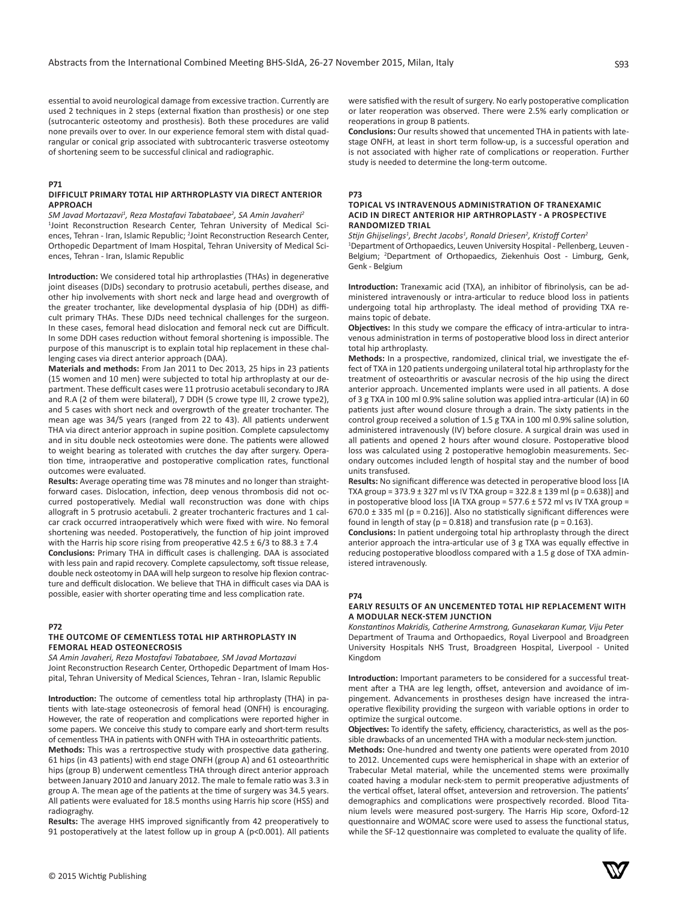S93

essential to avoid neurological damage from excessive traction. Currently are used 2 techniques in 2 steps (external fixation than prosthesis) or one step (sutrocanteric osteotomy and prosthesis). Both these procedures are valid none prevails over to over. In our experience femoral stem with distal quadrangular or conical grip associated with subtrocanteric trasverse osteotomy of shortening seem to be successful clinical and radiographic.

# **P71**

## **DIFFICULT PRIMARY TOTAL HIP ARTHROPLASTY VIA DIRECT ANTERIOR APPROACH**

*SM Javad Mortazavi<sup>1</sup> , Reza Mostafavi Tabatabaee<sup>2</sup> , SA Amin Javaheri<sup>2</sup>* <sup>1</sup>Joint Reconstruction Research Center, Tehran University of Medical Sciences, Tehran - Iran, Islamic Republic; <sup>2</sup>Joint Reconstruction Research Center, Orthopedic Department of Imam Hospital, Tehran University of Medical Sciences, Tehran - Iran, Islamic Republic

**Introduction:** We considered total hip arthroplasties (THAs) in degenerative joint diseases (DJDs) secondary to protrusio acetabuli, perthes disease, and other hip involvements with short neck and large head and overgrowth of the greater trochanter, like developmental dysplasia of hip (DDH) as difficult primary THAs. These DJDs need technical challenges for the surgeon. In these cases, femoral head dislocation and femoral neck cut are Difficult. In some DDH cases reduction without femoral shortening is impossible. The purpose of this manuscript is to explain total hip replacement in these challenging cases via direct anterior approach (DAA).

**Materials and methods:** From Jan 2011 to Dec 2013, 25 hips in 23 patients (15 women and 10 men) were subjected to total hip arthroplasty at our department. These defficult cases were 11 protrusio acetabuli secondary to JRA and R.A (2 of them were bilateral), 7 DDH (5 crowe type III, 2 crowe type2), and 5 cases with short neck and overgrowth of the greater trochanter. The mean age was 34/5 years (ranged from 22 to 43). All patients underwent THA via direct anterior approach in supine position. Complete capsulectomy and in situ double neck osteotomies were done. The patients were allowed to weight bearing as tolerated with crutches the day after surgery. Operation time, intraoperative and postoperative complication rates, functional outcomes were evaluated.

**Results:** Average operating time was 78 minutes and no longer than straightforward cases. Dislocation, infection, deep venous thrombosis did not occurred postoperatively. Medial wall reconstruction was done with chips allograft in 5 protrusio acetabuli. 2 greater trochanteric fractures and 1 calcar crack occurred intraoperatively which were fixed with wire. No femoral shortening was needed. Postoperatively, the function of hip joint improved with the Harris hip score rising from preoperative  $42.5 \pm 6/3$  to  $88.3 \pm 7.4$ **Conclusions:** Primary THA in difficult cases is challenging. DAA is associated

with less pain and rapid recovery. Complete capsulectomy, soft tissue release, double neck osteotomy in DAA will help surgeon to resolve hip flexion contracture and defficult dislocation. We believe that THA in difficult cases via DAA is possible, easier with shorter operating time and less complication rate.

# **P72**

#### **THE OUTCOME OF CEMENTLESS TOTAL HIP ARTHROPLASTY IN FEMORAL HEAD OSTEONECROSIS**

*SA Amin Javaheri, Reza Mostafavi Tabatabaee, SM Javad Mortazavi* Joint Reconstruction Research Center, Orthopedic Department of Imam Hospital, Tehran University of Medical Sciences, Tehran - Iran, Islamic Republic

**Introduction:** The outcome of cementless total hip arthroplasty (THA) in patients with late-stage osteonecrosis of femoral head (ONFH) is encouraging. However, the rate of reoperation and complications were reported higher in some papers. We conceive this study to compare early and short-term results of cementless THA in patients with ONFH with THA in osteoarthritic patients.

**Methods:** This was a rertrospective study with prospective data gathering. 61 hips (in 43 patients) with end stage ONFH (group A) and 61 osteoarthritic hips (group B) underwent cementless THA through direct anterior approach between January 2010 and January 2012. The male to female ratio was 3.3 in group A. The mean age of the patients at the time of surgery was 34.5 years. All patients were evaluated for 18.5 months using Harris hip score (HSS) and radiograghy.

**Results:** The average HHS improved significantly from 42 preoperatively to 91 postoperatively at the latest follow up in group A (p<0.001). All patients were satisfied with the result of surgery. No early postoperative complication or later reoperation was observed. There were 2.5% early complication or reoperations in group B patients.

**Conclusions:** Our results showed that uncemented THA in patients with latestage ONFH, at least in short term follow-up, is a successful operation and is not associated with higher rate of complications or reoperation. Further study is needed to determine the long-term outcome.

#### **P73**

## **TOPICAL VS INTRAVENOUS ADMINISTRATION OF TRANEXAMIC ACID IN DIRECT ANTERIOR HIP ARTHROPLASTY - A PROSPECTIVE RANDOMIZED TRIAL**

*Stijn Ghijselings<sup>1</sup> , Brecht Jacobs<sup>1</sup> , Ronald Driesen<sup>2</sup> , Kristoff Corten<sup>2</sup>* 1 Department of Orthopaedics, Leuven University Hospital - Pellenberg, Leuven - Belgium; <sup>2</sup>Department of Orthopaedics, Ziekenhuis Oost - Limburg, Genk, Genk - Belgium

**Introduction:** Tranexamic acid (TXA), an inhibitor of fibrinolysis, can be administered intravenously or intra-articular to reduce blood loss in patients undergoing total hip arthroplasty. The ideal method of providing TXA remains topic of debate.

**Objectives:** In this study we compare the efficacy of intra-articular to intravenous administration in terms of postoperative blood loss in direct anterior total hip arthroplasty.

**Methods:** In a prospective, randomized, clinical trial, we investigate the effect of TXA in 120 patients undergoing unilateral total hip arthroplasty for the treatment of osteoarthritis or avascular necrosis of the hip using the direct anterior approach. Uncemented implants were used in all patients. A dose of 3 g TXA in 100 ml 0.9% saline solution was applied intra-articular (IA) in 60 patients just after wound closure through a drain. The sixty patients in the control group received a solution of 1.5 g TXA in 100 ml 0.9% saline solution, administered intravenously (IV) before closure. A surgical drain was used in all patients and opened 2 hours after wound closure. Postoperative blood loss was calculated using 2 postoperative hemoglobin measurements. Secondary outcomes included length of hospital stay and the number of bood units transfused.

**Results:** No significant difference was detected in peroperative blood loss [IA TXA group =  $373.9 \pm 327$  ml vs IV TXA group =  $322.8 \pm 139$  ml (p = 0.638)] and in postoperative blood loss [IA TXA group = 577.6 ± 572 ml vs IV TXA group = 670.0  $\pm$  335 ml (p = 0.216)]. Also no statistically significant differences were found in length of stay ( $p = 0.818$ ) and transfusion rate ( $p = 0.163$ ).

**Conclusions:** In patient undergoing total hip arthroplasty through the direct anterior approach the intra-articular use of 3 g TXA was equally effective in reducing postoperative bloodloss compared with a 1.5 g dose of TXA administered intravenously.

## **P74**

## **EARLY RESULTS OF AN UNCEMENTED TOTAL HIP REPLACEMENT WITH A MODULAR NECK-STEM JUNCTION**

*Konstantinos Makridis, Catherine Armstrong, Gunasekaran Kumar, Viju Peter* Department of Trauma and Orthopaedics, Royal Liverpool and Broadgreen University Hospitals NHS Trust, Broadgreen Hospital, Liverpool - United Kingdom

**Introduction:** Important parameters to be considered for a successful treatment after a THA are leg length, offset, anteversion and avoidance of impingement. Advancements in prostheses design have increased the intraoperative flexibility providing the surgeon with variable options in order to optimize the surgical outcome.

**Objectives:** To identify the safety, efficiency, characteristics, as well as the possible drawbacks of an uncemented THA with a modular neck-stem junction.

**Methods:** One-hundred and twenty one patients were operated from 2010 to 2012. Uncemented cups were hemispherical in shape with an exterior of Trabecular Metal material, while the uncemented stems were proximally coated having a modular neck-stem to permit preoperative adjustments of the vertical offset, lateral offset, anteversion and retroversion. The patients' demographics and complications were prospectively recorded. Blood Titanium levels were measured post-surgery. The Harris Hip score, Oxford-12 questionnaire and WOMAC score were used to assess the functional status, while the SF-12 questionnaire was completed to evaluate the quality of life.

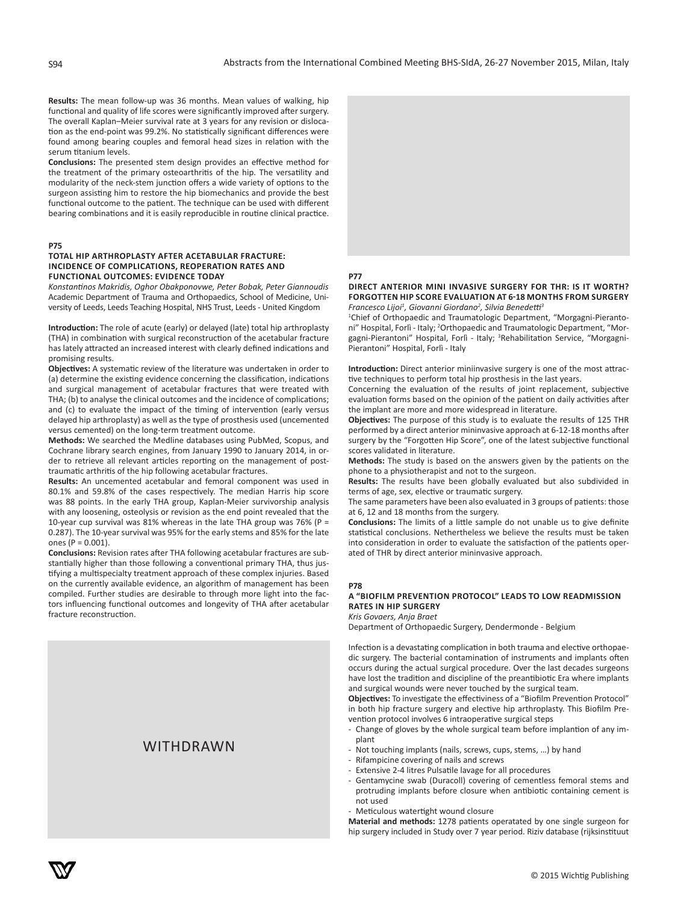**Results:** The mean follow-up was 36 months. Mean values of walking, hip functional and quality of life scores were significantly improved after surgery. The overall Kaplan–Meier survival rate at 3 years for any revision or dislocation as the end-point was 99.2%. No statistically significant differences were found among bearing couples and femoral head sizes in relation with the serum titanium levels.

**Conclusions:** The presented stem design provides an effective method for the treatment of the primary osteoarthritis of the hip. The versatility and modularity of the neck-stem junction offers a wide variety of options to the surgeon assisting him to restore the hip biomechanics and provide the best functional outcome to the patient. The technique can be used with different bearing combinations and it is easily reproducible in routine clinical practice.

#### **P75**

## **TOTAL HIP ARTHROPLASTY AFTER ACETABULAR FRACTURE: INCIDENCE OF COMPLICATIONS, REOPERATION RATES AND FUNCTIONAL OUTCOMES: EVIDENCE TODAY**

*Konstantinos Makridis, Oghor Obakponovwe, Peter Bobak, Peter Giannoudis* Academic Department of Trauma and Orthopaedics, School of Medicine, University of Leeds, Leeds Teaching Hospital, NHS Trust, Leeds - United Kingdom

**Introduction:** The role of acute (early) or delayed (late) total hip arthroplasty (THA) in combination with surgical reconstruction of the acetabular fracture has lately attracted an increased interest with clearly defined indications and promising results.

**Objectives:** A systematic review of the literature was undertaken in order to (a) determine the existing evidence concerning the classification, indications and surgical management of acetabular fractures that were treated with THA; (b) to analyse the clinical outcomes and the incidence of complications; and (c) to evaluate the impact of the timing of intervention (early versus delayed hip arthroplasty) as well as the type of prosthesis used (uncemented versus cemented) on the long-term treatment outcome.

**Methods:** We searched the Medline databases using PubMed, Scopus, and Cochrane library search engines, from January 1990 to January 2014, in order to retrieve all relevant articles reporting on the management of posttraumatic arthritis of the hip following acetabular fractures.

**Results:** An uncemented acetabular and femoral component was used in 80.1% and 59.8% of the cases respectively. The median Harris hip score was 88 points. In the early THA group, Kaplan-Meier survivorship analysis with any loosening, osteolysis or revision as the end point revealed that the 10-year cup survival was 81% whereas in the late THA group was 76% (P = 0.287). The 10-year survival was 95% for the early stems and 85% for the late ones (P = 0.001).

**Conclusions:** Revision rates after THA following acetabular fractures are substantially higher than those following a conventional primary THA, thus justifying a multispecialty treatment approach of these complex injuries. Based on the currently available evidence, an algorithm of management has been compiled. Further studies are desirable to through more light into the factors influencing functional outcomes and longevity of THA after acetabular fracture reconstruction.

#### eral researchers have reported that imageless navigation is a reliable technique and results in more precise cup placement compared to conventional WITHDRAWN



## **P77**

# **DIRECT ANTERIOR MINI INVASIVE SURGERY FOR THR: IS IT WORTH? FORGOTTEN HIP SCORE EVALUATION AT 6-18 MONTHS FROM SURGERY** *Francesco Lijoi<sup>1</sup> , Giovanni Giordano<sup>2</sup> , Silvia Benedetti<sup>3</sup>*

<sup>1</sup>Chief of Orthopaedic and Traumatologic Department, "Morgagni-Pierantoni" Hospital, Forlì - Italy; <sup>2</sup>Orthopaedic and Traumatologic Department, "Morgagni-Pierantoni" Hospital, Forlì - Italy; <sup>3</sup>Rehabilitation Service, "Morgagni-Pierantoni" Hospital, Forlì - Italy

**Introduction:** Direct anterior miniinvasive surgery is one of the most attractive techniques to perform total hip prosthesis in the last years.

Concerning the evaluation of the results of joint replacement, subjective evaluation forms based on the opinion of the patient on daily activities after the implant are more and more widespread in literature.

**Objectives:** The purpose of this study is to evaluate the results of 125 THR performed by a direct anterior mininvasive approach at 6-12-18 months after surgery by the "Forgotten Hip Score", one of the latest subjective functional scores validated in literature.

**Methods:** The study is based on the answers given by the patients on the phone to a physiotherapist and not to the surgeon.

**Results:** The results have been globally evaluated but also subdivided in terms of age, sex, elective or traumatic surgery.

The same parameters have been also evaluated in 3 groups of patients: those at 6, 12 and 18 months from the surgery.

**Conclusions:** The limits of a little sample do not unable us to give definite statistical conclusions. Nethertheless we believe the results must be taken into consideration in order to evaluate the satisfaction of the patients operated of THR by direct anterior mininvasive approach.

#### **P78**

# **A "BIOFILM PREVENTION PROTOCOL" LEADS TO LOW READMISSION RATES IN HIP SURGERY**

*Kris Govaers, Anja Braet*

Department of Orthopaedic Surgery, Dendermonde - Belgium

Infection is a devastating complication in both trauma and elective orthopaedic surgery. The bacterial contamination of instruments and implants often occurs during the actual surgical procedure. Over the last decades surgeons have lost the tradition and discipline of the preantibiotic Era where implants and surgical wounds were never touched by the surgical team.

**Objectives:** To investigate the effectiviness of a "Biofilm Prevention Protocol" in both hip fracture surgery and elective hip arthroplasty. This Biofilm Prevention protocol involves 6 intraoperative surgical steps

- Change of gloves by the whole surgical team before implantion of any implant
- Not touching implants (nails, screws, cups, stems, …) by hand
- Rifampicine covering of nails and screws
- Extensive 2-4 litres Pulsatile lavage for all procedures
- Gentamycine swab (Duracoll) covering of cementless femoral stems and protruding implants before closure when antibiotic containing cement is not used
- Meticulous watertight wound closure

**Material and methods:** 1278 patients operatated by one single surgeon for hip surgery included in Study over 7 year period. Riziv database (rijksinstituut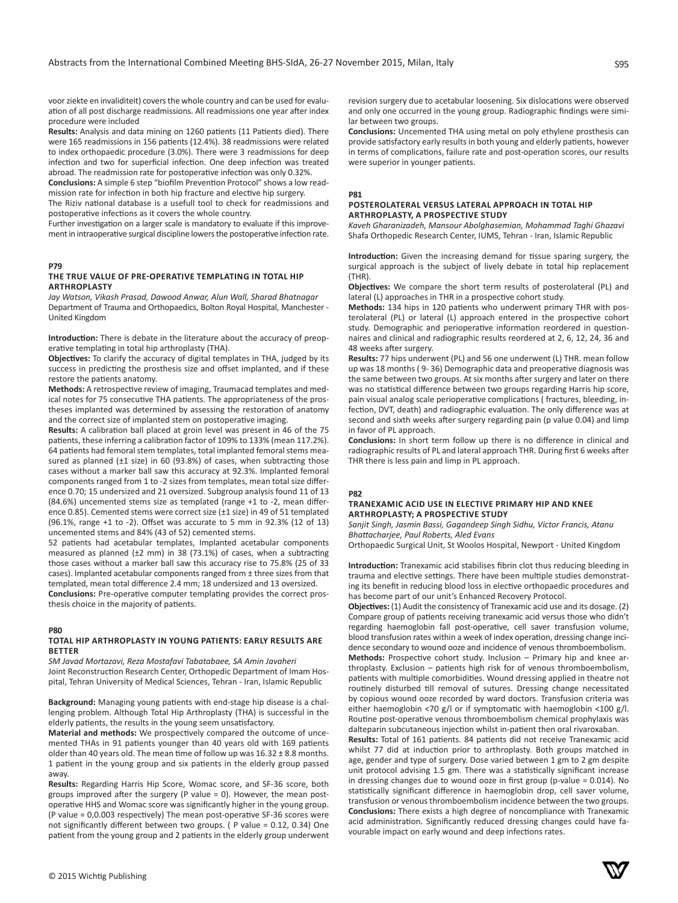voor ziekte en invaliditeit) covers the whole country and can be used for evaluation of all post discharge readmissions. All readmissions one year after index procedure were included

**Results:** Analysis and data mining on 1260 patients (11 Patients died). There were 165 readmissions in 156 patients (12.4%). 38 readmissions were related to index orthopaedic procedure (3.0%). There were 3 readmissions for deep infection and two for superficial infection. One deep infection was treated abroad. The readmission rate for postoperative infection was only 0.32%.

**Conclusions:** A simple 6 step "biofilm Prevention Protocol" shows a low readmission rate for infection in both hip fracture and elective hip surgery.

The Riziv national database is a usefull tool to check for readmissions and postoperative infections as it covers the whole country.

Further investigation on a larger scale is mandatory to evaluate if this improvement in intraoperative surgical discipline lowers the postoperative infection rate.

#### **P79**

## **THE TRUE VALUE OF PRE-OPERATIVE TEMPLATING IN TOTAL HIP ARTHROPLASTY**

*Jay Watson, Vikash Prasad, Dawood Anwar, Alun Wall, Sharad Bhatnagar* Department of Trauma and Orthopaedics, Bolton Royal Hospital, Manchester - United Kingdom

**Introduction:** There is debate in the literature about the accuracy of preoperative templating in total hip arthroplasty (THA).

**Objectives:** To clarify the accuracy of digital templates in THA, judged by its success in predicting the prosthesis size and offset implanted, and if these restore the patients anatomy.

**Methods:** A retrospective review of imaging, Traumacad templates and medical notes for 75 consecutive THA patients. The appropriateness of the prostheses implanted was determined by assessing the restoration of anatomy and the correct size of implanted stem on postoperative imaging.

**Results:** A calibration ball placed at groin level was present in 46 of the 75 patients, these inferring a calibration factor of 109% to 133% (mean 117.2%). 64 patients had femoral stem templates, total implanted femoral stems measured as planned (±1 size) in 60 (93.8%) of cases, when subtracting those cases without a marker ball saw this accuracy at 92.3%. Implanted femoral components ranged from 1 to -2 sizes from templates, mean total size difference 0.70; 15 undersized and 21 oversized. Subgroup analysis found 11 of 13 (84.6%) uncemented stems size as templated (range +1 to -2, mean difference 0.85). Cemented stems were correct size (±1 size) in 49 of 51 templated (96.1%, range +1 to -2). Offset was accurate to 5 mm in 92.3% (12 of 13) uncemented stems and 84% (43 of 52) cemented stems.

52 patients had acetabular templates, Implanted acetabular components measured as planned (±2 mm) in 38 (73.1%) of cases, when a subtracting those cases without a marker ball saw this accuracy rise to 75.8% (25 of 33 cases). Implanted acetabular components ranged from ± three sizes from that templated, mean total difference 2.4 mm; 18 undersized and 13 oversized.

**Conclusions:** Pre-operative computer templating provides the correct prosthesis choice in the majority of patients.

#### **P80**

# **TOTAL HIP ARTHROPLASTY IN YOUNG PATIENTS: EARLY RESULTS ARE BETTER**

*SM Javad Mortazavi, Reza Mostafavi Tabatabaee, SA Amin Javaheri* Joint Reconstruction Research Center, Orthopedic Department of Imam Hospital, Tehran University of Medical Sciences, Tehran - Iran, Islamic Republic

**Background:** Managing young patients with end-stage hip disease is a challenging problem. Although Total Hip Arthroplasty (THA) is successful in the elderly patients, the results in the young seem unsatisfactory.

**Material and methods:** We prospectively compared the outcome of uncemented THAs in 91 patients younger than 40 years old with 169 patients older than 40 years old. The mean time of follow up was 16.32 ± 8.8 months. 1 patient in the young group and six patients in the elderly group passed away.

**Results:** Regarding Harris Hip Score, Womac score, and SF-36 score, both groups improved after the surgery (P value = 0). However, the mean postoperative HHS and Womac score was significantly higher in the young group. (P value = 0,0.003 respectively) The mean post-operative SF-36 scores were not significantly different between two groups. ( P value = 0.12, 0.34) One patient from the young group and 2 patients in the elderly group underwent

revision surgery due to acetabular loosening. Six dislocations were observed and only one occurred in the young group. Radiographic findings were similar between two groups.

**Conclusions:** Uncemented THA using metal on poly ethylene prosthesis can provide satisfactory early results in both young and elderly patients, however in terms of complications, failure rate and post-operation scores, our results were superior in younger patients.

#### **P81**

#### **POSTEROLATERAL VERSUS LATERAL APPROACH IN TOTAL HIP ARTHROPLASTY, A PROSPECTIVE STUDY**

*Kaveh Gharanizadeh, Mansour Abolghasemian, Mohammad Taghi Ghazavi* Shafa Orthopedic Research Center, IUMS, Tehran - Iran, Islamic Republic

**Introduction:** Given the increasing demand for tissue sparing surgery, the surgical approach is the subject of lively debate in total hip replacement (THR).

**Objectives:** We compare the short term results of posterolateral (PL) and lateral (L) approaches in THR in a prospective cohort study.

**Methods:** 134 hips in 120 patients who underwent primary THR with posterolateral (PL) or lateral (L) approach entered in the prospective cohort study. Demographic and perioperative information reordered in questionnaires and clinical and radiographic results reordered at 2, 6, 12, 24, 36 and 48 weeks after surgery.

**Results:** 77 hips underwent (PL) and 56 one underwent (L) THR. mean follow up was 18 months ( 9- 36) Demographic data and preoperative diagnosis was the same between two groups. At six months after surgery and later on there was no statistical difference between two groups regarding Harris hip score, pain visual analog scale perioperative complications ( fractures, bleeding, infection, DVT, death) and radiographic evaluation. The only difference was at second and sixth weeks after surgery regarding pain (p value 0.04) and limp in favor of PL approach.

**Conclusions:** In short term follow up there is no difference in clinical and radiographic results of PL and lateral approach THR. During first 6 weeks after THR there is less pain and limp in PL approach.

#### **P82**

#### **TRANEXAMIC ACID USE IN ELECTIVE PRIMARY HIP AND KNEE ARTHROPLASTY; A PROSPECTIVE STUDY**

*Sanjit Singh, Jasmin Bassi, Gagandeep Singh Sidhu, Victor Francis, Atanu Bhattacharjee, Paul Roberts, Aled Evans*

Orthopaedic Surgical Unit, St Woolos Hospital, Newport - United Kingdom

**Introduction:** Tranexamic acid stabilises fibrin clot thus reducing bleeding in trauma and elective settings. There have been multiple studies demonstrating its benefit in reducing blood loss in elective orthopaedic procedures and has become part of our unit's Enhanced Recovery Protocol.

**Objectives:** (1) Audit the consistency of Tranexamic acid use and its dosage. (2) Compare group of patients receiving tranexamic acid versus those who didn't regarding haemoglobin fall post-operative, cell saver transfusion volume, blood transfusion rates within a week of index operation, dressing change incidence secondary to wound ooze and incidence of venous thromboembolism. **Methods:** Prospective cohort study. Inclusion – Primary hip and knee arthroplasty. Exclusion – patients high risk for of venous thromboembolism, patients with multiple comorbidities. Wound dressing applied in theatre not routinely disturbed till removal of sutures. Dressing change necessitated by copious wound ooze recorded by ward doctors. Transfusion criteria was either haemoglobin <70 g/l or if symptomatic with haemoglobin <100 g/l.

Routine post-operative venous thromboembolism chemical prophylaxis was dalteparin subcutaneous injection whilst in-patient then oral rivaroxaban.

**Results:** Total of 161 patients. 84 patients did not receive Tranexamic acid whilst 77 did at induction prior to arthroplasty. Both groups matched in age, gender and type of surgery. Dose varied between 1 gm to 2 gm despite unit protocol advising 1.5 gm. There was a statistically significant increase in dressing changes due to wound ooze in first group (p-value = 0.014). No statistically significant difference in haemoglobin drop, cell saver volume, transfusion or venous thromboembolism incidence between the two groups. **Conclusions:** There exists a high degree of noncompliance with Tranexamic acid administration. Significantly reduced dressing changes could have favourable impact on early wound and deep infections rates.

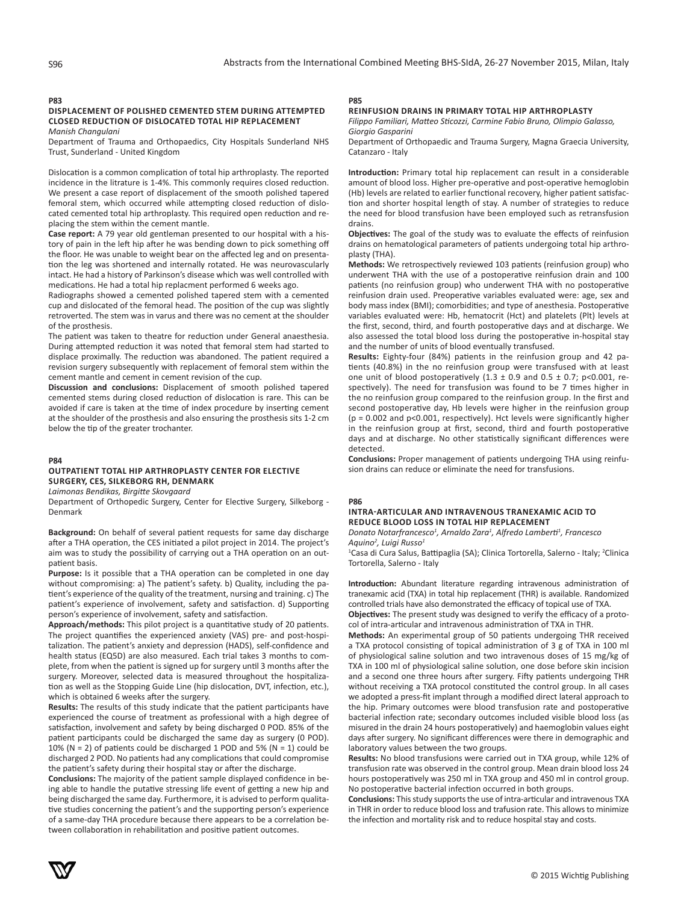## **P83**

#### **DISPLACEMENT OF POLISHED CEMENTED STEM DURING ATTEMPTED CLOSED REDUCTION OF DISLOCATED TOTAL HIP REPLACEMENT** *Manish Changulani*

Department of Trauma and Orthopaedics, City Hospitals Sunderland NHS Trust, Sunderland - United Kingdom

Dislocation is a common complication of total hip arthroplasty. The reported incidence in the litrature is 1-4%. This commonly requires closed reduction. We present a case report of displacement of the smooth polished tapered femoral stem, which occurred while attempting closed reduction of dislocated cemented total hip arthroplasty. This required open reduction and replacing the stem within the cement mantle.

**Case report:** A 79 year old gentleman presented to our hospital with a history of pain in the left hip after he was bending down to pick something off the floor. He was unable to weight bear on the affected leg and on presentation the leg was shortened and internally rotated. He was neurovascularly intact. He had a history of Parkinson's disease which was well controlled with medications. He had a total hip replacment performed 6 weeks ago.

Radiographs showed a cemented polished tapered stem with a cemented cup and dislocated of the femoral head. The position of the cup was slightly retroverted. The stem was in varus and there was no cement at the shoulder of the prosthesis.

The patient was taken to theatre for reduction under General anaesthesia. During attempted reduction it was noted that femoral stem had started to displace proximally. The reduction was abandoned. The patient required a revision surgery subsequently with replacement of femoral stem within the cement mantle and cement in cement revision of the cup.

**Discussion and conclusions:** Displacement of smooth polished tapered cemented stems during closed reduction of dislocation is rare. This can be avoided if care is taken at the time of index procedure by inserting cement at the shoulder of the prosthesis and also ensuring the prosthesis sits 1-2 cm below the tip of the greater trochanter.

#### **P84**

# **OUTPATIENT TOTAL HIP ARTHROPLASTY CENTER FOR ELECTIVE SURGERY, CES, SILKEBORG RH, DENMARK**

*Laimonas Bendikas, Birgitte Skovgaard*

Department of Orthopedic Surgery, Center for Elective Surgery, Silkeborg - Denmark

**Background:** On behalf of several patient requests for same day discharge after a THA operation, the CES initiated a pilot project in 2014. The project's aim was to study the possibility of carrying out a THA operation on an outpatient basis.

Purpose: Is it possible that a THA operation can be completed in one day without compromising: a) The patient's safety. b) Quality, including the patient's experience of the quality of the treatment, nursing and training. c) The patient's experience of involvement, safety and satisfaction. d) Supporting person's experience of involvement, safety and satisfaction.

**Approach/methods:** This pilot project is a quantitative study of 20 patients. The project quantifies the experienced anxiety (VAS) pre- and post-hospitalization. The patient's anxiety and depression (HADS), self-confidence and health status (EQ5D) are also measured. Each trial takes 3 months to complete, from when the patient is signed up for surgery until 3 months after the surgery. Moreover, selected data is measured throughout the hospitalization as well as the Stopping Guide Line (hip dislocation, DVT, infection, etc.), which is obtained 6 weeks after the surgery.

**Results:** The results of this study indicate that the patient participants have experienced the course of treatment as professional with a high degree of satisfaction, involvement and safety by being discharged 0 POD. 85% of the patient participants could be discharged the same day as surgery (0 POD). 10% (N = 2) of patients could be discharged 1 POD and 5% (N = 1) could be discharged 2 POD. No patients had any complications that could compromise the patient's safety during their hospital stay or after the discharge.

**Conclusions:** The majority of the patient sample displayed confidence in being able to handle the putative stressing life event of getting a new hip and being discharged the same day. Furthermore, it is advised to perform qualitative studies concerning the patient's and the supporting person's experience of a same-day THA procedure because there appears to be a correlation between collaboration in rehabilitation and positive patient outcomes.

# **P85**

## **REINFUSION DRAINS IN PRIMARY TOTAL HIP ARTHROPLASTY**

*Filippo Familiari, Matteo Sticozzi, Carmine Fabio Bruno, Olimpio Galasso, Giorgio Gasparini*

Department of Orthopaedic and Trauma Surgery, Magna Graecia University, Catanzaro - Italy

**Introduction:** Primary total hip replacement can result in a considerable amount of blood loss. Higher pre-operative and post-operative hemoglobin (Hb) levels are related to earlier functional recovery, higher patient satisfaction and shorter hospital length of stay. A number of strategies to reduce the need for blood transfusion have been employed such as retransfusion drains.

**Objectives:** The goal of the study was to evaluate the effects of reinfusion drains on hematological parameters of patients undergoing total hip arthroplasty (THA).

**Methods:** We retrospectively reviewed 103 patients (reinfusion group) who underwent THA with the use of a postoperative reinfusion drain and 100 patients (no reinfusion group) who underwent THA with no postoperative reinfusion drain used. Preoperative variables evaluated were: age, sex and body mass index (BMI); comorbidities; and type of anesthesia. Postoperative variables evaluated were: Hb, hematocrit (Hct) and platelets (Plt) levels at the first, second, third, and fourth postoperative days and at discharge. We also assessed the total blood loss during the postoperative in-hospital stay and the number of units of blood eventually transfused.

**Results:** Eighty-four (84%) patients in the reinfusion group and 42 patients (40.8%) in the no reinfusion group were transfused with at least one unit of blood postoperatively (1.3  $\pm$  0.9 and 0.5  $\pm$  0.7; p<0.001, respectively). The need for transfusion was found to be 7 times higher in the no reinfusion group compared to the reinfusion group. In the first and second postoperative day, Hb levels were higher in the reinfusion group (p = 0.002 and p<0.001, respectively). Hct levels were significantly higher in the reinfusion group at first, second, third and fourth postoperative days and at discharge. No other statistically significant differences were detected.

**Conclusions:** Proper management of patients undergoing THA using reinfusion drains can reduce or eliminate the need for transfusions.

#### **P86**

## **INTRA-ARTICULAR AND INTRAVENOUS TRANEXAMIC ACID TO REDUCE BLOOD LOSS IN TOTAL HIP REPLACEMENT**

*Donato Notarfrancesco<sup>1</sup> , Arnaldo Zara<sup>1</sup> , Alfredo Lamberti<sup>1</sup> , Francesco Aquino<sup>2</sup> , Luigi Russo<sup>1</sup>*

<sup>1</sup> Casa di Cura Salus, Battipaglia (SA); Clinica Tortorella, Salerno - Italy; <sup>2</sup> Clinica Tortorella, Salerno - Italy

**Introduction:** Abundant literature regarding intravenous administration of tranexamic acid (TXA) in total hip replacement (THR) is available. Randomized controlled trials have also demonstrated the efficacy of topical use of TXA. **Objectives:** The present study was designed to verify the efficacy of a proto-

col of intra-articular and intravenous administration of TXA in THR.

**Methods:** An experimental group of 50 patients undergoing THR received a TXA protocol consisting of topical administration of 3 g of TXA in 100 ml of physiological saline solution and two intravenous doses of 15 mg/kg of TXA in 100 ml of physiological saline solution, one dose before skin incision and a second one three hours after surgery. Fifty patients undergoing THR without receiving a TXA protocol constituted the control group. In all cases we adopted a press-fit implant through a modified direct lateral approach to the hip. Primary outcomes were blood transfusion rate and postoperative bacterial infection rate; secondary outcomes included visible blood loss (as misured in the drain 24 hours postoperatively) and haemoglobin values eight days after surgery. No significant differences were there in demographic and laboratory values between the two groups.

**Results:** No blood transfusions were carried out in TXA group, while 12% of transfusion rate was observed in the control group. Mean drain blood loss 24 hours postoperatively was 250 ml in TXA group and 450 ml in control group. No postoperative bacterial infection occurred in both groups.

**Conclusions:** This study supports the use of intra-articular and intravenous TXA in THR in order to reduce blood loss and trafusion rate. This allows to minimize the infection and mortality risk and to reduce hospital stay and costs.

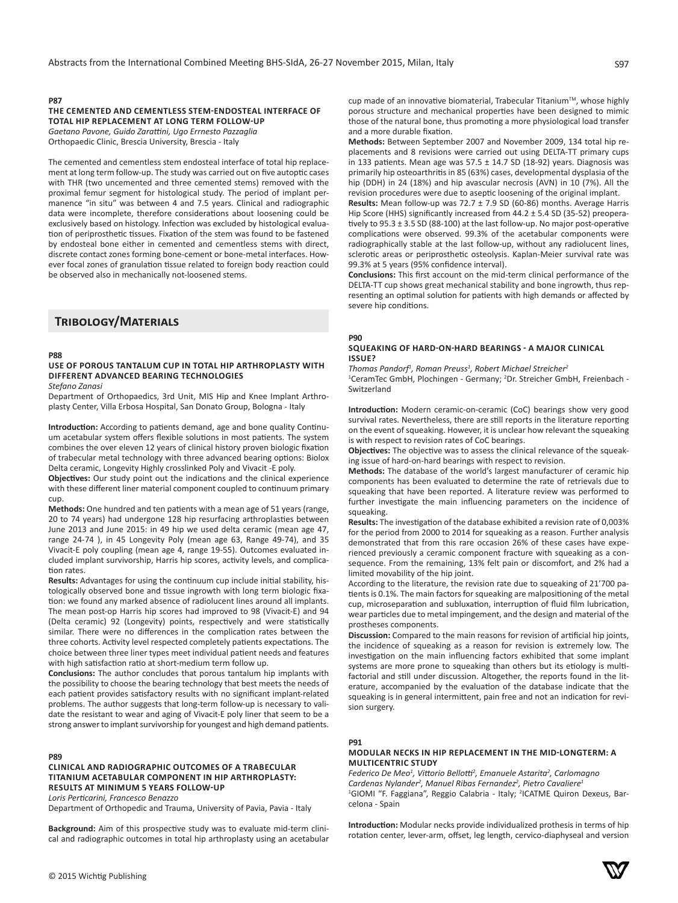## **P87**

# **THE CEMENTED AND CEMENTLESS STEM-ENDOSTEAL INTERFACE OF TOTAL HIP REPLACEMENT AT LONG TERM FOLLOW-UP**

*Gaetano Pavone, Guido Zarattini, Ugo Errnesto Pazzaglia* Orthopaedic Clinic, Brescia University, Brescia - Italy

The cemented and cementless stem endosteal interface of total hip replacement at long term follow-up. The study was carried out on five autoptic cases with THR (two uncemented and three cemented stems) removed with the proximal femur segment for histological study. The period of implant permanence "in situ" was between 4 and 7.5 years. Clinical and radiographic data were incomplete, therefore considerations about loosening could be exclusively based on histology. Infection was excluded by histological evaluation of periprosthetic tissues. Fixation of the stem was found to be fastened by endosteal bone either in cemented and cementless stems with direct, discrete contact zones forming bone-cement or bone-metal interfaces. However focal zones of granulation tissue related to foreign body reaction could be observed also in mechanically not-loosened stems.

# **Tribology/Materials**

#### **P88**

# **USE OF POROUS TANTALUM CUP IN TOTAL HIP ARTHROPLASTY WITH DIFFERENT ADVANCED BEARING TECHNOLOGIES**

*Stefano Zanasi*

Department of Orthopaedics, 3rd Unit, MIS Hip and Knee Implant Arthroplasty Center, Villa Erbosa Hospital, San Donato Group, Bologna - Italy

**Introduction:** According to patients demand, age and bone quality Continuum acetabular system offers flexible solutions in most patients. The system combines the over eleven 12 years of clinical history proven biologic fixation of trabecular metal technology with three advanced bearing options: Biolox Delta ceramic, Longevity Highly crosslinked Poly and Vivacit -E poly.

**Objectives:** Our study point out the indications and the clinical experience with these different liner material component coupled to continuum primary cup.

**Methods:** One hundred and ten patients with a mean age of 51 years (range, 20 to 74 years) had undergone 128 hip resurfacing arthroplasties between June 2013 and June 2015: in 49 hip we used delta ceramic (mean age 47, range 24-74 ), in 45 Longevity Poly (mean age 63, Range 49-74), and 35 Vivacit-E poly coupling (mean age 4, range 19-55). Outcomes evaluated included implant survivorship, Harris hip scores, activity levels, and complication rates.

**Results:** Advantages for using the continuum cup include initial stability, histologically observed bone and tissue ingrowth with long term biologic fixation: we found any marked absence of radiolucent lines around all implants. The mean post-op Harris hip scores had improved to 98 (Vivacit-E) and 94 (Delta ceramic) 92 (Longevity) points, respectively and were statistically similar. There were no differences in the complication rates between the three cohorts. Activity level respected completely patients expectations. The choice between three liner types meet individual patient needs and features with high satisfaction ratio at short-medium term follow up.

**Conclusions:** The author concludes that porous tantalum hip implants with the possibility to choose the bearing technology that best meets the needs of each patient provides satisfactory results with no significant implant-related problems. The author suggests that long-term follow-up is necessary to validate the resistant to wear and aging of Vivacit-E poly liner that seem to be a strong answer to implant survivorship for youngest and high demand patients.

# **P89**

# **CLINICAL AND RADIOGRAPHIC OUTCOMES OF A TRABECULAR TITANIUM ACETABULAR COMPONENT IN HIP ARTHROPLASTY: RESULTS AT MINIMUM 5 YEARS FOLLOW-UP**

*Loris Perticarini, Francesco Benazzo*

Department of Orthopedic and Trauma, University of Pavia, Pavia - Italy

**Background:** Aim of this prospective study was to evaluate mid-term clinical and radiographic outcomes in total hip arthroplasty using an acetabular cup made of an innovative biomaterial, Trabecular Titanium™, whose highly porous structure and mechanical properties have been designed to mimic those of the natural bone, thus promoting a more physiological load transfer and a more durable fixation.

**Methods:** Between September 2007 and November 2009, 134 total hip replacements and 8 revisions were carried out using DELTA-TT primary cups in 133 patients. Mean age was  $57.5 \pm 14.7$  SD (18-92) years. Diagnosis was primarily hip osteoarthritis in 85 (63%) cases, developmental dysplasia of the hip (DDH) in 24 (18%) and hip avascular necrosis (AVN) in 10 (7%). All the revision procedures were due to aseptic loosening of the original implant.

**Results:** Mean follow-up was 72.7 ± 7.9 SD (60-86) months. Average Harris Hip Score (HHS) significantly increased from 44.2 ± 5.4 SD (35-52) preoperatively to 95.3 ± 3.5 SD (88-100) at the last follow-up. No major post-operative complications were observed. 99.3% of the acetabular components were radiographically stable at the last follow-up, without any radiolucent lines, sclerotic areas or periprosthetic osteolysis. Kaplan-Meier survival rate was 99.3% at 5 years (95% confidence interval).

**Conclusions:** This first account on the mid-term clinical performance of the DELTA-TT cup shows great mechanical stability and bone ingrowth, thus representing an optimal solution for patients with high demands or affected by severe hip conditions.

#### **P90**

#### **SQUEAKING OF HARD-ON-HARD BEARINGS - A MAJOR CLINICAL ISSUE?**

*Thomas Pandorf<sup>1</sup> , Roman Preuss<sup>1</sup> , Robert Michael Streicher<sup>2</sup>*

<sup>1</sup>CeramTec GmbH, Plochingen - Germany; <sup>2</sup>Dr. Streicher GmbH, Freienbach -Switzerland

**Introduction:** Modern ceramic-on-ceramic (CoC) bearings show very good survival rates. Nevertheless, there are still reports in the literature reporting on the event of squeaking. However, it is unclear how relevant the squeaking is with respect to revision rates of CoC bearings.

**Objectives:** The objective was to assess the clinical relevance of the squeaking issue of hard-on-hard bearings with respect to revision.

**Methods:** The database of the world's largest manufacturer of ceramic hip components has been evaluated to determine the rate of retrievals due to squeaking that have been reported. A literature review was performed to further investigate the main influencing parameters on the incidence of squeaking.

**Results:** The investigation of the database exhibited a revision rate of 0,003% for the period from 2000 to 2014 for squeaking as a reason. Further analysis demonstrated that from this rare occasion 26% of these cases have experienced previously a ceramic component fracture with squeaking as a consequence. From the remaining, 13% felt pain or discomfort, and 2% had a limited movability of the hip joint.

According to the literature, the revision rate due to squeaking of 21'700 patients is 0.1%. The main factors for squeaking are malpositioning of the metal cup, microseparation and subluxation, interruption of fluid film lubrication, wear particles due to metal impingement, and the design and material of the prostheses components.

**Discussion:** Compared to the main reasons for revision of artificial hip joints, the incidence of squeaking as a reason for revision is extremely low. The investigation on the main influencing factors exhibited that some implant systems are more prone to squeaking than others but its etiology is multifactorial and still under discussion. Altogether, the reports found in the literature, accompanied by the evaluation of the database indicate that the squeaking is in general intermittent, pain free and not an indication for revision surgery.

#### **P91**

## **MODULAR NECKS IN HIP REPLACEMENT IN THE MID-LONGTERM: A MULTICENTRIC STUDY**

*Federico De Meo<sup>1</sup> , Vittorio Bellotti<sup>2</sup> , Emanuele Astarita<sup>2</sup> , Carlomagno Cardenas Nylander<sup>2</sup> , Manuel Ribas Fernandez<sup>2</sup> , Pietro Cavaliere<sup>1</sup>* <sup>1</sup>GIOMI "F. Faggiana", Reggio Calabria - Italy; <sup>2</sup>ICATME Quiron Dexeus, Barcelona - Spain

**Introduction:** Modular necks provide individualized prothesis in terms of hip rotation center, lever-arm, offset, leg length, cervico-diaphyseal and version

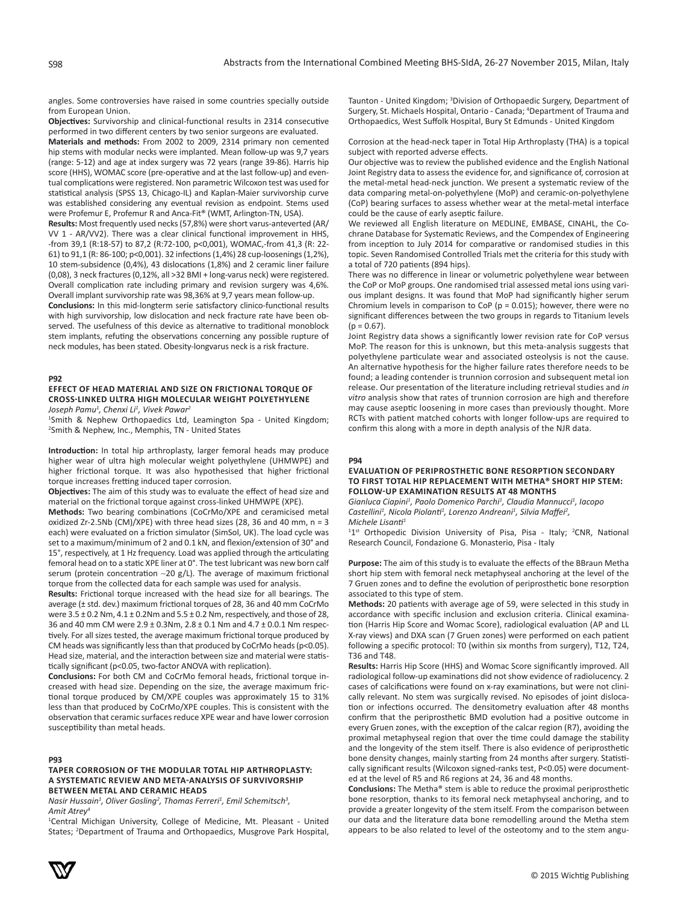angles. Some controversies have raised in some countries specially outside from European Union.

**Objectives:** Survivorship and clinical-functional results in 2314 consecutive performed in two different centers by two senior surgeons are evaluated.

**Materials and methods:** From 2002 to 2009, 2314 primary non cemented hip stems with modular necks were implanted. Mean follow-up was 9,7 years (range: 5-12) and age at index surgery was 72 years (range 39-86). Harris hip score (HHS), WOMAC score (pre-operative and at the last follow-up) and eventual complications were registered. Non parametric Wilcoxon test was used for statistical analysis (SPSS 13, Chicago-IL) and Kaplan-Maier survivorship curve was established considering any eventual revision as endpoint. Stems used were Profemur E, Profemur R and Anca-Fit® (WMT, Arlington-TN, USA).

**Results:** Most frequently used necks (57,8%) were short varus-anteverted (AR/ VV 1 - AR/VV2). There was a clear clinical functional improvement in HHS, -from 39,1 (R:18-57) to 87,2 (R:72-100, p<0,001), WOMAC,-from 41,3 (R: 22- 61) to 91,1 (R: 86-100; p<0,001). 32 infections (1,4%) 28 cup-loosenings (1,2%), 10 stem-subsidence (0,4%), 43 dislocations (1,8%) and 2 ceramic liner failure (0,08), 3 neck fractures (0,12%, all >32 BMI + long-varus neck) were registered. Overall complication rate including primary and revision surgery was 4,6%. Overall implant survivorship rate was 98,36% at 9,7 years mean follow-up.

**Conclusions:** In this mid-longterm serie satisfactory clinico-functional results with high survivorship, low dislocation and neck fracture rate have been observed. The usefulness of this device as alternative to traditional monoblock stem implants, refuting the observations concerning any possible rupture of neck modules, has been stated. Obesity-longvarus neck is a risk fracture.

#### **P92**

# **EFFECT OF HEAD MATERIAL AND SIZE ON FRICTIONAL TORQUE OF CROSS-LINKED ULTRA HIGH MOLECULAR WEIGHT POLYETHYLENE**

*Joseph Pamu<sup>1</sup> , Chenxi Li<sup>1</sup> , Vivek Pawar<sup>2</sup>*

1 Smith & Nephew Orthopaedics Ltd, Leamington Spa - United Kingdom; 2 Smith & Nephew, Inc., Memphis, TN - United States

**Introduction:** In total hip arthroplasty, larger femoral heads may produce higher wear of ultra high molecular weight polyethylene (UHMWPE) and higher frictional torque. It was also hypothesised that higher frictional torque increases fretting induced taper corrosion.

**Objectives:** The aim of this study was to evaluate the effect of head size and material on the frictional torque against cross-linked UHMWPE (XPE).

**Methods:** Two bearing combinations (CoCrMo/XPE and ceramicised metal oxidized Zr-2.5Nb (CM)/XPE) with three head sizes (28, 36 and 40 mm, n = 3 each) were evaluated on a friction simulator (SimSol, UK). The load cycle was set to a maximum/minimum of 2 and 0.1 kN, and flexion/extension of 30° and 15°, respectively, at 1 Hz frequency. Load was applied through the articulating femoral head on to a static XPE liner at 0°. The test lubricant was new born calf serum (protein concentration  $\sim$ 20 g/L). The average of maximum frictional torque from the collected data for each sample was used for analysis.

**Results:** Frictional torque increased with the head size for all bearings. The average (± std. dev.) maximum frictional torques of 28, 36 and 40 mm CoCrMo were  $3.5 \pm 0.2$  Nm,  $4.1 \pm 0.2$ Nm and  $5.5 \pm 0.2$  Nm, respectively, and those of 28, 36 and 40 mm CM were 2.9 ± 0.3Nm, 2.8 ± 0.1 Nm and 4.7 ± 0.0.1 Nm respectively. For all sizes tested, the average maximum frictional torque produced by CM heads was significantly less than that produced by CoCrMo heads ( $p \le 0.05$ ). Head size, material, and the interaction between size and material were statistically significant (p<0.05, two-factor ANOVA with replication).

**Conclusions:** For both CM and CoCrMo femoral heads, frictional torque increased with head size. Depending on the size, the average maximum frictional torque produced by CM/XPE couples was approximately 15 to 31% less than that produced by CoCrMo/XPE couples. This is consistent with the observation that ceramic surfaces reduce XPE wear and have lower corrosion susceptibility than metal heads.

#### **P93**

# **TAPER CORROSION OF THE MODULAR TOTAL HIP ARTHROPLASTY: A SYSTEMATIC REVIEW AND META-ANALYSIS OF SURVIVORSHIP BETWEEN METAL AND CERAMIC HEADS**

*Masir Hussain<sup>1</sup>, Oliver Gosling<sup>2</sup>, Thomas Ferreri<sup>1</sup>, Emil Schemitsch<sup>3</sup>, Amit Atrey<sup>4</sup>*

1 Central Michigan University, College of Medicine, Mt. Pleasant - United States; <sup>2</sup>Department of Trauma and Orthopaedics, Musgrove Park Hospital,

Taunton - United Kingdom; <sup>3</sup> Division of Orthopaedic Surgery, Department of Surgery, St. Michaels Hospital, Ontario - Canada; <sup>4</sup>Department of Trauma and Orthopaedics, West Suffolk Hospital, Bury St Edmunds - United Kingdom

Corrosion at the head-neck taper in Total Hip Arthroplasty (THA) is a topical subject with reported adverse effects.

Our objective was to review the published evidence and the English National Joint Registry data to assess the evidence for, and significance of, corrosion at the metal-metal head-neck junction. We present a systematic review of the data comparing metal-on-polyethylene (MoP) and ceramic-on-polyethylene (CoP) bearing surfaces to assess whether wear at the metal-metal interface could be the cause of early aseptic failure.

We reviewed all English literature on MEDLINE, EMBASE, CINAHL, the Cochrane Database for Systematic Reviews, and the Compendex of Engineering from inception to July 2014 for comparative or randomised studies in this topic. Seven Randomised Controlled Trials met the criteria for this study with a total of 720 patients (894 hips).

There was no difference in linear or volumetric polyethylene wear between the CoP or MoP groups. One randomised trial assessed metal ions using various implant designs. It was found that MoP had significantly higher serum Chromium levels in comparison to CoP ( $p = 0.015$ ); however, there were no significant differences between the two groups in regards to Titanium levels  $(p = 0.67)$ .

Joint Registry data shows a significantly lower revision rate for CoP versus MoP. The reason for this is unknown, but this meta-analysis suggests that polyethylene particulate wear and associated osteolysis is not the cause. An alternative hypothesis for the higher failure rates therefore needs to be found; a leading contender is trunnion corrosion and subsequent metal ion release. Our presentation of the literature including retrieval studies and *in vitro* analysis show that rates of trunnion corrosion are high and therefore may cause aseptic loosening in more cases than previously thought. More RCTs with patient matched cohorts with longer follow-ups are required to confirm this along with a more in depth analysis of the NJR data.

#### **P94**

# **EVALUATION OF PERIPROSTHETIC BONE RESORPTION SECONDARY TO FIRST TOTAL HIP REPLACEMENT WITH METHA® SHORT HIP STEM: FOLLOW-UP EXAMINATION RESULTS AT 48 MONTHS**

*Gianluca Ciapini<sup>1</sup> , Paolo Domenico Parchi<sup>1</sup> , Claudia Mannucci<sup>1</sup> , Iacopo Castellini<sup>1</sup> , Nicola Piolanti<sup>1</sup> , Lorenzo Andreani<sup>1</sup> , Silvia Maffei<sup>2</sup> , Michele Lisanti<sup>1</sup>*

<sup>11st</sup> Orthopedic Division University of Pisa, Pisa - Italy; <sup>2</sup>CNR, National Research Council, Fondazione G. Monasterio, Pisa - Italy

**Purpose:** The aim of this study is to evaluate the effects of the BBraun Metha short hip stem with femoral neck metaphyseal anchoring at the level of the 7 Gruen zones and to define the evolution of periprosthetic bone resorption associated to this type of stem.

**Methods:** 20 patients with average age of 59, were selected in this study in accordance with specific inclusion and exclusion criteria. Clinical examination (Harris Hip Score and Womac Score), radiological evaluation (AP and LL X-ray views) and DXA scan (7 Gruen zones) were performed on each patient following a specific protocol: T0 (within six months from surgery), T12, T24, T36 and T48.

**Results:** Harris Hip Score (HHS) and Womac Score significantly improved. All radiological follow-up examinations did not show evidence of radiolucency. 2 cases of calcifications were found on x-ray examinations, but were not clinically relevant. No stem was surgically revised. No episodes of joint dislocation or infections occurred. The densitometry evaluation after 48 months confirm that the periprosthetic BMD evolution had a positive outcome in every Gruen zones, with the exception of the calcar region (R7), avoiding the proximal metaphyseal region that over the time could damage the stability and the longevity of the stem itself. There is also evidence of periprosthetic bone density changes, mainly starting from 24 months after surgery. Statistically significant results (Wilcoxon signed-ranks test, P<0.05) were documented at the level of R5 and R6 regions at 24, 36 and 48 months.

**Conclusions:** The Metha® stem is able to reduce the proximal periprosthetic bone resorption, thanks to its femoral neck metaphyseal anchoring, and to provide a greater longevity of the stem itself. From the comparison between our data and the literature data bone remodelling around the Metha stem appears to be also related to level of the osteotomy and to the stem angu-

S98

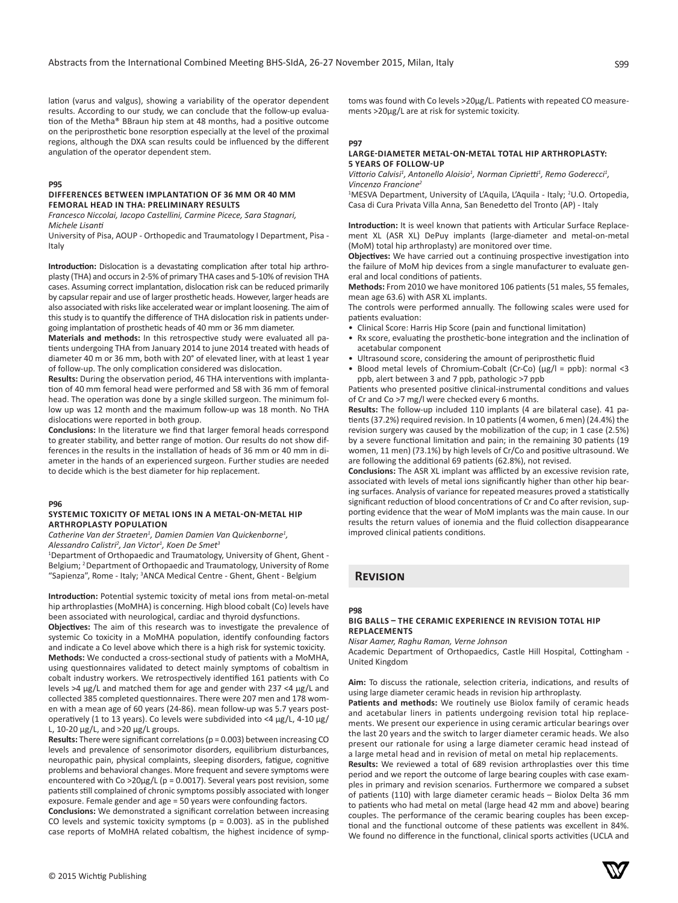lation (varus and valgus), showing a variability of the operator dependent results. According to our study, we can conclude that the follow-up evaluation of the Metha® BBraun hip stem at 48 months, had a positive outcome on the periprosthetic bone resorption especially at the level of the proximal regions, although the DXA scan results could be influenced by the different angulation of the operator dependent stem.

# **P95**

#### **DIFFERENCES BETWEEN IMPLANTATION OF 36 MM OR 40 MM FEMORAL HEAD IN THA: PRELIMINARY RESULTS**

*Francesco Niccolai, Iacopo Castellini, Carmine Picece, Sara Stagnari, Michele Lisanti*

University of Pisa, AOUP - Orthopedic and Traumatology I Department, Pisa - Italy

**Introduction:** Dislocation is a devastating complication after total hip arthroplasty (THA) and occurs in 2-5% of primary THA cases and 5-10% of revision THA cases. Assuming correct implantation, dislocation risk can be reduced primarily by capsular repair and use of larger prosthetic heads. However, larger heads are also associated with risks like accelerated wear or implant loosening. The aim of this study is to quantify the difference of THA dislocation risk in patients undergoing implantation of prosthetic heads of 40 mm or 36 mm diameter.

**Materials and methods:** In this retrospective study were evaluated all patients undergoing THA from January 2014 to june 2014 treated with heads of diameter 40 m or 36 mm, both with 20° of elevated liner, with at least 1 year of follow-up. The only complication considered was dislocation.

**Results:** During the observation period, 46 THA interventions with implantation of 40 mm femoral head were performed and 58 with 36 mm of femoral head. The operation was done by a single skilled surgeon. The minimum follow up was 12 month and the maximum follow-up was 18 month. No THA dislocations were reported in both group.

**Conclusions:** In the literature we find that larger femoral heads correspond to greater stability, and better range of motion. Our results do not show differences in the results in the installation of heads of 36 mm or 40 mm in diameter in the hands of an experienced surgeon. Further studies are needed to decide which is the best diameter for hip replacement.

#### **P96**

#### **SYSTEMIC TOXICITY OF METAL IONS IN A METAL-ON-METAL HIP ARTHROPLASTY POPULATION**

*Catherine Van der Straeten<sup>1</sup> , Damien Damien Van Quickenborne<sup>1</sup> , Alessandro Calistri<sup>2</sup> , Jan Victor1 , Koen De Smet<sup>3</sup>*

<sup>1</sup>Department of Orthopaedic and Traumatology, University of Ghent, Ghent -Belgium; 2 Department of Orthopaedic and Traumatology, University of Rome "Sapienza", Rome - Italy; <sup>3</sup>ANCA Medical Centre - Ghent, Ghent - Belgium

**Introduction:** Potential systemic toxicity of metal ions from metal-on-metal hip arthroplasties (MoMHA) is concerning. High blood cobalt (Co) levels have been associated with neurological, cardiac and thyroid dysfunctions.

**Objectives:** The aim of this research was to investigate the prevalence of systemic Co toxicity in a MoMHA population, identify confounding factors and indicate a Co level above which there is a high risk for systemic toxicity. **Methods:** We conducted a cross-sectional study of patients with a MoMHA, using questionnaires validated to detect mainly symptoms of cobaltism in cobalt industry workers. We retrospectively identified 161 patients with Co levels >4 μg/L and matched them for age and gender with 237 <4 μg/L and collected 385 completed questionnaires. There were 207 men and 178 women with a mean age of 60 years (24-86). mean follow-up was 5.7 years postoperatively (1 to 13 years). Co levels were subdivided into <4 μg/L, 4-10 μg/ L, 10-20 μg/L, and >20 μg/L groups.

**Results:** There were significant correlations (p = 0.003) between increasing CO levels and prevalence of sensorimotor disorders, equilibrium disturbances, neuropathic pain, physical complaints, sleeping disorders, fatigue, cognitive problems and behavioral changes. More frequent and severe symptoms were encountered with Co >20μg/L (p = 0.0017). Several years post revision, some patients still complained of chronic symptoms possibly associated with longer exposure. Female gender and age = 50 years were confounding factors.

**Conclusions:** We demonstrated a significant correlation between increasing CO levels and systemic toxicity symptoms ( $p = 0.003$ ). aS in the published case reports of MoMHA related cobaltism, the highest incidence of symptoms was found with Co levels >20μg/L. Patients with repeated CO measurements >20μg/L are at risk for systemic toxicity.

#### **P97**

## **LARGE-DIAMETER METAL-ON-METAL TOTAL HIP ARTHROPLASTY: 5 YEARS OF FOLLOW-UP**

Vittorio Calvisi<sup>1</sup>, Antonello Aloisio<sup>1</sup>, Norman Ciprietti<sup>1</sup>, Remo Goderecci<sup>1</sup>, *Vincenzo Francione<sup>2</sup>*

<sup>1</sup>MESVA Department, University of L'Aquila, L'Aquila - Italy; <sup>2</sup>U.O. Ortopedia, Casa di Cura Privata Villa Anna, San Benedetto del Tronto (AP) - Italy

**Introduction:** It is weel known that patients with Articular Surface Replacement XL (ASR XL) DePuy implants (large-diameter and metal-on-metal (MoM) total hip arthroplasty) are monitored over time.

**Objectives:** We have carried out a continuing prospective investigation into the failure of MoM hip devices from a single manufacturer to evaluate general and local conditions of patients.

**Methods:** From 2010 we have monitored 106 patients (51 males, 55 females, mean age 63.6) with ASR XL implants.

The controls were performed annually. The following scales were used for patients evaluation:

- Clinical Score: Harris Hip Score (pain and functional limitation)
- Rx score, evaluating the prosthetic-bone integration and the inclination of acetabular component
- Ultrasound score, considering the amount of periprosthetic fluid
- Blood metal levels of Chromium-Cobalt (Cr-Co) (μg/l = ppb): normal <3 ppb, alert between 3 and 7 ppb, pathologic >7 ppb

Patients who presented positive clinical-instrumental conditions and values of Cr and Co >7 mg/l were checked every 6 months.

**Results:** The follow-up included 110 implants (4 are bilateral case). 41 patients (37.2%) required revision. In 10 patients (4 women, 6 men) (24.4%) the revision surgery was caused by the mobilization of the cup; in 1 case (2.5%) by a severe functional limitation and pain; in the remaining 30 patients (19 women, 11 men) (73.1%) by high levels of Cr/Co and positive ultrasound. We are following the additional 69 patients (62.8%), not revised.

**Conclusions:** The ASR XL implant was afflicted by an excessive revision rate, associated with levels of metal ions significantly higher than other hip bearing surfaces. Analysis of variance for repeated measures proved a statistically significant reduction of blood concentrations of Cr and Co after revision, supporting evidence that the wear of MoM implants was the main cause. In our results the return values of ionemia and the fluid collection disappearance improved clinical patients conditions.

# **Revision**

# **P98**

# **BIG BALLS – THE CERAMIC EXPERIENCE IN REVISION TOTAL HIP REPLACEMENTS**

*Nisar Aamer, Raghu Raman, Verne Johnson*

Academic Department of Orthopaedics, Castle Hill Hospital, Cottingham - United Kingdom

**Aim:** To discuss the rationale, selection criteria, indications, and results of using large diameter ceramic heads in revision hip arthroplasty.

**Patients and methods:** We routinely use Biolox family of ceramic heads and acetabular liners in patients undergoing revision total hip replacements. We present our experience in using ceramic articular bearings over the last 20 years and the switch to larger diameter ceramic heads. We also present our rationale for using a large diameter ceramic head instead of a large metal head and in revision of metal on metal hip replacements.

**Results:** We reviewed a total of 689 revision arthroplasties over this time period and we report the outcome of large bearing couples with case examples in primary and revision scenarios. Furthermore we compared a subset of patients (110) with large diameter ceramic heads – Biolox Delta 36 mm to patients who had metal on metal (large head 42 mm and above) bearing couples. The performance of the ceramic bearing couples has been exceptional and the functional outcome of these patients was excellent in 84%. We found no difference in the functional, clinical sports activities (UCLA and

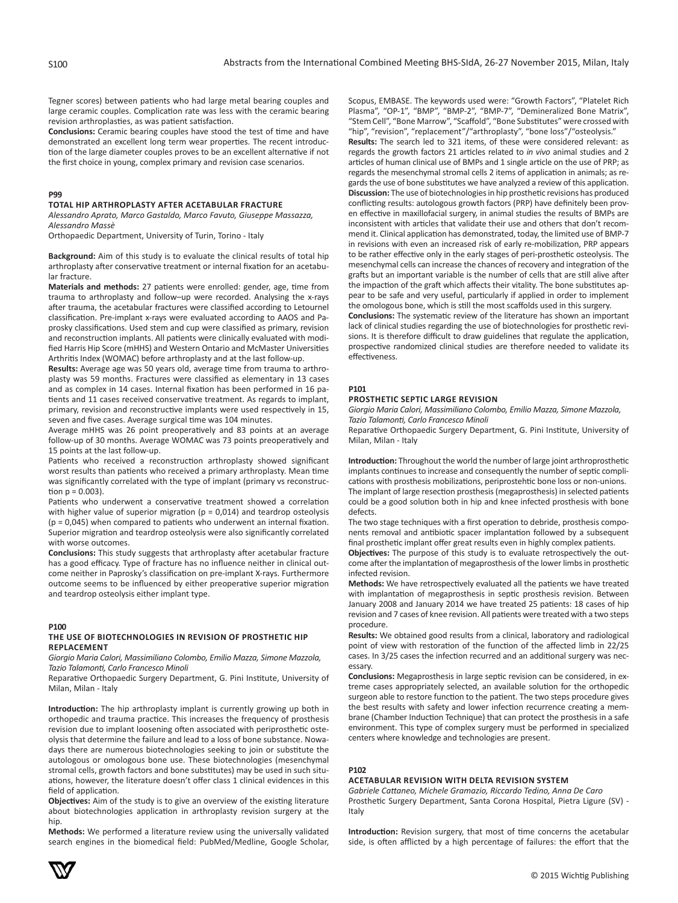Tegner scores) between patients who had large metal bearing couples and large ceramic couples. Complication rate was less with the ceramic bearing revision arthroplasties, as was patient satisfaction.

**Conclusions:** Ceramic bearing couples have stood the test of time and have demonstrated an excellent long term wear properties. The recent introduction of the large diameter couples proves to be an excellent alternative if not the first choice in young, complex primary and revision case scenarios.

#### **P99**

# **TOTAL HIP ARTHROPLASTY AFTER ACETABULAR FRACTURE**

*Alessandro Aprato, Marco Gastaldo, Marco Favuto, Giuseppe Massazza, Alessandro Massè*

Orthopaedic Department, University of Turin, Torino - Italy

**Background:** Aim of this study is to evaluate the clinical results of total hip arthroplasty after conservative treatment or internal fixation for an acetabular fracture.

**Materials and methods:** 27 patients were enrolled: gender, age, time from trauma to arthroplasty and follow–up were recorded. Analysing the x-rays after trauma, the acetabular fractures were classified according to Letournel classification. Pre-implant x-rays were evaluated according to AAOS and Paprosky classifications. Used stem and cup were classified as primary, revision and reconstruction implants. All patients were clinically evaluated with modified Harris Hip Score (mHHS) and Western Ontario and McMaster Universities Arthritis Index (WOMAC) before arthroplasty and at the last follow-up.

**Results:** Average age was 50 years old, average time from trauma to arthroplasty was 59 months. Fractures were classified as elementary in 13 cases and as complex in 14 cases. Internal fixation has been performed in 16 patients and 11 cases received conservative treatment. As regards to implant, primary, revision and reconstructive implants were used respectively in 15, seven and five cases. Average surgical time was 104 minutes.

Average mHHS was 26 point preoperatively and 83 points at an average follow-up of 30 months. Average WOMAC was 73 points preoperatively and 15 points at the last follow-up.

Patients who received a reconstruction arthroplasty showed significant worst results than patients who received a primary arthroplasty. Mean time was significantly correlated with the type of implant (primary vs reconstruction  $p = 0.003$ ).

Patients who underwent a conservative treatment showed a correlation with higher value of superior migration ( $p = 0.014$ ) and teardrop osteolysis (p = 0,045) when compared to patients who underwent an internal fixation. Superior migration and teardrop osteolysis were also significantly correlated with worse outcomes.

**Conclusions:** This study suggests that arthroplasty after acetabular fracture has a good efficacy. Type of fracture has no influence neither in clinical outcome neither in Paprosky's classification on pre-implant X-rays. Furthermore outcome seems to be influenced by either preoperative superior migration and teardrop osteolysis either implant type.

## **P100**

#### **THE USE OF BIOTECHNOLOGIES IN REVISION OF PROSTHETIC HIP REPLACEMENT**

*Giorgio Maria Calori, Massimiliano Colombo, Emilio Mazza, Simone Mazzola, Tazio Talamonti, Carlo Francesco Minoli*

Reparative Orthopaedic Surgery Department, G. Pini Institute, University of Milan, Milan - Italy

**Introduction:** The hip arthroplasty implant is currently growing up both in orthopedic and trauma practice. This increases the frequency of prosthesis revision due to implant loosening often associated with periprosthetic osteolysis that determine the failure and lead to a loss of bone substance. Nowadays there are numerous biotechnologies seeking to join or substitute the autologous or omologous bone use. These biotechnologies (mesenchymal stromal cells, growth factors and bone substitutes) may be used in such situations, however, the literature doesn't offer class 1 clinical evidences in this field of application.

**Objectives:** Aim of the study is to give an overview of the existing literature about biotechnologies application in arthroplasty revision surgery at the hip.

**Methods:** We performed a literature review using the universally validated search engines in the biomedical field: PubMed/Medline, Google Scholar, Scopus, EMBASE. The keywords used were: "Growth Factors", "Platelet Rich Plasma", "OP-1", "BMP", "BMP-2", "BMP-7", "Demineralized Bone Matrix", "Stem Cell", "Bone Marrow", "Scaffold", "Bone Substitutes" were crossed with "hip", "revision", "replacement"/"arthroplasty", "bone loss"/"osteolysis."

**Results:** The search led to 321 items, of these were considered relevant: as regards the growth factors 21 articles related to *in vivo* animal studies and 2 articles of human clinical use of BMPs and 1 single article on the use of PRP; as regards the mesenchymal stromal cells 2 items of application in animals; as regards the use of bone substitutes we have analyzed a review of this application. **Discussion:** The use of biotechnologies in hip prosthetic revisions has produced conflicting results: autologous growth factors (PRP) have definitely been proven effective in maxillofacial surgery, in animal studies the results of BMPs are inconsistent with articles that validate their use and others that don't recommend it. Clinical application has demonstrated, today, the limited use of BMP-7 in revisions with even an increased risk of early re-mobilization, PRP appears to be rather effective only in the early stages of peri-prosthetic osteolysis. The mesenchymal cells can increase the chances of recovery and integration of the grafts but an important variable is the number of cells that are still alive after the impaction of the graft which affects their vitality. The bone substitutes appear to be safe and very useful, particularly if applied in order to implement the omologous bone, which is still the most scaffolds used in this surgery.

**Conclusions:** The systematic review of the literature has shown an important lack of clinical studies regarding the use of biotechnologies for prosthetic revisions. It is therefore difficult to draw guidelines that regulate the application, prospective randomized clinical studies are therefore needed to validate its effectiveness.

# **P101**

#### **PROSTHETIC SEPTIC LARGE REVISION**

*Giorgio Maria Calori, Massimiliano Colombo, Emilio Mazza, Simone Mazzola, Tazio Talamonti, Carlo Francesco Minoli*

Reparative Orthopaedic Surgery Department, G. Pini Institute, University of Milan, Milan - Italy

**Introduction:** Throughout the world the number of large joint arthroprosthetic implants continues to increase and consequently the number of septic complications with prosthesis mobilizations, periprostehtic bone loss or non-unions. The implant of large resection prosthesis (megaprosthesis) in selected patients could be a good solution both in hip and knee infected prosthesis with bone defects.

The two stage techniques with a first operation to debride, prosthesis components removal and antibiotic spacer implantation followed by a subsequent final prosthetic implant offer great results even in highly complex patients.

**Objectives:** The purpose of this study is to evaluate retrospectively the outcome after the implantation of megaprosthesis of the lower limbs in prosthetic infected revision.

**Methods:** We have retrospectively evaluated all the patients we have treated with implantation of megaprosthesis in septic prosthesis revision. Between January 2008 and January 2014 we have treated 25 patients: 18 cases of hip revision and 7 cases of knee revision. All patients were treated with a two steps procedure.

**Results:** We obtained good results from a clinical, laboratory and radiological point of view with restoration of the function of the affected limb in 22/25 cases. In 3/25 cases the infection recurred and an additional surgery was necessary.

**Conclusions:** Megaprosthesis in large septic revision can be considered, in extreme cases appropriately selected, an available solution for the orthopedic surgeon able to restore function to the patient. The two steps procedure gives the best results with safety and lower infection recurrence creating a membrane (Chamber Induction Technique) that can protect the prosthesis in a safe environment. This type of complex surgery must be performed in specialized centers where knowledge and technologies are present.

#### **P102**

## **ACETABULAR REVISION WITH DELTA REVISION SYSTEM**

*Gabriele Cattaneo, Michele Gramazio, Riccardo Tedino, Anna De Caro* Prosthetic Surgery Department, Santa Corona Hospital, Pietra Ligure (SV) - Italy

**Introduction:** Revision surgery, that most of time concerns the acetabular side, is often afflicted by a high percentage of failures: the effort that the

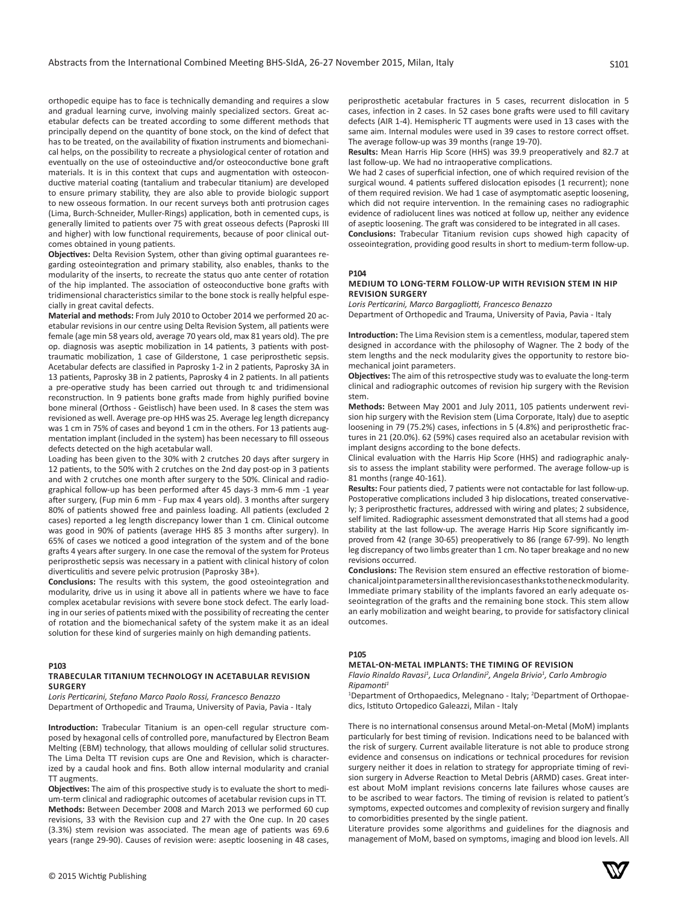orthopedic equipe has to face is technically demanding and requires a slow and gradual learning curve, involving mainly specialized sectors. Great acetabular defects can be treated according to some different methods that principally depend on the quantity of bone stock, on the kind of defect that has to be treated, on the availability of fixation instruments and biomechanical helps, on the possibility to recreate a physiological center of rotation and eventually on the use of osteoinductive and/or osteoconductive bone graft materials. It is in this context that cups and augmentation with osteoconductive material coating (tantalium and trabecular titanium) are developed to ensure primary stability, they are also able to provide biologic support to new osseous formation. In our recent surveys both anti protrusion cages (Lima, Burch-Schneider, Muller-Rings) application, both in cemented cups, is generally limited to patients over 75 with great osseous defects (Paproski III and higher) with low functional requirements, because of poor clinical outcomes obtained in young patients.

**Objectives:** Delta Revision System, other than giving optimal guarantees regarding osteointegration and primary stability, also enables, thanks to the modularity of the inserts, to recreate the status quo ante center of rotation of the hip implanted. The association of osteoconductive bone grafts with tridimensional characteristics similar to the bone stock is really helpful especially in great cavital defects.

**Material and methods:** From July 2010 to October 2014 we performed 20 acetabular revisions in our centre using Delta Revision System, all patients were female (age min 58 years old, average 70 years old, max 81 years old). The pre op. diagnosis was aseptic mobilization in 14 patients, 3 patients with posttraumatic mobilization, 1 case of Gilderstone, 1 case periprosthetic sepsis. Acetabular defects are classified in Paprosky 1-2 in 2 patients, Paprosky 3A in 13 patients, Paprosky 3B in 2 patients, Paprosky 4 in 2 patients. In all patients a pre-operative study has been carried out through tc and tridimensional reconstruction. In 9 patients bone grafts made from highly purified bovine bone mineral (Orthoss - Geistlisch) have been used. In 8 cases the stem was revisioned as well. Average pre-op HHS was 25. Average leg length dicrepancy was 1 cm in 75% of cases and beyond 1 cm in the others. For 13 patients augmentation implant (included in the system) has been necessary to fill osseous defects detected on the high acetabular wall.

Loading has been given to the 30% with 2 crutches 20 days after surgery in 12 patients, to the 50% with 2 crutches on the 2nd day post-op in 3 patients and with 2 crutches one month after surgery to the 50%. Clinical and radiographical follow-up has been performed after 45 days-3 mm-6 mm -1 year after surgery, (Fup min 6 mm - Fup max 4 years old). 3 months after surgery 80% of patients showed free and painless loading. All patients (excluded 2 cases) reported a leg length discrepancy lower than 1 cm. Clinical outcome was good in 90% of patients (average HHS 85 3 months after surgery). In 65% of cases we noticed a good integration of the system and of the bone grafts 4 years after surgery. In one case the removal of the system for Proteus periprosthetic sepsis was necessary in a patient with clinical history of colon diverticulitis and severe pelvic protrusion (Paprosky 3B+).

**Conclusions:** The results with this system, the good osteointegration and modularity, drive us in using it above all in patients where we have to face complex acetabular revisions with severe bone stock defect. The early loading in our series of patients mixed with the possibility of recreating the center of rotation and the biomechanical safety of the system make it as an ideal solution for these kind of surgeries mainly on high demanding patients.

# **P103**

#### **TRABECULAR TITANIUM TECHNOLOGY IN ACETABULAR REVISION SURGERY**

*Loris Perticarini, Stefano Marco Paolo Rossi, Francesco Benazzo* Department of Orthopedic and Trauma, University of Pavia, Pavia - Italy

**Introduction:** Trabecular Titanium is an open-cell regular structure composed by hexagonal cells of controlled pore, manufactured by Electron Beam Melting (EBM) technology, that allows moulding of cellular solid structures. The Lima Delta TT revision cups are One and Revision, which is characterized by a caudal hook and fins. Both allow internal modularity and cranial TT augments.

**Objectives:** The aim of this prospective study is to evaluate the short to medium-term clinical and radiographic outcomes of acetabular revision cups in TT. **Methods:** Between December 2008 and March 2013 we performed 60 cup revisions, 33 with the Revision cup and 27 with the One cup. In 20 cases (3.3%) stem revision was associated. The mean age of patients was 69.6 years (range 29-90). Causes of revision were: aseptic loosening in 48 cases,

periprosthetic acetabular fractures in 5 cases, recurrent dislocation in 5 cases, infection in 2 cases. In 52 cases bone grafts were used to fill cavitary defects (AIR 1-4). Hemispheric TT augments were used in 13 cases with the same aim. Internal modules were used in 39 cases to restore correct offset. The average follow-up was 39 months (range 19-70).

**Results:** Mean Harris Hip Score (HHS) was 39.9 preoperatively and 82.7 at last follow-up. We had no intraoperative complications.

We had 2 cases of superficial infection, one of which required revision of the surgical wound. 4 patients suffered dislocation episodes (1 recurrent); none of them required revision. We had 1 case of asymptomatic aseptic loosening, which did not require intervention. In the remaining cases no radiographic evidence of radiolucent lines was noticed at follow up, neither any evidence of aseptic loosening. The graft was considered to be integrated in all cases. **Conclusions:** Trabecular Titanium revision cups showed high capacity of

osseointegration, providing good results in short to medium-term follow-up.

# **P104**

## **MEDIUM TO LONG-TERM FOLLOW-UP WITH REVISION STEM IN HIP REVISION SURGERY**

*Loris Perticarini, Marco Bargagliotti, Francesco Benazzo* Department of Orthopedic and Trauma, University of Pavia, Pavia - Italy

**Introduction:** The Lima Revision stem is a cementless, modular, tapered stem designed in accordance with the philosophy of Wagner. The 2 body of the stem lengths and the neck modularity gives the opportunity to restore biomechanical joint parameters.

**Objectives:** The aim of this retrospective study was to evaluate the long-term clinical and radiographic outcomes of revision hip surgery with the Revision stem.

**Methods:** Between May 2001 and July 2011, 105 patients underwent revision hip surgery with the Revision stem (Lima Corporate, Italy) due to aseptic loosening in 79 (75.2%) cases, infections in 5 (4.8%) and periprosthetic fractures in 21 (20.0%). 62 (59%) cases required also an acetabular revision with implant designs according to the bone defects.

Clinical evaluation with the Harris Hip Score (HHS) and radiographic analysis to assess the implant stability were performed. The average follow-up is 81 months (range 40-161).

**Results:** Four patients died, 7 patients were not contactable for last follow-up. Postoperative complications included 3 hip dislocations, treated conservatively; 3 periprosthetic fractures, addressed with wiring and plates; 2 subsidence, self limited. Radiographic assessment demonstrated that all stems had a good stability at the last follow-up. The average Harris Hip Score significantly improved from 42 (range 30-65) preoperatively to 86 (range 67-99). No length leg discrepancy of two limbs greater than 1 cm. No taper breakage and no new revisions occurred.

**Conclusions:** The Revision stem ensured an effective restoration of biomechanical joint parameters in all the revision cases thanks to the neck modularity. Immediate primary stability of the implants favored an early adequate osseointegration of the grafts and the remaining bone stock. This stem allow an early mobilization and weight bearing, to provide for satisfactory clinical outcomes.

#### **P105**

**METAL-ON-METAL IMPLANTS: THE TIMING OF REVISION**

*Flavio Rinaldo Ravasi<sup>1</sup> , Luca Orlandini<sup>2</sup> , Angela Brivio<sup>1</sup> , Carlo Ambrogio Ripamonti<sup>1</sup>*

<sup>1</sup>Department of Orthopaedics, Melegnano - Italy; <sup>2</sup>Department of Orthopaedics, Istituto Ortopedico Galeazzi, Milan - Italy

There is no international consensus around Metal-on-Metal (MoM) implants particularly for best timing of revision. Indications need to be balanced with the risk of surgery. Current available literature is not able to produce strong evidence and consensus on indications or technical procedures for revision surgery neither it does in relation to strategy for appropriate timing of revision surgery in Adverse Reaction to Metal Debris (ARMD) cases. Great interest about MoM implant revisions concerns late failures whose causes are to be ascribed to wear factors. The timing of revision is related to patient's symptoms, expected outcomes and complexity of revision surgery and finally to comorbidities presented by the single patient.

Literature provides some algorithms and guidelines for the diagnosis and management of MoM, based on symptoms, imaging and blood ion levels. All

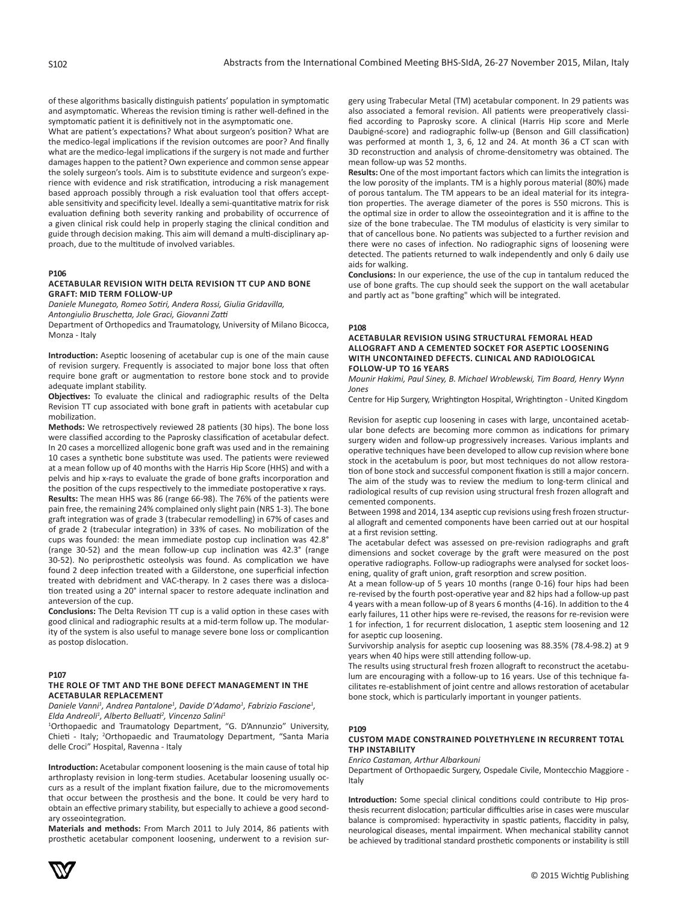of these algorithms basically distinguish patients' population in symptomatic and asymptomatic. Whereas the revision timing is rather well-defined in the symptomatic patient it is definitively not in the asymptomatic one.

What are patient's expectations? What about surgeon's position? What are the medico-legal implications if the revision outcomes are poor? And finally what are the medico-legal implications if the surgery is not made and further damages happen to the patient? Own experience and common sense appear the solely surgeon's tools. Aim is to substitute evidence and surgeon's experience with evidence and risk stratification, introducing a risk management based approach possibly through a risk evaluation tool that offers acceptable sensitivity and specificity level. Ideally a semi-quantitative matrix for risk evaluation defining both severity ranking and probability of occurrence of a given clinical risk could help in properly staging the clinical condition and guide through decision making. This aim will demand a multi-disciplinary approach, due to the multitude of involved variables.

#### **P106**

## **ACETABULAR REVISION WITH DELTA REVISION TT CUP AND BONE GRAFT: MID TERM FOLLOW-UP**

*Daniele Munegato, Romeo Sotiri, Andera Rossi, Giulia Gridavilla,* 

*Antongiulio Bruschetta, Jole Graci, Giovanni Zatti*

Department of Orthopedics and Traumatology, University of Milano Bicocca, Monza - Italy

**Introduction:** Aseptic loosening of acetabular cup is one of the main cause of revision surgery. Frequently is associated to major bone loss that often require bone graft or augmentation to restore bone stock and to provide adequate implant stability.

**Objectives:** To evaluate the clinical and radiographic results of the Delta Revision TT cup associated with bone graft in patients with acetabular cup mobilization.

**Methods:** We retrospectively reviewed 28 patients (30 hips). The bone loss were classified according to the Paprosky classification of acetabular defect. In 20 cases a morcellized allogenic bone graft was used and in the remaining 10 cases a synthetic bone substitute was used. The patients were reviewed at a mean follow up of 40 months with the Harris Hip Score (HHS) and with a pelvis and hip x-rays to evaluate the grade of bone grafts incorporation and the position of the cups respectively to the immediate postoperative x rays. **Results:** The mean HHS was 86 (range 66-98). The 76% of the patients were pain free, the remaining 24% complained only slight pain (NRS 1-3). The bone graft integration was of grade 3 (trabecular remodelling) in 67% of cases and of grade 2 (trabecular integration) in 33% of cases. No mobilization of the cups was founded: the mean immediate postop cup inclination was 42.8° (range 30-52) and the mean follow-up cup inclination was 42.3° (range 30-52). No periprosthetic osteolysis was found. As complication we have found 2 deep infection treated with a Gilderstone, one superficial infection treated with debridment and VAC-therapy. In 2 cases there was a dislocation treated using a 20° internal spacer to restore adequate inclination and anteversion of the cup.

**Conclusions:** The Delta Revision TT cup is a valid option in these cases with good clinical and radiographic results at a mid-term follow up. The modularity of the system is also useful to manage severe bone loss or complicantion as postop dislocation.

#### **P107**

## **THE ROLE OF TMT AND THE BONE DEFECT MANAGEMENT IN THE ACETABULAR REPLACEMENT**

*Daniele Vanni1 , Andrea Pantalone<sup>1</sup> , Davide D'Adamo<sup>1</sup> , Fabrizio Fascione<sup>1</sup> , Elda Andreoli<sup>1</sup> , Alberto Belluati<sup>2</sup> , Vincenzo Salini<sup>1</sup>*

1 Orthopaedic and Traumatology Department, "G. D'Annunzio" University, Chieti - Italy; <sup>2</sup>Orthopaedic and Traumatology Department, "Santa Maria delle Croci" Hospital, Ravenna - Italy

**Introduction:** Acetabular component loosening is the main cause of total hip arthroplasty revision in long-term studies. Acetabular loosening usually occurs as a result of the implant fixation failure, due to the micromovements that occur between the prosthesis and the bone. It could be very hard to obtain an effective primary stability, but especially to achieve a good secondary osseointegration.

**Materials and methods:** From March 2011 to July 2014, 86 patients with prosthetic acetabular component loosening, underwent to a revision surgery using Trabecular Metal (TM) acetabular component. In 29 patients was also associated a femoral revision. All patients were preoperatively classified according to Paprosky score. A clinical (Harris Hip score and Merle Daubigné-score) and radiographic follw-up (Benson and Gill classification) was performed at month 1, 3, 6, 12 and 24. At month 36 a CT scan with 3D reconstruction and analysis of chrome-densitometry was obtained. The mean follow-up was 52 months.

**Results:** One of the most important factors which can limits the integration is the low porosity of the implants. TM is a highly porous material (80%) made of porous tantalum. The TM appears to be an ideal material for its integration properties. The average diameter of the pores is 550 microns. This is the optimal size in order to allow the osseointegration and it is affine to the size of the bone trabeculae. The TM modulus of elasticity is very similar to that of cancellous bone. No patients was subjected to a further revision and there were no cases of infection. No radiographic signs of loosening were detected. The patients returned to walk independently and only 6 daily use aids for walking.

**Conclusions:** In our experience, the use of the cup in tantalum reduced the use of bone grafts. The cup should seek the support on the wall acetabular and partly act as "bone grafting" which will be integrated.

#### **P108**

# **ACETABULAR REVISION USING STRUCTURAL FEMORAL HEAD ALLOGRAFT AND A CEMENTED SOCKET FOR ASEPTIC LOOSENING WITH UNCONTAINED DEFECTS. CLINICAL AND RADIOLOGICAL FOLLOW-UP TO 16 YEARS**

*Mounir Hakimi, Paul Siney, B. Michael Wroblewski, Tim Board, Henry Wynn Jones*

Centre for Hip Surgery, Wrightington Hospital, Wrightington - United Kingdom

Revision for aseptic cup loosening in cases with large, uncontained acetabular bone defects are becoming more common as indications for primary surgery widen and follow-up progressively increases. Various implants and operative techniques have been developed to allow cup revision where bone stock in the acetabulum is poor, but most techniques do not allow restoration of bone stock and successful component fixation is still a major concern. The aim of the study was to review the medium to long-term clinical and radiological results of cup revision using structural fresh frozen allograft and cemented components.

Between 1998 and 2014, 134 aseptic cup revisions using fresh frozen structural allograft and cemented components have been carried out at our hospital at a first revision setting.

The acetabular defect was assessed on pre-revision radiographs and graft dimensions and socket coverage by the graft were measured on the post operative radiographs. Follow-up radiographs were analysed for socket loosening, quality of graft union, graft resorption and screw position.

At a mean follow-up of 5 years 10 months (range 0-16) four hips had been re-revised by the fourth post-operative year and 82 hips had a follow-up past 4 years with a mean follow-up of 8 years 6 months (4-16). In addition to the 4 early failures, 11 other hips were re-revised, the reasons for re-revision were 1 for infection, 1 for recurrent dislocation, 1 aseptic stem loosening and 12 for aseptic cup loosening.

Survivorship analysis for aseptic cup loosening was 88.35% (78.4-98.2) at 9 years when 40 hips were still attending follow-up.

The results using structural fresh frozen allograft to reconstruct the acetabulum are encouraging with a follow-up to 16 years. Use of this technique facilitates re-establishment of joint centre and allows restoration of acetabular bone stock, which is particularly important in younger patients.

# **P109**

#### **CUSTOM MADE CONSTRAINED POLYETHYLENE IN RECURRENT TOTAL THP INSTABILITY**

*Enrico Castaman, Arthur Albarkouni*

Department of Orthopaedic Surgery, Ospedale Civile, Montecchio Maggiore - Italy

**Introduction:** Some special clinical conditions could contribute to Hip prosthesis recurrent dislocation; particular difficulties arise in cases were muscular balance is compromised: hyperactivity in spastic patients, flaccidity in palsy, neurological diseases, mental impairment. When mechanical stability cannot be achieved by traditional standard prosthetic components or instability is still

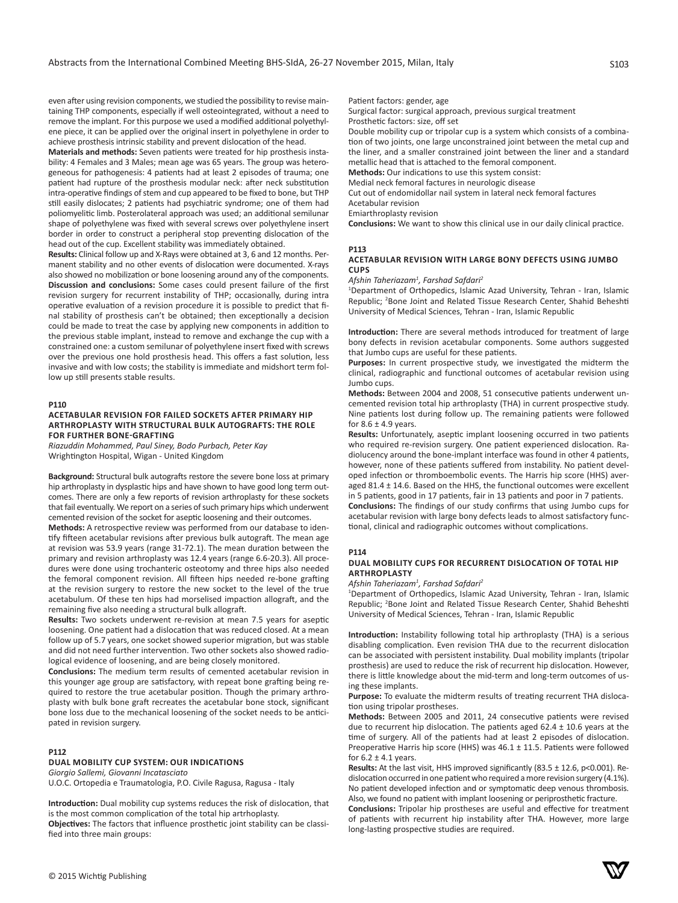even after using revision components, we studied the possibility to revise maintaining THP components, especially if well osteointegrated, without a need to remove the implant. For this purpose we used a modified additional polyethylene piece, it can be applied over the original insert in polyethylene in order to achieve prosthesis intrinsic stability and prevent dislocation of the head.

**Materials and methods:** Seven patients were treated for hip prosthesis instability: 4 Females and 3 Males; mean age was 65 years. The group was heterogeneous for pathogenesis: 4 patients had at least 2 episodes of trauma; one patient had rupture of the prosthesis modular neck: after neck substitution intra-operative findings of stem and cup appeared to be fixed to bone, but THP still easily dislocates; 2 patients had psychiatric syndrome; one of them had poliomyelitic limb. Posterolateral approach was used; an additional semilunar shape of polyethylene was fixed with several screws over polyethylene insert border in order to construct a peripheral stop preventing dislocation of the head out of the cup. Excellent stability was immediately obtained.

**Results:** Clinical follow up and X-Rays were obtained at 3, 6 and 12 months. Permanent stability and no other events of dislocation were documented. X-rays also showed no mobilization or bone loosening around any of the components. **Discussion and conclusions:** Some cases could present failure of the first revision surgery for recurrent instability of THP; occasionally, during intra operative evaluation of a revision procedure it is possible to predict that final stability of prosthesis can't be obtained; then exceptionally a decision could be made to treat the case by applying new components in addition to the previous stable implant, instead to remove and exchange the cup with a constrained one: a custom semilunar of polyethylene insert fixed with screws over the previous one hold prosthesis head. This offers a fast solution, less invasive and with low costs; the stability is immediate and midshort term follow up still presents stable results.

#### **P110**

# **ACETABULAR REVISION FOR FAILED SOCKETS AFTER PRIMARY HIP ARTHROPLASTY WITH STRUCTURAL BULK AUTOGRAFTS: THE ROLE FOR FURTHER BONE-GRAFTING**

*Riazuddin Mohammed, Paul Siney, Bodo Purbach, Peter Kay* Wrightington Hospital, Wigan - United Kingdom

**Background:** Structural bulk autografts restore the severe bone loss at primary hip arthroplasty in dysplastic hips and have shown to have good long term outcomes. There are only a few reports of revision arthroplasty for these sockets that fail eventually. We report on a series of such primary hips which underwent cemented revision of the socket for aseptic loosening and their outcomes.

**Methods:** A retrospective review was performed from our database to identify fifteen acetabular revisions after previous bulk autograft. The mean age at revision was 53.9 years (range 31-72.1). The mean duration between the primary and revision arthroplasty was 12.4 years (range 6.6-20.3). All procedures were done using trochanteric osteotomy and three hips also needed the femoral component revision. All fifteen hips needed re-bone grafting at the revision surgery to restore the new socket to the level of the true acetabulum. Of these ten hips had morselised impaction allograft, and the remaining five also needing a structural bulk allograft.

**Results:** Two sockets underwent re-revision at mean 7.5 years for aseptic loosening. One patient had a dislocation that was reduced closed. At a mean follow up of 5.7 years, one socket showed superior migration, but was stable and did not need further intervention. Two other sockets also showed radiological evidence of loosening, and are being closely monitored.

**Conclusions:** The medium term results of cemented acetabular revision in this younger age group are satisfactory, with repeat bone grafting being required to restore the true acetabular position. Though the primary arthroplasty with bulk bone graft recreates the acetabular bone stock, significant bone loss due to the mechanical loosening of the socket needs to be anticipated in revision surgery.

# **P112**

# **DUAL MOBILITY CUP SYSTEM: OUR INDICATIONS**

*Giorgio Sallemi, Giovanni Incatasciato*

U.O.C. Ortopedia e Traumatologia, P.O. Civile Ragusa, Ragusa - Italy

**Introduction:** Dual mobility cup systems reduces the risk of dislocation, that is the most common complication of the total hip artrhoplasty. **Objectives:** The factors that influence prosthetic joint stability can be classified into three main groups:

Patient factors: gender, age

Surgical factor: surgical approach, previous surgical treatment Prosthetic factors: size, off set

Double mobility cup or tripolar cup is a system which consists of a combination of two joints, one large unconstrained joint between the metal cup and the liner, and a smaller constrained joint between the liner and a standard metallic head that is attached to the femoral component.

**Methods:** Our indications to use this system consist:

Medial neck femoral factures in neurologic disease

Cut out of endomidollar nail system in lateral neck femoral factures Acetabular revision

Emiarthroplasty revision

**Conclusions:** We want to show this clinical use in our daily clinical practice.

## **P113**

# **ACETABULAR REVISION WITH LARGE BONY DEFECTS USING JUMBO CUPS**

*Afshin Taheriazam<sup>1</sup> , Farshad Safdari<sup>2</sup>*

1 Department of Orthopedics, Islamic Azad University, Tehran - Iran, Islamic Republic; <sup>2</sup>Bone Joint and Related Tissue Research Center, Shahid Beheshti University of Medical Sciences, Tehran - Iran, Islamic Republic

**Introduction:** There are several methods introduced for treatment of large bony defects in revision acetabular components. Some authors suggested that Jumbo cups are useful for these patients.

**Purposes:** In current prospective study, we investigated the midterm the clinical, radiographic and functional outcomes of acetabular revision using Jumbo cups.

**Methods:** Between 2004 and 2008, 51 consecutive patients underwent uncemented revision total hip arthroplasty (THA) in current prospective study. Nine patients lost during follow up. The remaining patients were followed for  $8.6 \pm 4.9$  years.

**Results:** Unfortunately, aseptic implant loosening occurred in two patients who required re-revision surgery. One patient experienced dislocation. Radiolucency around the bone-implant interface was found in other 4 patients, however, none of these patients suffered from instability. No patient developed infection or thromboembolic events. The Harris hip score (HHS) averaged 81.4 ± 14.6. Based on the HHS, the functional outcomes were excellent in 5 patients, good in 17 patients, fair in 13 patients and poor in 7 patients. **Conclusions:** The findings of our study confirms that using Jumbo cups for acetabular revision with large bony defects leads to almost satisfactory functional, clinical and radiographic outcomes without complications.

#### **P114**

## **DUAL MOBILITY CUPS FOR RECURRENT DISLOCATION OF TOTAL HIP ARTHROPLASTY**

*Afshin Taheriazam<sup>1</sup> , Farshad Safdari<sup>2</sup>*

1 Department of Orthopedics, Islamic Azad University, Tehran - Iran, Islamic Republic; <sup>2</sup>Bone Joint and Related Tissue Research Center, Shahid Beheshti University of Medical Sciences, Tehran - Iran, Islamic Republic

**Introduction:** Instability following total hip arthroplasty (THA) is a serious disabling complication. Even revision THA due to the recurrent dislocation can be associated with persistent instability. Dual mobility implants (tripolar prosthesis) are used to reduce the risk of recurrent hip dislocation. However, there is little knowledge about the mid-term and long-term outcomes of using these implants.

**Purpose:** To evaluate the midterm results of treating recurrent THA dislocation using tripolar prostheses.

**Methods:** Between 2005 and 2011, 24 consecutive patients were revised due to recurrent hip dislocation. The patients aged 62.4 ± 10.6 years at the time of surgery. All of the patients had at least 2 episodes of dislocation. Preoperative Harris hip score (HHS) was 46.1 ± 11.5. Patients were followed for  $6.2 \pm 4.1$  years.

**Results:** At the last visit, HHS improved significantly (83.5 ± 12.6, p<0.001). Redislocation occurred in one patient who required a more revision surgery (4.1%). No patient developed infection and or symptomatic deep venous thrombosis. Also, we found no patient with implant loosening or periprosthetic fracture.

**Conclusions:** Tripolar hip prostheses are useful and effective for treatment of patients with recurrent hip instability after THA. However, more large long-lasting prospective studies are required.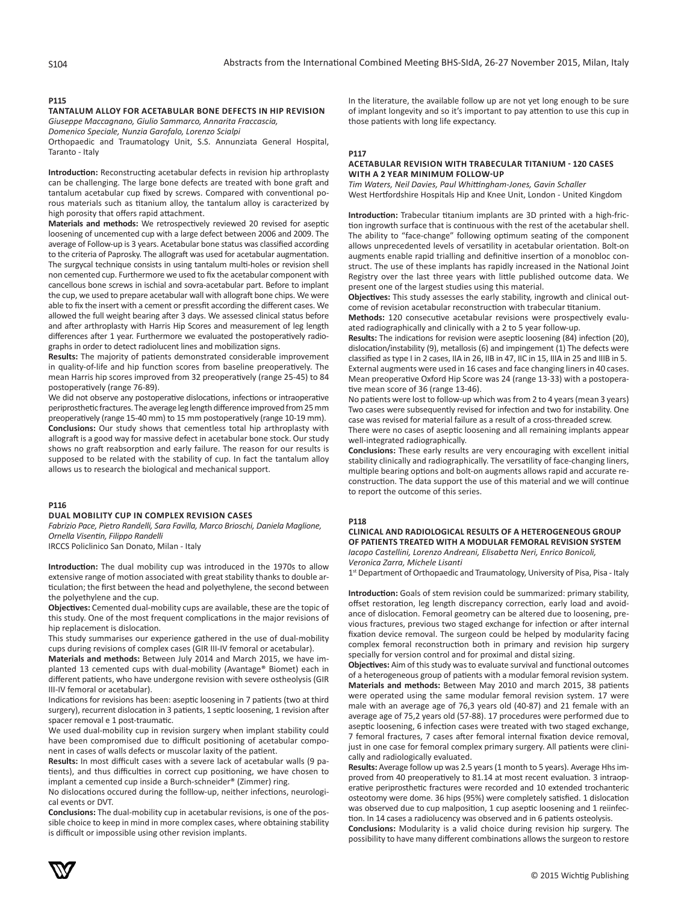# **P115**

**TANTALUM ALLOY FOR ACETABULAR BONE DEFECTS IN HIP REVISION** *Giuseppe Maccagnano, Giulio Sammarco, Annarita Fraccascia,* 

*Domenico Speciale, Nunzia Garofalo, Lorenzo Scialpi*

Orthopaedic and Traumatology Unit, S.S. Annunziata General Hospital, Taranto - Italy

**Introduction:** Reconstructing acetabular defects in revision hip arthroplasty can be challenging. The large bone defects are treated with bone graft and tantalum acetabular cup fixed by screws. Compared with conventional porous materials such as titanium alloy, the tantalum alloy is caracterized by high porosity that offers rapid attachment.

**Materials and methods:** We retrospectively reviewed 20 revised for aseptic loosening of uncemented cup with a large defect between 2006 and 2009. The average of Follow-up is 3 years. Acetabular bone status was classified according to the criteria of Paprosky. The allograft was used for acetabular augmentation. The surgycal technique consists in using tantalum multi-holes or revision shell non cemented cup. Furthermore we used to fix the acetabular component with cancellous bone screws in ischial and sovra-acetabular part. Before to implant the cup, we used to prepare acetabular wall with allograft bone chips. We were able to fix the insert with a cement or pressfit according the different cases. We allowed the full weight bearing after 3 days. We assessed clinical status before and after arthroplasty with Harris Hip Scores and measurement of leg length differences after 1 year. Furthermore we evaluated the postoperatively radiographs in order to detect radiolucent lines and mobilization signs.

**Results:** The majority of patients demonstrated considerable improvement in quality-of-life and hip function scores from baseline preoperatively. The mean Harris hip scores improved from 32 preoperatively (range 25-45) to 84 postoperatively (range 76-89).

We did not observe any postoperative dislocations, infections or intraoperative periprosthetic fractures. The average leg length difference improved from 25 mm preoperatively (range 15-40 mm) to 15 mm postoperatively (range 10-19 mm). **Conclusions:** Our study shows that cementless total hip arthroplasty with allograft is a good way for massive defect in acetabular bone stock. Our study shows no graft reabsorption and early failure. The reason for our results is supposed to be related with the stability of cup. In fact the tantalum alloy allows us to research the biological and mechanical support.

## **P116**

# **DUAL MOBILITY CUP IN COMPLEX REVISION CASES**

*Fabrizio Pace, Pietro Randelli, Sara Favilla, Marco Brioschi, Daniela Maglione, Ornella Visentin, Filippo Randelli*

IRCCS Policlinico San Donato, Milan - Italy

**Introduction:** The dual mobility cup was introduced in the 1970s to allow extensive range of motion associated with great stability thanks to double articulation; the first between the head and polyethylene, the second between the polyethylene and the cup.

**Objectives:** Cemented dual-mobility cups are available, these are the topic of this study. One of the most frequent complications in the major revisions of hip replacement is dislocation.

This study summarises our experience gathered in the use of dual-mobility cups during revisions of complex cases (GIR III-IV femoral or acetabular).

**Materials and methods:** Between July 2014 and March 2015, we have implanted 13 cemented cups with dual-mobility (Avantage® Biomet) each in different patients, who have undergone revision with severe ostheolysis (GIR III-IV femoral or acetabular).

Indications for revisions has been: aseptic loosening in 7 patients (two at third surgery), recurrent dislocation in 3 patients, 1 septic loosening, 1 revision after spacer removal e 1 post-traumatic.

We used dual-mobility cup in revision surgery when implant stability could have been compromised due to difficult positioning of acetabular component in cases of walls defects or muscolar laxity of the patient.

**Results:** In most difficult cases with a severe lack of acetabular walls (9 patients), and thus difficulties in correct cup positioning, we have chosen to implant a cemented cup inside a Burch-schneider® (Zimmer) ring.

No dislocations occured during the folllow-up, neither infections, neurological events or DVT.

**Conclusions:** The dual-mobility cup in acetabular revisions, is one of the possible choice to keep in mind in more complex cases, where obtaining stability is difficult or impossible using other revision implants.

In the literature, the available follow up are not yet long enough to be sure of implant longevity and so it's important to pay attention to use this cup in those patients with long life expectancy.

#### **P117**

# **ACETABULAR REVISION WITH TRABECULAR TITANIUM - 120 CASES WITH A 2 YEAR MINIMUM FOLLOW-UP**

*Tim Waters, Neil Davies, Paul Whittingham-Jones, Gavin Schaller* West Hertfordshire Hospitals Hip and Knee Unit, London - United Kingdom

**Introduction:** Trabecular titanium implants are 3D printed with a high-friction ingrowth surface that is continuous with the rest of the acetabular shell. The ability to "face-change" following optimum seating of the component allows unprecedented levels of versatility in acetabular orientation. Bolt-on augments enable rapid trialling and definitive insertion of a monobloc construct. The use of these implants has rapidly increased in the National Joint Registry over the last three years with little published outcome data. We present one of the largest studies using this material.

**Objectives:** This study assesses the early stability, ingrowth and clinical outcome of revision acetabular reconstruction with trabecular titanium.

**Methods:** 120 consecutive acetabular revisions were prospectively evaluated radiographically and clinically with a 2 to 5 year follow-up.

**Results:** The indications for revision were aseptic loosening (84) infection (20), dislocation/instability (9), metallosis (6) and impingement (1) The defects were classified as type I in 2 cases, IIA in 26, IIB in 47, IIC in 15, IIIA in 25 and IIIB in 5. External augments were used in 16 cases and face changing liners in 40 cases. Mean preoperative Oxford Hip Score was 24 (range 13-33) with a postoperative mean score of 36 (range 13-46).

No patients were lost to follow-up which was from 2 to 4 years (mean 3 years) Two cases were subsequently revised for infection and two for instability. One case was revised for material failure as a result of a cross-threaded screw.

There were no cases of aseptic loosening and all remaining implants appear well-integrated radiographically.

**Conclusions:** These early results are very encouraging with excellent initial stability clinically and radiographically. The versatility of face-changing liners, multiple bearing options and bolt-on augments allows rapid and accurate reconstruction. The data support the use of this material and we will continue to report the outcome of this series.

#### **P118**

**CLINICAL AND RADIOLOGICAL RESULTS OF A HETEROGENEOUS GROUP OF PATIENTS TREATED WITH A MODULAR FEMORAL REVISION SYSTEM** *Iacopo Castellini, Lorenzo Andreani, Elisabetta Neri, Enrico Bonicoli, Veronica Zarra, Michele Lisanti*

1st Department of Orthopaedic and Traumatology, University of Pisa, Pisa - Italy

**Introduction:** Goals of stem revision could be summarized: primary stability, offset restoration, leg length discrepancy correction, early load and avoidance of dislocation. Femoral geometry can be altered due to loosening, previous fractures, previous two staged exchange for infection or after internal

fixation device removal. The surgeon could be helped by modularity facing complex femoral reconstruction both in primary and revision hip surgery specially for version control and for proximal and distal sizing.

**Objectives:** Aim of this study was to evaluate survival and functional outcomes of a heterogeneous group of patients with a modular femoral revision system. **Materials and methods:** Between May 2010 and march 2015, 38 patients were operated using the same modular femoral revision system. 17 were male with an average age of 76,3 years old (40-87) and 21 female with an average age of 75,2 years old (57-88). 17 procedures were performed due to aseptic loosening, 6 infection cases were treated with two staged exchange, 7 femoral fractures, 7 cases after femoral internal fixation device removal, just in one case for femoral complex primary surgery. All patients were clinically and radiologically evaluated.

**Results:** Average follow up was 2.5 years (1 month to 5 years). Average Hhs improved from 40 preoperatively to 81.14 at most recent evaluation. 3 intraoperative periprosthetic fractures were recorded and 10 extended trochanteric osteotomy were dome. 36 hips (95%) were completely satisfied. 1 dislocation was observed due to cup malposition, 1 cup aseptic loosening and 1 reiinfection. In 14 cases a radiolucency was observed and in 6 patients osteolysis.

**Conclusions:** Modularity is a valid choice during revision hip surgery. The possibility to have many different combinations allows the surgeon to restore

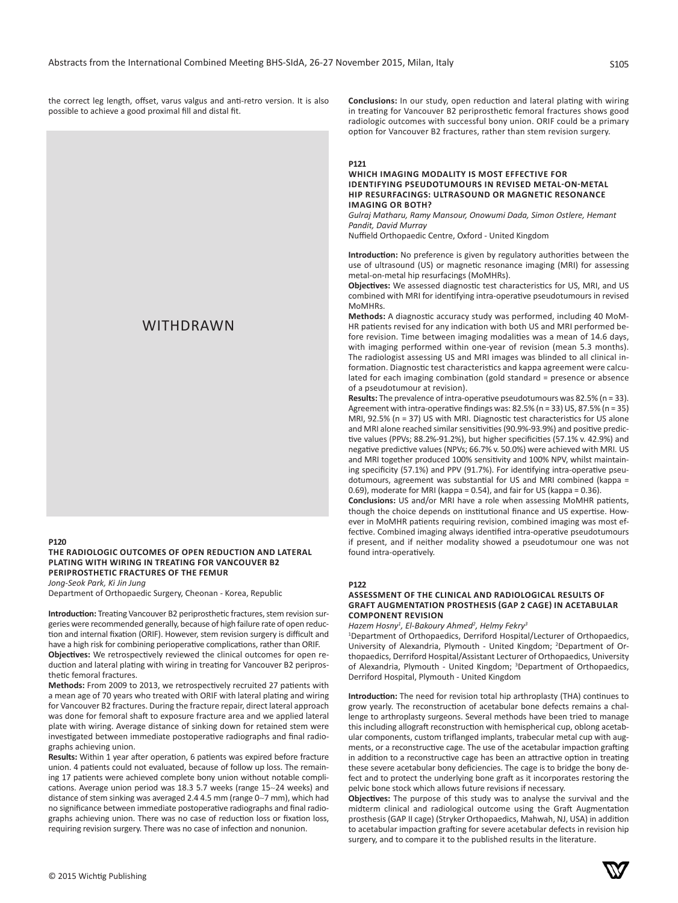the correct leg length, offset, varus valgus and anti-retro version. It is also possible to achieve a good proximal fill and distal fit.

**Conclusions:** In our study, open reduction and lateral plating with wiring in treating for Vancouver B2 periprosthetic femoral fractures shows good radiologic outcomes with successful bony union. ORIF could be a primary option for Vancouver B2 fractures, rather than stem revision surgery.

# **P121**

# **WHICH IMAGING MODALITY IS MOST EFFECTIVE FOR IDENTIFYING PSEUDOTUMOURS IN REVISED METAL-ON-METAL HIP RESURFACINGS: ULTRASOUND OR MAGNETIC RESONANCE IMAGING OR BOTH?**

*Gulraj Matharu, Ramy Mansour, Onowumi Dada, Simon Ostlere, Hemant Pandit, David Murray*

Nuffield Orthopaedic Centre, Oxford - United Kingdom

**Introduction:** No preference is given by regulatory authorities between the use of ultrasound (US) or magnetic resonance imaging (MRI) for assessing metal-on-metal hip resurfacings (MoMHRs).

**Objectives:** We assessed diagnostic test characteristics for US, MRI, and US combined with MRI for identifying intra-operative pseudotumours in revised MoMHRs.

**Methods:** A diagnostic accuracy study was performed, including 40 MoM-HR patients revised for any indication with both US and MRI performed before revision. Time between imaging modalities was a mean of 14.6 days, with imaging performed within one-year of revision (mean 5.3 months). The radiologist assessing US and MRI images was blinded to all clinical information. Diagnostic test characteristics and kappa agreement were calculated for each imaging combination (gold standard = presence or absence of a pseudotumour at revision).

**Results:** The prevalence of intra-operative pseudotumours was 82.5% (n = 33). Agreement with intra-operative findings was: 82.5% (n = 33) US, 87.5% (n = 35) MRI, 92.5% (n = 37) US with MRI. Diagnostic test characteristics for US alone and MRI alone reached similar sensitivities (90.9%-93.9%) and positive predictive values (PPVs; 88.2%-91.2%), but higher specificities (57.1% v. 42.9%) and negative predictive values (NPVs; 66.7% v. 50.0%) were achieved with MRI*.* US and MRI together produced 100% sensitivity and 100% NPV, whilst maintaining specificity (57.1%) and PPV (91.7%). For identifying intra-operative pseudotumours, agreement was substantial for US and MRI combined (kappa = 0.69), moderate for MRI (kappa = 0.54), and fair for US (kappa = 0.36).

**Conclusions:** US and/or MRI have a role when assessing MoMHR patients, though the choice depends on institutional finance and US expertise. However in MoMHR patients requiring revision, combined imaging was most effective. Combined imaging always identified intra-operative pseudotumours if present, and if neither modality showed a pseudotumour one was not found intra-operatively.

#### **P122**

# **ASSESSMENT OF THE CLINICAL AND RADIOLOGICAL RESULTS OF GRAFT AUGMENTATION PROSTHESIS (GAP 2 CAGE) IN ACETABULAR COMPONENT REVISION**

*Hazem Hosny<sup>1</sup> , El-Bakoury Ahmed<sup>2</sup> , Helmy Fekry<sup>3</sup>*

1 Department of Orthopaedics, Derriford Hospital/Lecturer of Orthopaedics, University of Alexandria, Plymouth - United Kingdom; <sup>2</sup>Department of Orthopaedics, Derriford Hospital/Assistant Lecturer of Orthopaedics, University of Alexandria, Plymouth - United Kingdom; <sup>3</sup>Department of Orthopaedics, Derriford Hospital, Plymouth - United Kingdom

**Introduction:** The need for revision total hip arthroplasty (THA) continues to grow yearly. The reconstruction of acetabular bone defects remains a challenge to arthroplasty surgeons. Several methods have been tried to manage this including allograft reconstruction with hemispherical cup, oblong acetabular components, custom triflanged implants, trabecular metal cup with augments, or a reconstructive cage. The use of the acetabular impaction grafting in addition to a reconstructive cage has been an attractive option in treating these severe acetabular bony deficiencies. The cage is to bridge the bony defect and to protect the underlying bone graft as it incorporates restoring the pelvic bone stock which allows future revisions if necessary.

**Objectives:** The purpose of this study was to analyse the survival and the midterm clinical and radiological outcome using the Graft Augmentation prosthesis (GAP II cage) (Stryker Orthopaedics, Mahwah, NJ, USA) in addition to acetabular impaction grafting for severe acetabular defects in revision hip surgery, and to compare it to the published results in the literature.

# Osteoarthritis Index (WOMAC), Short Form 12 (SF12), a satisfaction score and WITHDRAWN

#### **P120**

**THE RADIOLOGIC OUTCOMES OF OPEN REDUCTION AND LATERAL PLATING WITH WIRING IN TREATING FOR VANCOUVER B2 PERIPROSTHETIC FRACTURES OF THE FEMUR** *Jong-Seok Park, Ki Jin Jung*

Department of Orthopaedic Surgery, Cheonan - Korea, Republic

**Introduction:** Treating Vancouver B2 periprosthetic fractures, stem revision surgeries were recommended generally, because of high failure rate of open reduction and internal fixation (ORIF). However, stem revision surgery is difficult and have a high risk for combining perioperative complications, rather than ORIF.

**Objectives:** We retrospectively reviewed the clinical outcomes for open reduction and lateral plating with wiring in treating for Vancouver B2 periprosthetic femoral fractures.

**Methods:** From 2009 to 2013, we retrospectively recruited 27 patients with a mean age of 70 years who treated with ORIF with lateral plating and wiring for Vancouver B2 fractures. During the fracture repair, direct lateral approach was done for femoral shaft to exposure fracture area and we applied lateral plate with wiring. Average distance of sinking down for retained stem were investigated between immediate postoperative radiographs and final radiographs achieving union.

**Results:** Within 1 year after operation, 6 patients was expired before fracture union. 4 patients could not evaluated, because of follow up loss. The remaining 17 patients were achieved complete bony union without notable complications. Average union period was 18.3 5.7 weeks (range 15~24 weeks) and distance of stem sinking was averaged 2.4 4.5 mm (range 0~7 mm), which had no significance between immediate postoperative radiographs and final radiographs achieving union. There was no case of reduction loss or fixation loss, requiring revision surgery. There was no case of infection and nonunion.

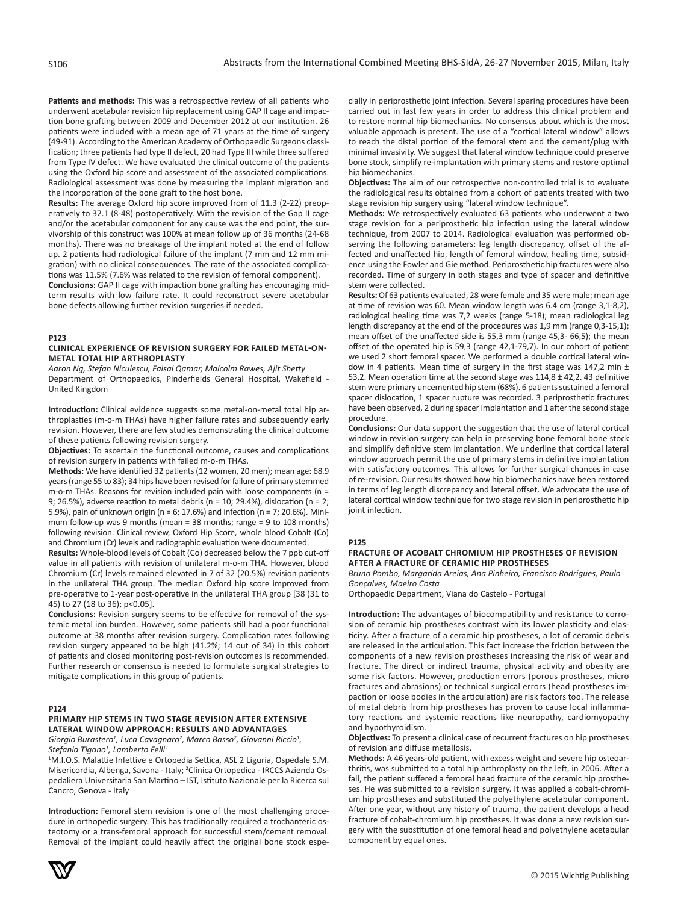**Patients and methods:** This was a retrospective review of all patients who underwent acetabular revision hip replacement using GAP II cage and impaction bone grafting between 2009 and December 2012 at our institution. 26 patients were included with a mean age of 71 years at the time of surgery (49-91). According to the American Academy of Orthopaedic Surgeons classification; three patients had type II defect, 20 had Type III while three suffered from Type IV defect. We have evaluated the clinical outcome of the patients using the Oxford hip score and assessment of the associated complications. Radiological assessment was done by measuring the implant migration and the incorporation of the bone graft to the host bone.

**Results:** The average Oxford hip score improved from of 11.3 (2-22) preoperatively to 32.1 (8-48) postoperatively. With the revision of the Gap II cage and/or the acetabular component for any cause was the end point, the survivorship of this construct was 100% at mean follow up of 36 months (24-68 months). There was no breakage of the implant noted at the end of follow up. 2 patients had radiological failure of the implant (7 mm and 12 mm migration) with no clinical consequences. The rate of the associated complications was 11.5% (7.6% was related to the revision of femoral component).

**Conclusions:** GAP II cage with impaction bone grafting has encouraging midterm results with low failure rate. It could reconstruct severe acetabular bone defects allowing further revision surgeries if needed.

#### **P123**

#### **CLINICAL EXPERIENCE OF REVISION SURGERY FOR FAILED METAL-ON-METAL TOTAL HIP ARTHROPLASTY**

*Aaron Ng, Stefan Niculescu, Faisal Qamar, Malcolm Rawes, Ajit Shetty* Department of Orthopaedics, Pinderfields General Hospital, Wakefield - United Kingdom

**Introduction:** Clinical evidence suggests some metal-on-metal total hip arthroplasties (m-o-m THAs) have higher failure rates and subsequently early revision. However, there are few studies demonstrating the clinical outcome of these patients following revision surgery.

**Objectives:** To ascertain the functional outcome, causes and complications of revision surgery in patients with failed m-o-m THAs.

**Methods:** We have identified 32 patients (12 women, 20 men); mean age: 68.9 years (range 55 to 83); 34 hips have been revised for failure of primary stemmed m-o-m THAs. Reasons for revision included pain with loose components ( $n =$ 9; 26.5%), adverse reaction to metal debris (n = 10; 29.4%), dislocation (n = 2; 5.9%), pain of unknown origin (n = 6; 17.6%) and infection (n = 7; 20.6%). Minimum follow-up was 9 months (mean = 38 months; range = 9 to 108 months) following revision. Clinical review, Oxford Hip Score, whole blood Cobalt (Co) and Chromium (Cr) levels and radiographic evaluation were documented.

**Results:** Whole-blood levels of Cobalt (Co) decreased below the 7 ppb cut-off value in all patients with revision of unilateral m-o-m THA. However, blood Chromium (Cr) levels remained elevated in 7 of 32 (20.5%) revision patients in the unilateral THA group. The median Oxford hip score improved from pre-operative to 1-year post-operative in the unilateral THA group [38 (31 to 45) to 27 (18 to 36); p<0.05].

**Conclusions:** Revision surgery seems to be effective for removal of the systemic metal ion burden. However, some patients still had a poor functional outcome at 38 months after revision surgery. Complication rates following revision surgery appeared to be high (41.2%; 14 out of 34) in this cohort of patients and closed monitoring post-revision outcomes is recommended. Further research or consensus is needed to formulate surgical strategies to mitigate complications in this group of patients.

#### **P124**

# **PRIMARY HIP STEMS IN TWO STAGE REVISION AFTER EXTENSIVE LATERAL WINDOW APPROACH: RESULTS AND ADVANTAGES**

*Giorgio Burastero<sup>1</sup> , Luca Cavagnaro<sup>2</sup> , Marco Basso<sup>2</sup> , Giovanni Riccio<sup>1</sup> , Stefania Tigano<sup>1</sup> , Lamberto Felli<sup>2</sup>*

<sup>1</sup>M.I.O.S. Malattie Infettive e Ortopedia Settica, ASL 2 Liguria, Ospedale S.M. Misericordia, Albenga, Savona - Italy; <sup>2</sup>Clinica Ortopedica - IRCCS Azienda Ospedaliera Universitaria San Martino – IST, Istituto Nazionale per la Ricerca sul Cancro, Genova - Italy

**Introduction:** Femoral stem revision is one of the most challenging procedure in orthopedic surgery. This has traditionally required a trochanteric osteotomy or a trans-femoral approach for successful stem/cement removal. Removal of the implant could heavily affect the original bone stock espe-



cially in periprosthetic joint infection. Several sparing procedures have been carried out in last few years in order to address this clinical problem and to restore normal hip biomechanics. No consensus about which is the most valuable approach is present. The use of a "cortical lateral window" allows to reach the distal portion of the femoral stem and the cement/plug with minimal invasivity. We suggest that lateral window technique could preserve bone stock, simplify re-implantation with primary stems and restore optimal hip biomechanics.

**Objectives:** The aim of our retrospective non-controlled trial is to evaluate the radiological results obtained from a cohort of patients treated with two stage revision hip surgery using "lateral window technique".

**Methods:** We retrospectively evaluated 63 patients who underwent a two stage revision for a periprosthetic hip infection using the lateral window technique, from 2007 to 2014. Radiological evaluation was performed observing the following parameters: leg length discrepancy, offset of the affected and unaffected hip, length of femoral window, healing time, subsidence using the Fowler and Gie method. Periprosthetic hip fractures were also recorded. Time of surgery in both stages and type of spacer and definitive stem were collected.

**Results:** Of 63 patients evaluated, 28 were female and 35 were male; mean age at time of revision was 60. Mean window length was 6.4 cm (range 3,1-8,2), radiological healing time was 7,2 weeks (range 5-18); mean radiological leg length discrepancy at the end of the procedures was 1,9 mm (range 0,3-15,1); mean offset of the unaffected side is 55,3 mm (range 45,3- 66,5); the mean offset of the operated hip is 59,3 (range 42,1-79,7). In our cohort of patient we used 2 short femoral spacer. We performed a double cortical lateral window in 4 patients. Mean time of surgery in the first stage was  $147.2$  min  $\pm$ 53,2. Mean operation time at the second stage was  $114,8 \pm 42,2$ . 43 definitive stem were primary uncemented hip stem (68%). 6 patients sustained a femoral spacer dislocation, 1 spacer rupture was recorded. 3 periprosthetic fractures have been observed, 2 during spacer implantation and 1 after the second stage procedure.

**Conclusions:** Our data support the suggestion that the use of lateral cortical window in revision surgery can help in preserving bone femoral bone stock and simplify definitive stem implantation. We underline that cortical lateral window approach permit the use of primary stems in definitive implantation with satisfactory outcomes. This allows for further surgical chances in case of re-revision. Our results showed how hip biomechanics have been restored in terms of leg length discrepancy and lateral offset. We advocate the use of lateral cortical window technique for two stage revision in periprosthetic hip joint infection.

#### **P125**

#### **FRACTURE OF ACOBALT CHROMIUM HIP PROSTHESES OF REVISION AFTER A FRACTURE OF CERAMIC HIP PROSTHESES**

*Bruno Pombo, Margarida Areias, Ana Pinheiro, Francisco Rodrigues, Paulo Gonçalves, Maeiro Costa*

Orthopaedic Department, Viana do Castelo - Portugal

**Introduction:** The advantages of biocompatibility and resistance to corrosion of ceramic hip prostheses contrast with its lower plasticity and elasticity. After a fracture of a ceramic hip prostheses, a lot of ceramic debris are released in the articulation. This fact increase the friction between the components of a new revision prostheses increasing the risk of wear and fracture. The direct or indirect trauma, physical activity and obesity are some risk factors. However, production errors (porous prostheses, micro fractures and abrasions) or technical surgical errors (head prostheses impaction or loose bodies in the articulation) are risk factors too. The release of metal debris from hip prostheses has proven to cause local inflammatory reactions and systemic reactions like neuropathy, cardiomyopathy and hypothyroidism.

**Objectives:** To present a clinical case of recurrent fractures on hip prostheses of revision and diffuse metallosis.

**Methods:** A 46 years-old patient, with excess weight and severe hip osteoarthritis, was submitted to a total hip arthroplasty on the left, in 2006. After a fall, the patient suffered a femoral head fracture of the ceramic hip prostheses. He was submitted to a revision surgery. It was applied a cobalt-chromium hip prostheses and substituted the polyethylene acetabular component. After one year, without any history of trauma, the patient develops a head fracture of cobalt-chromium hip prostheses. It was done a new revision surgery with the substitution of one femoral head and polyethylene acetabular component by equal ones.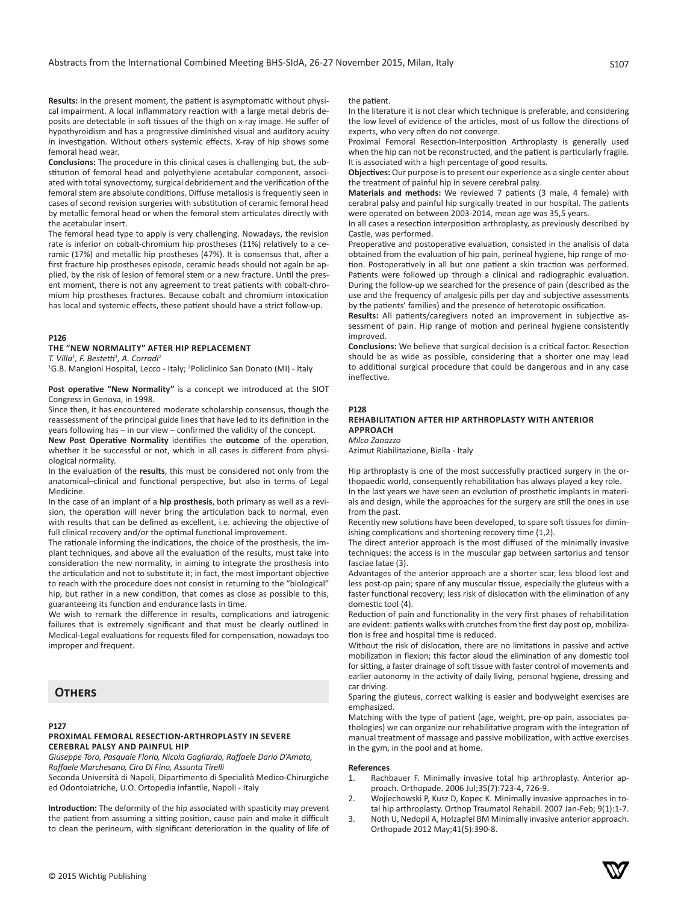**Results:** In the present moment, the patient is asymptomatic without physical impairment. A local inflammatory reaction with a large metal debris deposits are detectable in soft tissues of the thigh on x-ray image. He suffer of hypothyroidism and has a progressive diminished visual and auditory acuity in investigation. Without others systemic effects. X-ray of hip shows some femoral head wear.

**Conclusions:** The procedure in this clinical cases is challenging but, the substitution of femoral head and polyethylene acetabular component, associated with total synovectomy, surgical debridement and the verification of the femoral stem are absolute conditions. Diffuse metallosis is frequently seen in cases of second revision surgeries with substitution of ceramic femoral head by metallic femoral head or when the femoral stem articulates directly with the acetabular insert.

The femoral head type to apply is very challenging. Nowadays, the revision rate is inferior on cobalt-chromium hip prostheses (11%) relatively to a ceramic (17%) and metallic hip prostheses (47%). It is consensus that, after a first fracture hip prostheses episode, ceramic heads should not again be applied, by the risk of lesion of femoral stem or a new fracture. Until the present moment, there is not any agreement to treat patients with cobalt-chromium hip prostheses fractures. Because cobalt and chromium intoxication has local and systemic effects, these patient should have a strict follow-up.

# **P126**

# **THE "NEW NORMALITY" AFTER HIP REPLACEMENT**

*T. Villa<sup>1</sup> , F. Bestetti<sup>1</sup> , A. Corradi<sup>2</sup>*

<sup>1</sup>G.B. Mangioni Hospital, Lecco - Italy; <sup>2</sup>Policlinico San Donato (MI) - Italy

**Post operative "New Normality"** is a concept we introduced at the SIOT Congress in Genova, in 1998.

Since then, it has encountered moderate scholarship consensus, though the reassessment of the principal guide lines that have led to its definition in the years following has – in our view – confirmed the validity of the concept.

**New Post Operative Normality** identifies the **outcome** of the operation, whether it be successful or not, which in all cases is different from physiological normality.

In the evaluation of the **results**, this must be considered not only from the anatomical–clinical and functional perspective, but also in terms of Legal Medicine.

In the case of an implant of a **hip prosthesis**, both primary as well as a revision, the operation will never bring the articulation back to normal, even with results that can be defined as excellent, i.e. achieving the objective of full clinical recovery and/or the optimal functional improvement.

The rationale informing the indications, the choice of the prosthesis, the implant techniques, and above all the evaluation of the results, must take into consideration the new normality, in aiming to integrate the prosthesis into the articulation and not to substitute it; in fact, the most important objective to reach with the procedure does not consist in returning to the "biological" hip, but rather in a new condition, that comes as close as possible to this, guaranteeing its function and endurance lasts in time.

We wish to remark the difference in results, complications and iatrogenic failures that is extremely significant and that must be clearly outlined in Medical-Legal evaluations for requests filed for compensation, nowadays too improper and frequent.

# **Others**

## **P127**

# **PROXIMAL FEMORAL RESECTION-ARTHROPLASTY IN SEVERE CEREBRAL PALSY AND PAINFUL HIP**

*Giuseppe Toro, Pasquale Florio, Nicola Gagliardo, Raffaele Dario D'Amato, Raffaele Marchesano, Ciro Di Fino, Assunta Tirelli*

Seconda Università di Napoli, Dipartimento di Specialità Medico-Chirurgiche ed Odontoiatriche, U.O. Ortopedia infantile, Napoli - Italy

**Introduction:** The deformity of the hip associated with spasticity may prevent the patient from assuming a sitting position, cause pain and make it difficult to clean the perineum, with significant deterioration in the quality of life of

#### the nationt

In the literature it is not clear which technique is preferable, and considering the low level of evidence of the articles, most of us follow the directions of experts, who very often do not converge.

Proximal Femoral Resection-Interposition Arthroplasty is generally used when the hip can not be reconstructed, and the patient is particularly fragile. It is associated with a high percentage of good results.

**Objectives:** Our purpose is to present our experience as a single center about the treatment of painful hip in severe cerebral palsy.

**Materials and methods:** We reviewed 7 patients (3 male, 4 female) with cerabral palsy and painful hip surgically treated in our hospital. The patients were operated on between 2003-2014, mean age was 35,5 years.

In all cases a resection interposition arthroplasty, as previously described by Castle, was performed.

Preoperative and postoperative evaluation, consisted in the analisis of data obtained from the evaluation of hip pain, perineal hygiene, hip range of motion. Postoperatively in all but one patient a skin traction was performed. Patients were followed up through a clinical and radiographic evaluation. During the follow-up we searched for the presence of pain (described as the use and the frequency of analgesic pills per day and subjective assessments by the patients' families) and the presence of heterotopic ossification.

**Results:** All patients/caregivers noted an improvement in subjective assessment of pain. Hip range of motion and perineal hygiene consistently improved.

**Conclusions:** We believe that surgical decision is a critical factor. Resection should be as wide as possible, considering that a shorter one may lead to additional surgical procedure that could be dangerous and in any case ineffective.

# **P128**

#### **REHABILITATION AFTER HIP ARTHROPLASTY WITH ANTERIOR APPROACH** *Milco Zanazzo*

Azimut Riabilitazione, Biella - Italy

Hip arthroplasty is one of the most successfully practiced surgery in the orthopaedic world, consequently rehabilitation has always played a key role.

In the last years we have seen an evolution of prosthetic implants in materials and design, while the approaches for the surgery are still the ones in use from the past.

Recently new solutions have been developed, to spare soft tissues for diminishing complications and shortening recovery time (1,2).

The direct anterior approach is the most diffused of the minimally invasive techniques: the access is in the muscular gap between sartorius and tensor fasciae latae (3).

Advantages of the anterior approach are a shorter scar, less blood lost and less post-op pain; spare of any muscular tissue, especially the gluteus with a faster functional recovery; less risk of dislocation with the elimination of any domestic tool (4).

Reduction of pain and functionality in the very first phases of rehabilitation are evident: patients walks with crutches from the first day post op, mobilization is free and hospital time is reduced.

Without the risk of dislocation, there are no limitations in passive and active mobilization in flexion; this factor aloud the elimination of any domestic tool for sitting, a faster drainage of soft tissue with faster control of movements and earlier autonomy in the activity of daily living, personal hygiene, dressing and car driving.

Sparing the gluteus, correct walking is easier and bodyweight exercises are emphasized.

Matching with the type of patient (age, weight, pre-op pain, associates pathologies) we can organize our rehabilitative program with the integration of manual treatment of massage and passive mobilization, with active exercises in the gym, in the pool and at home.

#### **References**

- 1. Rachbauer F. Minimally invasive total hip arthroplasty. Anterior approach. Orthopade. 2006 Jul;35(7):723-4, 726-9.
- 2. Wojiechowski P, Kusz D, Kopec K. Minimally invasive approaches in total hip arthroplasty. Orthop Traumatol Rehabil. 2007 Jan-Feb; 9(1):1-7.
- 3. Noth U, Nedopil A, Holzapfel BM Minimally invasive anterior approach. Orthopade 2012 May;41(5):390-8.

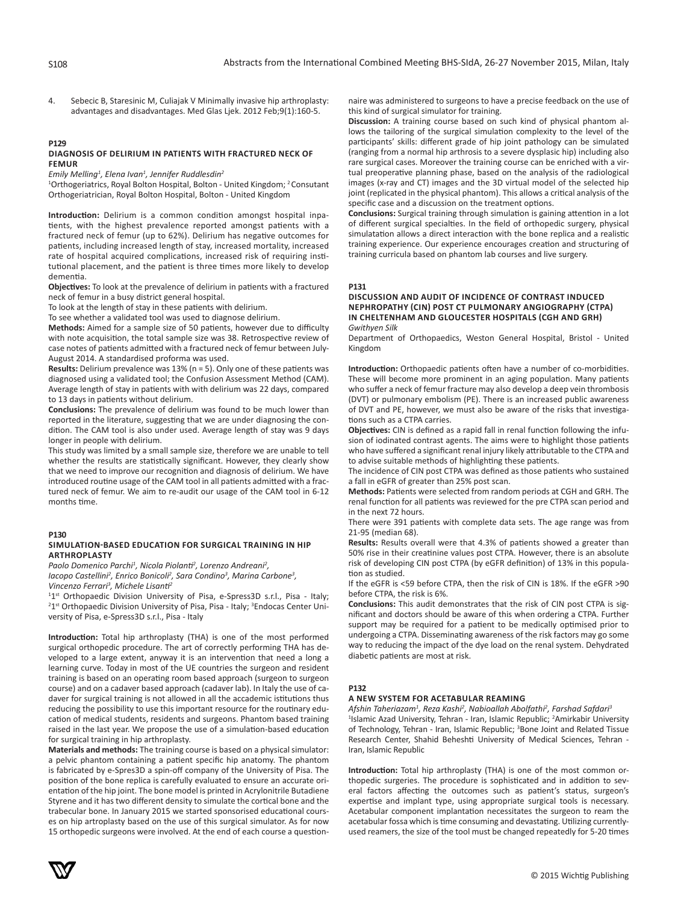4. Sebecic B, Staresinic M, Culiajak V Minimally invasive hip arthroplasty: advantages and disadvantages. Med Glas Ljek. 2012 Feb;9(1):160-5.

#### **P129 DIAGNOSIS OF DELIRIUM IN PATIENTS WITH FRACTURED NECK OF FEMUR**

*Emily Melling<sup>1</sup> , Elena Ivan<sup>1</sup> , Jennifer Ruddlesdin<sup>2</sup>*

<sup>1</sup>Orthogeriatrics, Royal Bolton Hospital, Bolton - United Kingdom; <sup>2</sup> Consutant Orthogeriatrician, Royal Bolton Hospital, Bolton - United Kingdom

**Introduction:** Delirium is a common condition amongst hospital inpatients, with the highest prevalence reported amongst patients with a fractured neck of femur (up to 62%). Delirium has negative outcomes for patients, including increased length of stay, increased mortality, increased rate of hospital acquired complications, increased risk of requiring institutional placement, and the patient is three times more likely to develop dementia.

**Objectives:** To look at the prevalence of delirium in patients with a fractured neck of femur in a busy district general hospital.

To look at the length of stay in these patients with delirium.

To see whether a validated tool was used to diagnose delirium.

**Methods:** Aimed for a sample size of 50 patients, however due to difficulty with note acquisition, the total sample size was 38. Retrospective review of case notes of patients admitted with a fractured neck of femur between July-August 2014. A standardised proforma was used.

**Results:** Delirium prevalence was 13% (n = 5). Only one of these patients was diagnosed using a validated tool; the Confusion Assessment Method (CAM). Average length of stay in patients with with delirium was 22 days, compared to 13 days in patients without delirium.

**Conclusions:** The prevalence of delirium was found to be much lower than reported in the literature, suggesting that we are under diagnosing the condition. The CAM tool is also under used. Average length of stay was 9 days longer in people with delirium.

This study was limited by a small sample size, therefore we are unable to tell whether the results are statistically significant. However, they clearly show that we need to improve our recognition and diagnosis of delirium. We have introduced routine usage of the CAM tool in all patients admitted with a fractured neck of femur. We aim to re-audit our usage of the CAM tool in 6-12 months time.

# **P130**

## **SIMULATION-BASED EDUCATION FOR SURGICAL TRAINING IN HIP ARTHROPLASTY**

Paolo Domenico Parchi<sup>1</sup>, Nicola Piolanti<sup>2</sup>, Lorenzo Andreani<sup>2</sup>,

*Iacopo Castellini<sup>2</sup> , Enrico Bonicoli2 , Sara Condino<sup>3</sup> , Marina Carbone<sup>3</sup> ,* 

*Vincenzo Ferrari<sup>3</sup> , Michele Lisanti<sup>2</sup>*

<sup>11st</sup> Orthopaedic Division University of Pisa, e-Spress3D s.r.l., Pisa - Italy; <sup>2</sup>1<sup>st</sup> Orthopaedic Division University of Pisa, Pisa - Italy; <sup>3</sup>Endocas Center University of Pisa, e-Spress3D s.r.l., Pisa - Italy

**Introduction:** Total hip arthroplasty (THA) is one of the most performed surgical orthopedic procedure. The art of correctly performing THA has developed to a large extent, anyway it is an intervention that need a long a learning curve. Today in most of the UE countries the surgeon and resident training is based on an operating room based approach (surgeon to surgeon course) and on a cadaver based approach (cadaver lab). In Italy the use of cadaver for surgical training is not allowed in all the accademic istitutions thus reducing the possibility to use this important resource for the routinary education of medical students, residents and surgeons. Phantom based training raised in the last year. We propose the use of a simulation-based education for surgical training in hip arthroplasty.

**Materials and methods:** The training course is based on a physical simulator: a pelvic phantom containing a patient specific hip anatomy. The phantom is fabricated by e-Spres3D a spin-off company of the University of Pisa. The position of the bone replica is carefully evaluated to ensure an accurate orientation of the hip joint. The bone model is printed in Acrylonitrile Butadiene Styrene and it has two different density to simulate the cortical bone and the trabecular bone. In January 2015 we started sponsorised educational courses on hip artroplasty based on the use of this surgical simulator. As for now 15 orthopedic surgeons were involved. At the end of each course a questionnaire was administered to surgeons to have a precise feedback on the use of this kind of surgical simulator for training.

**Discussion:** A training course based on such kind of physical phantom allows the tailoring of the surgical simulation complexity to the level of the participants' skills: different grade of hip joint pathology can be simulated (ranging from a normal hip arthrosis to a severe dysplasic hip) including also rare surgical cases. Moreover the training course can be enriched with a virtual preoperative planning phase, based on the analysis of the radiological images (x-ray and CT) images and the 3D virtual model of the selected hip joint (replicated in the physical phantom). This allows a critical analysis of the specific case and a discussion on the treatment options.

**Conclusions:** Surgical training through simulation is gaining attention in a lot of different surgical specialties. In the field of orthopedic surgery, physical simulatation allows a direct interaction with the bone replica and a realistic training experience. Our experience encourages creation and structuring of training curricula based on phantom lab courses and live surgery.

**P131**

#### **DISCUSSION AND AUDIT OF INCIDENCE OF CONTRAST INDUCED NEPHROPATHY (CIN) POST CT PULMONARY ANGIOGRAPHY (CTPA) IN CHELTENHAM AND GLOUCESTER HOSPITALS (CGH AND GRH)** *Gwithyen Silk*

Department of Orthopaedics, Weston General Hospital, Bristol - United Kingdom

**Introduction:** Orthopaedic patients often have a number of co-morbidities. These will become more prominent in an aging population. Many patients who suffer a neck of femur fracture may also develop a deep vein thrombosis (DVT) or pulmonary embolism (PE). There is an increased public awareness of DVT and PE, however, we must also be aware of the risks that investigations such as a CTPA carries.

**Objectives:** CIN is defined as a rapid fall in renal function following the infusion of iodinated contrast agents. The aims were to highlight those patients who have suffered a significant renal injury likely attributable to the CTPA and to advise suitable methods of highlighting these patients.

The incidence of CIN post CTPA was defined as those patients who sustained a fall in eGFR of greater than 25% post scan.

**Methods:** Patients were selected from random periods at CGH and GRH. The renal function for all patients was reviewed for the pre CTPA scan period and in the next 72 hours.

There were 391 patients with complete data sets. The age range was from 21-95 (median 68).

**Results:** Results overall were that 4.3% of patients showed a greater than 50% rise in their creatinine values post CTPA. However, there is an absolute risk of developing CIN post CTPA (by eGFR definition) of 13% in this population as studied.

If the eGFR is <59 before CTPA, then the risk of CIN is 18%. If the eGFR >90 before CTPA, the risk is 6%.

**Conclusions:** This audit demonstrates that the risk of CIN post CTPA is significant and doctors should be aware of this when ordering a CTPA. Further support may be required for a patient to be medically optimised prior to undergoing a CTPA. Disseminating awareness of the risk factors may go some way to reducing the impact of the dye load on the renal system. Dehydrated diabetic patients are most at risk.

## **P132**

# **A NEW SYSTEM FOR ACETABULAR REAMING**

Afshin Taheriazam<sup>1</sup>, Reza Kashi<sup>2</sup>, Nabioallah Abolfathi<sup>2</sup>, Farshad Safdari<sup>3</sup> <sup>1</sup>Islamic Azad University, Tehran - Iran, Islamic Republic; <sup>2</sup>Amirkabir University of Technology, Tehran - Iran, Islamic Republic; <sup>3</sup>Bone Joint and Related Tissue Research Center, Shahid Beheshti University of Medical Sciences, Tehran - Iran, Islamic Republic

**Introduction:** Total hip arthroplasty (THA) is one of the most common orthopedic surgeries. The procedure is sophisticated and in addition to several factors affecting the outcomes such as patient's status, surgeon's expertise and implant type, using appropriate surgical tools is necessary. Acetabular component implantation necessitates the surgeon to ream the acetabular fossa which is time consuming and devastating. Utilizing currentlyused reamers, the size of the tool must be changed repeatedly for 5-20 times

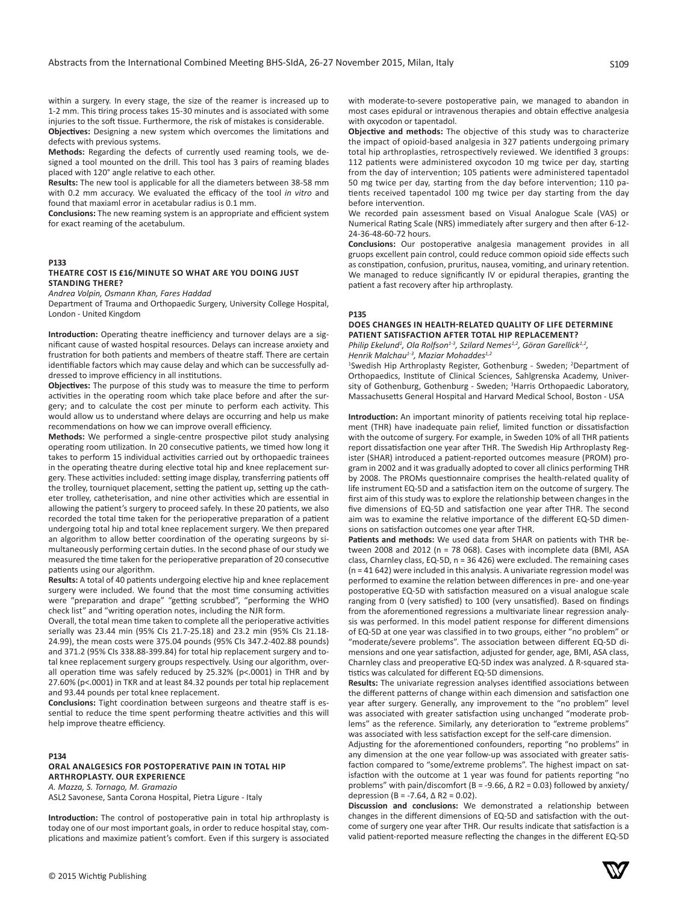within a surgery. In every stage, the size of the reamer is increased up to 1-2 mm. This tiring process takes 15-30 minutes and is associated with some injuries to the soft tissue. Furthermore, the risk of mistakes is considerable. **Objectives:** Designing a new system which overcomes the limitations and defects with previous systems.

**Methods:** Regarding the defects of currently used reaming tools, we designed a tool mounted on the drill. This tool has 3 pairs of reaming blades placed with 120° angle relative to each other.

**Results:** The new tool is applicable for all the diameters between 38-58 mm with 0.2 mm accuracy. We evaluated the efficacy of the tool *in vitro* and found that maxiaml error in acetabular radius is 0.1 mm.

**Conclusions:** The new reaming system is an appropriate and efficient system for exact reaming of the acetabulum.

# **P133**

#### **THEATRE COST IS £16/MINUTE SO WHAT ARE YOU DOING JUST STANDING THERE?**

*Andrea Volpin, Osmann Khan, Fares Haddad*

Department of Trauma and Orthopaedic Surgery, University College Hospital, London - United Kingdom

**Introduction:** Operating theatre inefficiency and turnover delays are a significant cause of wasted hospital resources. Delays can increase anxiety and frustration for both patients and members of theatre staff. There are certain identifiable factors which may cause delay and which can be successfully addressed to improve efficiency in all institutions.

**Objectives:** The purpose of this study was to measure the time to perform activities in the operating room which take place before and after the surgery; and to calculate the cost per minute to perform each activity. This would allow us to understand where delays are occurring and help us make recommendations on how we can improve overall efficiency.

**Methods:** We performed a single-centre prospective pilot study analysing operating room utilization. In 20 consecutive patients, we timed how long it takes to perform 15 individual activities carried out by orthopaedic trainees in the operating theatre during elective total hip and knee replacement surgery. These activities included: setting image display, transferring patients off the trolley, tourniquet placement, setting the patient up, setting up the catheter trolley, catheterisation, and nine other activities which are essential in allowing the patient's surgery to proceed safely. In these 20 patients, we also recorded the total time taken for the perioperative preparation of a patient undergoing total hip and total knee replacement surgery. We then prepared an algorithm to allow better coordination of the operating surgeons by simultaneously performing certain duties. In the second phase of our study we measured the time taken for the perioperative preparation of 20 consecutive patients using our algorithm.

**Results:** A total of 40 patients undergoing elective hip and knee replacement surgery were included. We found that the most time consuming activities were "preparation and drape" "getting scrubbed", "performing the WHO check list" and "writing operation notes, including the NJR form.

Overall, the total mean time taken to complete all the perioperative activities serially was 23.44 min (95% CIs 21.7-25.18) and 23.2 min (95% CIs 21.18- 24.99), the mean costs were 375.04 pounds (95% CIs 347.2-402.88 pounds) and 371.2 (95% CIs 338.88-399.84) for total hip replacement surgery and total knee replacement surgery groups respectively. Using our algorithm, overall operation time was safely reduced by 25.32% (p<.0001) in THR and by 27.60% (p<.0001) in TKR and at least 84.32 pounds per total hip replacement and 93.44 pounds per total knee replacement.

**Conclusions:** Tight coordination between surgeons and theatre staff is essential to reduce the time spent performing theatre activities and this will help improve theatre efficiency.

# **P134**

# **ORAL ANALGESICS FOR POSTOPERATIVE PAIN IN TOTAL HIP ARTHROPLASTY. OUR EXPERIENCE**

*A. Mazza, S. Tornago, M. Gramazio*  ASL2 Savonese, Santa Corona Hospital, Pietra Ligure - Italy

**Introduction:** The control of postoperative pain in total hip arthroplasty is today one of our most important goals, in order to reduce hospital stay, complications and maximize patient's comfort. Even if this surgery is associated **Objective and methods:** The objective of this study was to characterize the impact of opioid-based analgesia in 327 patients undergoing primary total hip arthroplasties, retrospectively reviewed. We identified 3 groups: 112 patients were administered oxycodon 10 mg twice per day, starting from the day of intervention; 105 patients were administered tapentadol 50 mg twice per day, starting from the day before intervention; 110 patients received tapentadol 100 mg twice per day starting from the day before intervention.

We recorded pain assessment based on Visual Analogue Scale (VAS) or Numerical Rating Scale (NRS) immediately after surgery and then after 6-12- 24-36-48-60-72 hours.

**Conclusions:** Our postoperative analgesia management provides in all gruops excellent pain control, could reduce common opioid side effects such as constipation, confusion, pruritus, nausea, vomiting, and urinary retention. We managed to reduce significantly IV or epidural therapies, granting the patient a fast recovery after hip arthroplasty.

#### **P135**

# **DOES CHANGES IN HEALTH-RELATED QUALITY OF LIFE DETERMINE PATIENT SATISFACTION AFTER TOTAL HIP REPLACEMENT?**

*Philip Ekelund<sup>1</sup>*, Ola Rolfson<sup>1-3</sup>, Szilard Nemes<sup>1,2</sup>, Göran Garellick<sup>1,2</sup>, *Henrik Malchau1-3, Maziar Mohaddes1,2*

<sup>1</sup>Swedish Hip Arthroplasty Register, Gothenburg - Sweden; <sup>2</sup>Department of Orthopaedics, Institute of Clinical Sciences, Sahlgrenska Academy, University of Gothenburg, Gothenburg - Sweden; <sup>3</sup>Harris Orthopaedic Laboratory, Massachusetts General Hospital and Harvard Medical School, Boston - USA

**Introduction:** An important minority of patients receiving total hip replacement (THR) have inadequate pain relief, limited function or dissatisfaction with the outcome of surgery. For example, in Sweden 10% of all THR patients report dissatisfaction one year after THR. The Swedish Hip Arthroplasty Register (SHAR) introduced a patient-reported outcomes measure (PROM) program in 2002 and it was gradually adopted to cover all clinics performing THR by 2008. The PROMs questionnaire comprises the health-related quality of life instrument EQ-5D and a satisfaction item on the outcome of surgery. The first aim of this study was to explore the relationship between changes in the five dimensions of EQ-5D and satisfaction one year after THR. The second aim was to examine the relative importance of the different EQ-5D dimensions on satisfaction outcomes one year after THR.

**Patients and methods:** We used data from SHAR on patients with THR between 2008 and 2012 (n = 78 068). Cases with incomplete data (BMI, ASA class, Charnley class, EQ-5D, n = 36 426) were excluded. The remaining cases (n = 41 642) were included in this analysis. A univariate regression model was performed to examine the relation between differences in pre- and one-year postoperative EQ-5D with satisfaction measured on a visual analogue scale ranging from 0 (very satisfied) to 100 (very unsatisfied). Based on findings from the aforementioned regressions a multivariate linear regression analysis was performed. In this model patient response for different dimensions of EQ-5D at one year was classified in to two groups, either "no problem" or "moderate/severe problems". The association between different EQ-5D dimensions and one year satisfaction, adjusted for gender, age, BMI, ASA class, Charnley class and preoperative EQ-5D index was analyzed. Δ R-squared statistics was calculated for different EQ-5D dimensions.

**Results:** The univariate regression analyses identified associations between the different patterns of change within each dimension and satisfaction one year after surgery. Generally, any improvement to the "no problem" level was associated with greater satisfaction using unchanged "moderate problems" as the reference. Similarly, any deterioration to "extreme problems" was associated with less satisfaction except for the self-care dimension.

Adjusting for the aforementioned confounders, reporting "no problems" in any dimension at the one year follow-up was associated with greater satisfaction compared to "some/extreme problems". The highest impact on satisfaction with the outcome at 1 year was found for patients reporting "no problems" with pain/discomfort (B = -9.66,  $\triangle$  R2 = 0.03) followed by anxiety/ depression (B = -7.64,  $\Delta$  R2 = 0.02).

**Discussion and conclusions:** We demonstrated a relationship between changes in the different dimensions of EQ-5D and satisfaction with the outcome of surgery one year after THR. Our results indicate that satisfaction is a valid patient-reported measure reflecting the changes in the different EQ-5D

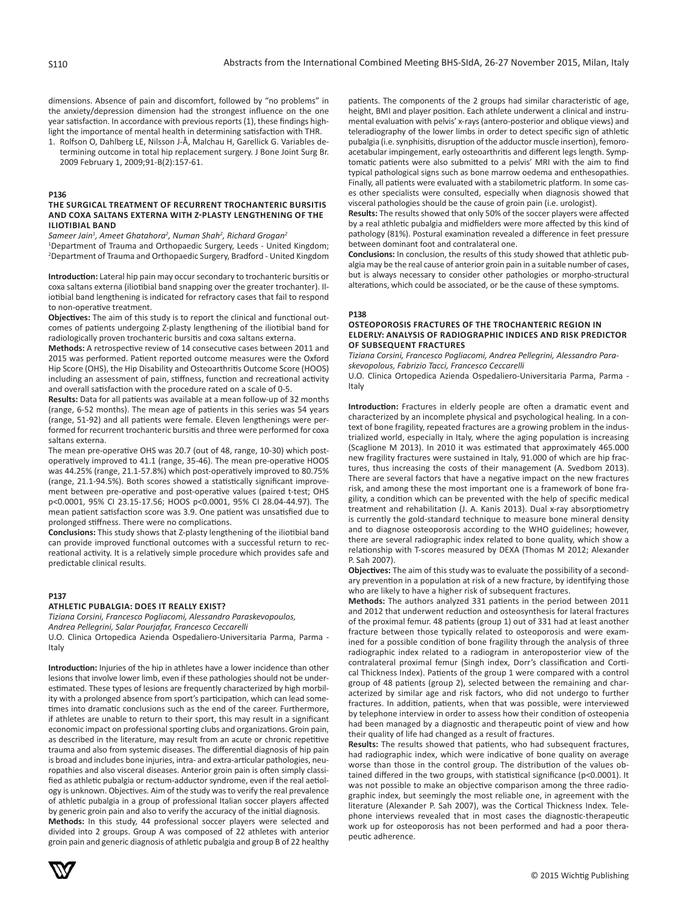dimensions. Absence of pain and discomfort, followed by "no problems" in the anxiety/depression dimension had the strongest influence on the one year satisfaction. In accordance with previous reports (1), these findings highlight the importance of mental health in determining satisfaction with THR.

1. Rolfson O, Dahlberg LE, Nilsson J-Å, Malchau H, Garellick G. Variables determining outcome in total hip replacement surgery. J Bone Joint Surg Br. 2009 February 1, 2009;91-B(2):157-61.

#### **P136**

## **THE SURGICAL TREATMENT OF RECURRENT TROCHANTERIC BURSITIS AND COXA SALTANS EXTERNA WITH Z-PLASTY LENGTHENING OF THE ILIOTIBIAL BAND**

*Sameer Jain1 , Ameet Ghatahora<sup>2</sup> , Numan Shah<sup>2</sup> , Richard Grogan<sup>2</sup>*

<sup>1</sup>Department of Trauma and Orthopaedic Surgery, Leeds - United Kingdom; 2 Department of Trauma and Orthopaedic Surgery, Bradford - United Kingdom

**Introduction:** Lateral hip pain may occur secondary to trochanteric bursitis or coxa saltans externa (iliotibial band snapping over the greater trochanter). Iliotibial band lengthening is indicated for refractory cases that fail to respond to non-operative treatment.

**Objectives:** The aim of this study is to report the clinical and functional outcomes of patients undergoing Z-plasty lengthening of the iliotibial band for radiologically proven trochanteric bursitis and coxa saltans externa.

**Methods:** A retrospective review of 14 consecutive cases between 2011 and 2015 was performed. Patient reported outcome measures were the Oxford Hip Score (OHS), the Hip Disability and Osteoarthritis Outcome Score (HOOS) including an assessment of pain, stiffness, function and recreational activity and overall satisfaction with the procedure rated on a scale of 0-5.

**Results:** Data for all patients was available at a mean follow-up of 32 months (range, 6-52 months). The mean age of patients in this series was 54 years (range, 51-92) and all patients were female. Eleven lengthenings were performed for recurrent trochanteric bursitis and three were performed for coxa saltans externa.

The mean pre-operative OHS was 20.7 (out of 48, range, 10-30) which postoperatively improved to 41.1 (range, 35-46). The mean pre-operative HOOS was 44.25% (range, 21.1-57.8%) which post-operatively improved to 80.75% (range, 21.1-94.5%). Both scores showed a statistically significant improvement between pre-operative and post-operative values (paired t-test; OHS p<0.0001, 95% CI 23.15-17.56; HOOS p<0.0001, 95% CI 28.04-44.97). The mean patient satisfaction score was 3.9. One patient was unsatisfied due to prolonged stiffness. There were no complications.

**Conclusions:** This study shows that Z-plasty lengthening of the iliotibial band can provide improved functional outcomes with a successful return to recreational activity. It is a relatively simple procedure which provides safe and predictable clinical results.

# **P137**

#### **ATHLETIC PUBALGIA: DOES IT REALLY EXIST?**

*Tiziana Corsini, Francesco Pogliacomi, Alessandro Paraskevopoulos, Andrea Pellegrini, Salar Pourjafar, Francesco Ceccarelli* 

U.O. Clinica Ortopedica Azienda Ospedaliero-Universitaria Parma, Parma - Italy

**Introduction:** Injuries of the hip in athletes have a lower incidence than other lesions that involve lower limb, even if these pathologies should not be underestimated. These types of lesions are frequently characterized by high morbility with a prolonged absence from sport's participation, which can lead sometimes into dramatic conclusions such as the end of the career. Furthermore, if athletes are unable to return to their sport, this may result in a significant economic impact on professional sporting clubs and organizations. Groin pain, as described in the literature, may result from an acute or chronic repetitive trauma and also from systemic diseases. The differential diagnosis of hip pain is broad and includes bone injuries, intra- and extra-articular pathologies, neuropathies and also visceral diseases. Anterior groin pain is often simply classified as athletic pubalgia or rectum-adductor syndrome, even if the real aetiology is unknown. Objectives. Aim of the study was to verify the real prevalence of athletic pubalgia in a group of professional Italian soccer players affected by generic groin pain and also to verify the accuracy of the initial diagnosis.

**Methods:** In this study, 44 professional soccer players were selected and divided into 2 groups. Group A was composed of 22 athletes with anterior groin pain and generic diagnosis of athletic pubalgia and group B of 22 healthy

patients. The components of the 2 groups had similar characteristic of age, height, BMI and player position. Each athlete underwent a clinical and instrumental evaluation with pelvis' x-rays (antero-posterior and oblique views) and teleradiography of the lower limbs in order to detect specific sign of athletic pubalgia (i.e. synphisitis, disruption of the adductor muscle insertion), femoroacetabular impingement, early osteoarthritis and different legs length. Symptomatic patients were also submitted to a pelvis' MRI with the aim to find typical pathological signs such as bone marrow oedema and enthesopathies. Finally, all patients were evaluated with a stabilometric platform. In some cases other specialists were consulted, especially when diagnosis showed that visceral pathologies should be the cause of groin pain (i.e. urologist).

**Results:** The results showed that only 50% of the soccer players were affected by a real athletic pubalgia and midfielders were more affected by this kind of pathology (81%). Postural examination revealed a difference in feet pressure between dominant foot and contralateral one.

**Conclusions:** In conclusion, the results of this study showed that athletic pubalgia may be the real cause of anterior groin pain in a suitable number of cases, but is always necessary to consider other pathologies or morpho-structural alterations, which could be associated, or be the cause of these symptoms.

#### **P138**

# **OSTEOPOROSIS FRACTURES OF THE TROCHANTERIC REGION IN ELDERLY: ANALYSIS OF RADIOGRAPHIC INDICES AND RISK PREDICTOR OF SUBSEQUENT FRACTURES**

*Tiziana Corsini, Francesco Pogliacomi, Andrea Pellegrini, Alessandro Paraskevopolous, Fabrizio Tacci, Francesco Ceccarelli* 

U.O. Clinica Ortopedica Azienda Ospedaliero-Universitaria Parma, Parma - Italy

**Introduction:** Fractures in elderly people are often a dramatic event and characterized by an incomplete physical and psychological healing. In a context of bone fragility, repeated fractures are a growing problem in the industrialized world, especially in Italy, where the aging population is increasing (Scaglione M 2013). In 2010 it was estimated that approximately 465.000 new fragility fractures were sustained in Italy, 91.000 of which are hip fractures, thus increasing the costs of their management (A. Svedbom 2013). There are several factors that have a negative impact on the new fractures risk, and among these the most important one is a framework of bone fragility, a condition which can be prevented with the help of specific medical treatment and rehabilitation (J. A. Kanis 2013). Dual x-ray absorptiometry is currently the gold-standard technique to measure bone mineral density and to diagnose osteoporosis according to the WHO guidelines; however, there are several radiographic index related to bone quality, which show a relationship with T-scores measured by DEXA (Thomas M 2012; Alexander P. Sah 2007).

**Objectives:** The aim of this study was to evaluate the possibility of a secondary prevention in a population at risk of a new fracture, by identifying those who are likely to have a higher risk of subsequent fractures.

**Methods:** The authors analyzed 331 patients in the period between 2011 and 2012 that underwent reduction and osteosynthesis for lateral fractures of the proximal femur. 48 patients (group 1) out of 331 had at least another fracture between those typically related to osteoporosis and were examined for a possible condition of bone fragility through the analysis of three radiographic index related to a radiogram in anteroposterior view of the contralateral proximal femur (Singh index, Dorr's classification and Cortical Thickness Index). Patients of the group 1 were compared with a control group of 48 patients (group 2), selected between the remaining and characterized by similar age and risk factors, who did not undergo to further fractures. In addition, patients, when that was possible, were interviewed by telephone interview in order to assess how their condition of osteopenia had been managed by a diagnostic and therapeutic point of view and how their quality of life had changed as a result of fractures.

**Results:** The results showed that patients, who had subsequent fractures, had radiographic index, which were indicative of bone quality on average worse than those in the control group. The distribution of the values obtained differed in the two groups, with statistical significance (p<0.0001). It was not possible to make an objective comparison among the three radiographic index, but seemingly the most reliable one, in agreement with the literature (Alexander P. Sah 2007), was the Cortical Thickness Index. Telephone interviews revealed that in most cases the diagnostic-therapeutic work up for osteoporosis has not been performed and had a poor therapeutic adherence.

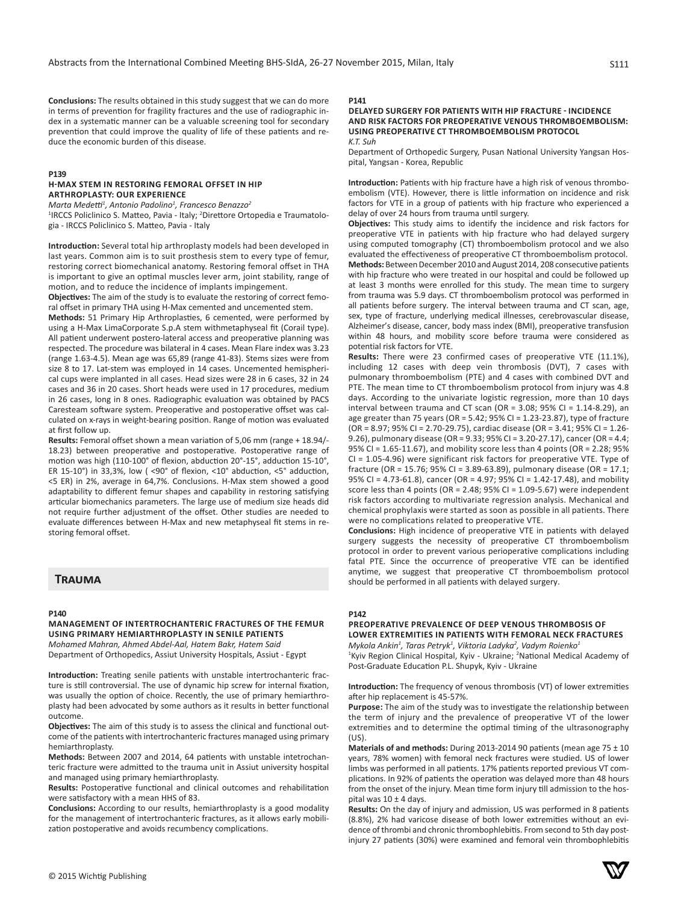**Conclusions:** The results obtained in this study suggest that we can do more in terms of prevention for fragility fractures and the use of radiographic index in a systematic manner can be a valuable screening tool for secondary prevention that could improve the quality of life of these patients and reduce the economic burden of this disease.

# **P139**

# **H-MAX STEM IN RESTORING FEMORAL OFFSET IN HIP ARTHROPLASTY: OUR EXPERIENCE**

*Marta Medetti<sup>1</sup> , Antonio Padolino<sup>1</sup> , Francesco Benazzo<sup>2</sup>*

<sup>1</sup>IRCCS Policlinico S. Matteo, Pavia - Italy; <sup>2</sup>Direttore Ortopedia e Traumatologia - IRCCS Policlinico S. Matteo, Pavia - Italy

**Introduction:** Several total hip arthroplasty models had been developed in last years. Common aim is to suit prosthesis stem to every type of femur, restoring correct biomechanical anatomy. Restoring femoral offset in THA is important to give an optimal muscles lever arm, joint stability, range of motion, and to reduce the incidence of implants impingement.

**Objectives:** The aim of the study is to evaluate the restoring of correct femoral offset in primary THA using H-Max cemented and uncemented stem.

**Methods:** 51 Primary Hip Arthroplasties, 6 cemented, were performed by using a H-Max LimaCorporate S.p.A stem withmetaphyseal fit (Corail type). All patient underwent postero-lateral access and preoperative planning was respected. The procedure was bilateral in 4 cases. Mean Flare index was 3.23 (range 1.63-4.5). Mean age was 65,89 (range 41-83). Stems sizes were from size 8 to 17. Lat-stem was employed in 14 cases. Uncemented hemispherical cups were implanted in all cases. Head sizes were 28 in 6 cases, 32 in 24 cases and 36 in 20 cases. Short heads were used in 17 procedures, medium in 26 cases, long in 8 ones. Radiographic evaluation was obtained by PACS Caresteam software system. Preoperative and postoperative offset was calculated on x-rays in weight-bearing position. Range of motion was evaluated at first follow up.

**Results:** Femoral offset shown a mean variation of 5,06 mm (range + 18.94/- 18.23) between preoperative and postoperative. Postoperative range of motion was high (110-100° of flexion, abduction 20°-15°, adduction 15-10°, ER 15-10°) in 33,3%, low ( <90° of flexion, <10° abduction, <5° adduction, <5 ER) in 2%, average in 64,7%. Conclusions. H-Max stem showed a good adaptability to different femur shapes and capability in restoring satisfying articular biomechanics parameters. The large use of medium size heads did not require further adjustment of the offset. Other studies are needed to evaluate differences between H-Max and new metaphyseal fit stems in restoring femoral offset.

# **Trauma**

#### **P140**

**MANAGEMENT OF INTERTROCHANTERIC FRACTURES OF THE FEMUR USING PRIMARY HEMIARTHROPLASTY IN SENILE PATIENTS**

*Mohamed Mahran, Ahmed Abdel-Aal, Hatem Bakr, Hatem Said* Department of Orthopedics, Assiut University Hospitals, Assiut - Egypt

**Introduction:** Treating senile patients with unstable intertrochanteric fracture is still controversial. The use of dynamic hip screw for internal fixation, was usually the option of choice. Recently, the use of primary hemiarthroplasty had been advocated by some authors as it results in better functional outcome.

**Objectives:** The aim of this study is to assess the clinical and functional outcome of the patients with intertrochanteric fractures managed using primary hemiarthroplasty.

**Methods:** Between 2007 and 2014, 64 patients with unstable intetrochanteric fracture were admitted to the trauma unit in Assiut university hospital and managed using primary hemiarthroplasty.

**Results:** Postoperative functional and clinical outcomes and rehabilitation were satisfactory with a mean HHS of 83.

**Conclusions:** According to our results, hemiarthroplasty is a good modality for the management of intertrochanteric fractures, as it allows early mobilization postoperative and avoids recumbency complications.

#### **P141**

#### **DELAYED SURGERY FOR PATIENTS WITH HIP FRACTURE - INCIDENCE AND RISK FACTORS FOR PREOPERATIVE VENOUS THROMBOEMBOLISM: USING PREOPERATIVE CT THROMBOEMBOLISM PROTOCOL** *K.T. Suh*

Department of Orthopedic Surgery, Pusan National University Yangsan Hospital, Yangsan - Korea, Republic

**Introduction:** Patients with hip fracture have a high risk of venous thromboembolism (VTE). However, there is little information on incidence and risk factors for VTE in a group of patients with hip fracture who experienced a delay of over 24 hours from trauma until surgery.

**Objectives:** This study aims to identify the incidence and risk factors for preoperative VTE in patients with hip fracture who had delayed surgery using computed tomography (CT) thromboembolism protocol and we also evaluated the effectiveness of preoperative CT thromboembolism protocol. **Methods:** Between December 2010 and August 2014, 208 consecutive patients with hip fracture who were treated in our hospital and could be followed up at least 3 months were enrolled for this study. The mean time to surgery from trauma was 5.9 days. CT thromboembolism protocol was performed in all patients before surgery. The interval between trauma and CT scan, age, sex, type of fracture, underlying medical illnesses, cerebrovascular disease, Alzheimer's disease, cancer, body mass index (BMI), preoperative transfusion within 48 hours, and mobility score before trauma were considered as potential risk factors for VTE.

**Results:** There were 23 confirmed cases of preoperative VTE (11.1%), including 12 cases with deep vein thrombosis (DVT), 7 cases with pulmonary thromboembolism (PTE) and 4 cases with combined DVT and PTE. The mean time to CT thromboembolism protocol from injury was 4.8 days. According to the univariate logistic regression, more than 10 days interval between trauma and CT scan (OR = 3.08; 95% CI = 1.14-8.29), an age greater than 75 years (OR = 5.42; 95% CI = 1.23-23.87), type of fracture (OR = 8.97; 95% CI = 2.70-29.75), cardiac disease (OR = 3.41; 95% CI = 1.26- 9.26), pulmonary disease (OR = 9.33; 95% CI = 3.20-27.17), cancer (OR = 4.4; 95% CI = 1.65-11.67), and mobility score less than 4 points (OR = 2.28; 95% CI = 1.05-4.96) were significant risk factors for preoperative VTE. Type of fracture (OR = 15.76; 95% CI = 3.89-63.89), pulmonary disease (OR = 17.1; 95% CI = 4.73-61.8), cancer (OR = 4.97; 95% CI = 1.42-17.48), and mobility score less than 4 points (OR = 2.48; 95% CI = 1.09-5.67) were independent risk factors according to multivariate regression analysis. Mechanical and chemical prophylaxis were started as soon as possible in all patients. There were no complications related to preoperative VTE.

**Conclusions:** High incidence of preoperative VTE in patients with delayed surgery suggests the necessity of preoperative CT thromboembolism protocol in order to prevent various perioperative complications including fatal PTE. Since the occurrence of preoperative VTE can be identified anytime, we suggest that preoperative CT thromboembolism protocol should be performed in all patients with delayed surgery.

#### **P142**

# **PREOPERATIVE PREVALENCE OF DEEP VENOUS THROMBOSIS OF LOWER EXTREMITIES IN PATIENTS WITH FEMORAL NECK FRACTURES**

*Mykola Ankin<sup>1</sup> , Taras Petryk<sup>1</sup> , Viktoria Ladyka<sup>2</sup> , Vadym Roienko<sup>1</sup>* <sup>1</sup>Kyiv Region Clinical Hospital, Kyiv - Ukraine; <sup>2</sup>National Medical Academy of Post-Graduate Education P.L. Shupyk, Kyiv - Ukraine

**Introduction:** The frequency of venous thrombosis (VT) of lower extremities after hip replacement is 45-57%.

**Purpose:** The aim of the study was to investigate the relationship between the term of injury and the prevalence of preoperative VT of the lower extremities and to determine the optimal timing of the ultrasonography  $(US)$ .

**Materials of and methods:** During 2013-2014 90 patients (mean age 75 ± 10 years, 78% women) with femoral neck fractures were studied. US of lower limbs was performed in all patients. 17% patients reported previous VT complications. In 92% of patients the operation was delayed more than 48 hours from the onset of the injury. Mean time form injury till admission to the hospital was  $10 \pm 4$  days.

**Results:** On the day of injury and admission, US was performed in 8 patients (8.8%), 2% had varicose disease of both lower extremities without an evidence of thrombi and chronic thrombophlebitis. From second to 5th day postinjury 27 patients (30%) were examined and femoral vein thrombophlebitis

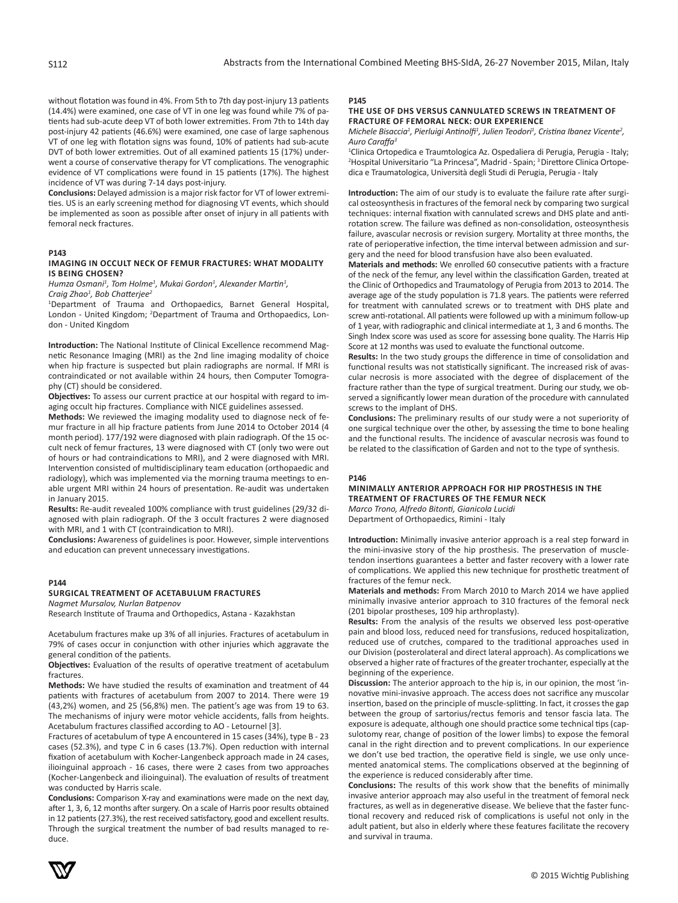without flotation was found in 4%. From 5th to 7th day post-injury 13 patients (14.4%) were examined, one case of VT in one leg was found while 7% of patients had sub-acute deep VT of both lower extremities. From 7th to 14th day post-injury 42 patients (46.6%) were examined, one case of large saphenous VT of one leg with flotation signs was found, 10% of patients had sub-acute DVT of both lower extremities. Out of all examined patients 15 (17%) underwent a course of conservative therapy for VT complications. The venographic evidence of VT complications were found in 15 patients (17%). The highest incidence of VT was during 7-14 days post-injury.

**Conclusions:** Delayed admission is a major risk factor for VT of lower extremities. US is an early screening method for diagnosing VT events, which should be implemented as soon as possible after onset of injury in all patients with femoral neck fractures.

#### **P143**

#### **IMAGING IN OCCULT NECK OF FEMUR FRACTURES: WHAT MODALITY IS BEING CHOSEN?**

Humza Osmani<sup>1</sup>, Tom Holme<sup>1</sup>, Mukai Gordon<sup>1</sup>, Alexander Martin<sup>1</sup>,

*Craig Zhao<sup>1</sup> , Bob Chatterjee<sup>2</sup>*

1 Department of Trauma and Orthopaedics, Barnet General Hospital, London - United Kingdom; <sup>2</sup>Department of Trauma and Orthopaedics, London - United Kingdom

**Introduction:** The National Institute of Clinical Excellence recommend Magnetic Resonance Imaging (MRI) as the 2nd line imaging modality of choice when hip fracture is suspected but plain radiographs are normal. If MRI is contraindicated or not available within 24 hours, then Computer Tomography (CT) should be considered.

**Objectives:** To assess our current practice at our hospital with regard to imaging occult hip fractures. Compliance with NICE guidelines assessed.

**Methods:** We reviewed the imaging modality used to diagnose neck of femur fracture in all hip fracture patients from June 2014 to October 2014 (4 month period). 177/192 were diagnosed with plain radiograph. Of the 15 occult neck of femur fractures, 13 were diagnosed with CT (only two were out of hours or had contraindications to MRI), and 2 were diagnosed with MRI. Intervention consisted of multidisciplinary team education (orthopaedic and radiology), which was implemented via the morning trauma meetings to enable urgent MRI within 24 hours of presentation. Re-audit was undertaken in January 2015.

**Results:** Re-audit revealed 100% compliance with trust guidelines (29/32 diagnosed with plain radiograph. Of the 3 occult fractures 2 were diagnosed with MRI, and 1 with CT (contraindication to MRI).

**Conclusions:** Awareness of guidelines is poor. However, simple interventions and education can prevent unnecessary investigations.

#### **P144**

# **SURGICAL TREATMENT OF ACETABULUM FRACTURES**

*Nagmet Mursalov, Nurlan Batpenov*

Research Institute of Trauma and Orthopedics, Astana - Kazakhstan

Acetabulum fractures make up 3% of all injuries. Fractures of acetabulum in 79% of cases occur in conjunction with other injuries which aggravate the general condition of the patients.

**Objectives:** Evaluation of the results of operative treatment of acetabulum fractures.

**Methods:** We have studied the results of examination and treatment of 44 patients with fractures of acetabulum from 2007 to 2014. There were 19 (43,2%) women, and 25 (56,8%) men. The patient's age was from 19 to 63. The mechanisms of injury were motor vehicle accidents, falls from heights. Acetabulum fractures classified according to AO - Letournel [3].

Fractures of acetabulum of type A encountered in 15 cases (34%), type B - 23 cases (52.3%), and type C in 6 cases (13.7%). Open reduction with internal fixation of acetabulum with Kocher-Langenbeck approach made in 24 cases, ilioinguinal approach - 16 cases, there were 2 cases from two approaches (Kocher-Langenbeck and ilioinguinal). The evaluation of results of treatment was conducted by Harris scale.

**Conclusions:** Comparison X-ray and examinations were made on the next day, after 1, 3, 6, 12 months after surgery. On a scale of Harris poor results obtained in 12 patients (27.3%), the rest received satisfactory, good and excellent results. Through the surgical treatment the number of bad results managed to reduce.

#### **P145**

#### **THE USE OF DHS VERSUS CANNULATED SCREWS IN TREATMENT OF FRACTURE OF FEMORAL NECK: OUR EXPERIENCE**

*Michele Bisaccia<sup>1</sup> , Pierluigi Antinolfi<sup>1</sup> , Julien Teodori<sup>1</sup> , Cristina Ibanez Vicente<sup>2</sup> , Auro Caraffa<sup>3</sup>*

1 Clinica Ortopedica e Traumtologica Az. Ospedaliera di Perugia, Perugia - Italy; <sup>2</sup>Hospital Universitario "La Princesa", Madrid - Spain; <sup>3</sup> Direttore Clinica Ortopedica e Traumatologica, Università degli Studi di Perugia, Perugia - Italy

**Introduction:** The aim of our study is to evaluate the failure rate after surgical osteosynthesis in fractures of the femoral neck by comparing two surgical techniques: internal fixation with cannulated screws and DHS plate and antirotation screw. The failure was defined as non-consolidation, osteosynthesis failure, avascular necrosis or revision surgery. Mortality at three months, the rate of perioperative infection, the time interval between admission and surgery and the need for blood transfusion have also been evaluated.

**Materials and methods:** We enrolled 60 consecutive patients with a fracture of the neck of the femur, any level within the classification Garden, treated at the Clinic of Orthopedics and Traumatology of Perugia from 2013 to 2014. The average age of the study population is 71.8 years. The patients were referred for treatment with cannulated screws or to treatment with DHS plate and screw anti-rotational. All patients were followed up with a minimum follow-up of 1 year, with radiographic and clinical intermediate at 1, 3 and 6 months. The Singh Index score was used as score for assessing bone quality. The Harris Hip Score at 12 months was used to evaluate the functional outcome.

**Results:** In the two study groups the difference in time of consolidation and functional results was not statistically significant. The increased risk of avascular necrosis is more associated with the degree of displacement of the fracture rather than the type of surgical treatment. During our study, we observed a significantly lower mean duration of the procedure with cannulated screws to the implant of DHS.

**Conclusions:** The preliminary results of our study were a not superiority of one surgical technique over the other, by assessing the time to bone healing and the functional results. The incidence of avascular necrosis was found to be related to the classification of Garden and not to the type of synthesis.

# **P146**

**MINIMALLY ANTERIOR APPROACH FOR HIP PROSTHESIS IN THE TREATMENT OF FRACTURES OF THE FEMUR NECK** *Marco Trono, Alfredo Bitonti, Gianicola Lucidi* Department of Orthopaedics, Rimini - Italy

**Introduction:** Minimally invasive anterior approach is a real step forward in the mini-invasive story of the hip prosthesis. The preservation of muscletendon insertions guarantees a better and faster recovery with a lower rate of complications. We applied this new technique for prosthetic treatment of fractures of the femur neck.

**Materials and methods:** From March 2010 to March 2014 we have applied minimally invasive anterior approach to 310 fractures of the femoral neck (201 bipolar prostheses, 109 hip arthroplasty).

**Results:** From the analysis of the results we observed less post-operative pain and blood loss, reduced need for transfusions, reduced hospitalization, reduced use of crutches, compared to the traditional approaches used in our Division (posterolateral and direct lateral approach). As complications we observed a higher rate of fractures of the greater trochanter, especially at the beginning of the experience.

**Discussion:** The anterior approach to the hip is, in our opinion, the most 'innovative mini-invasive approach. The access does not sacrifice any muscolar insertion, based on the principle of muscle-splitting. In fact, it crosses the gap between the group of sartorius/rectus femoris and tensor fascia lata. The exposure is adequate, although one should practice some technical tips (capsulotomy rear, change of position of the lower limbs) to expose the femoral canal in the right direction and to prevent complications. In our experience we don't use bed traction, the operative field is single, we use only uncemented anatomical stems. The complications observed at the beginning of the experience is reduced considerably after time.

**Conclusions:** The results of this work show that the benefits of minimally invasive anterior approach may also useful in the treatment of femoral neck fractures, as well as in degenerative disease. We believe that the faster functional recovery and reduced risk of complications is useful not only in the adult patient, but also in elderly where these features facilitate the recovery and survival in trauma.

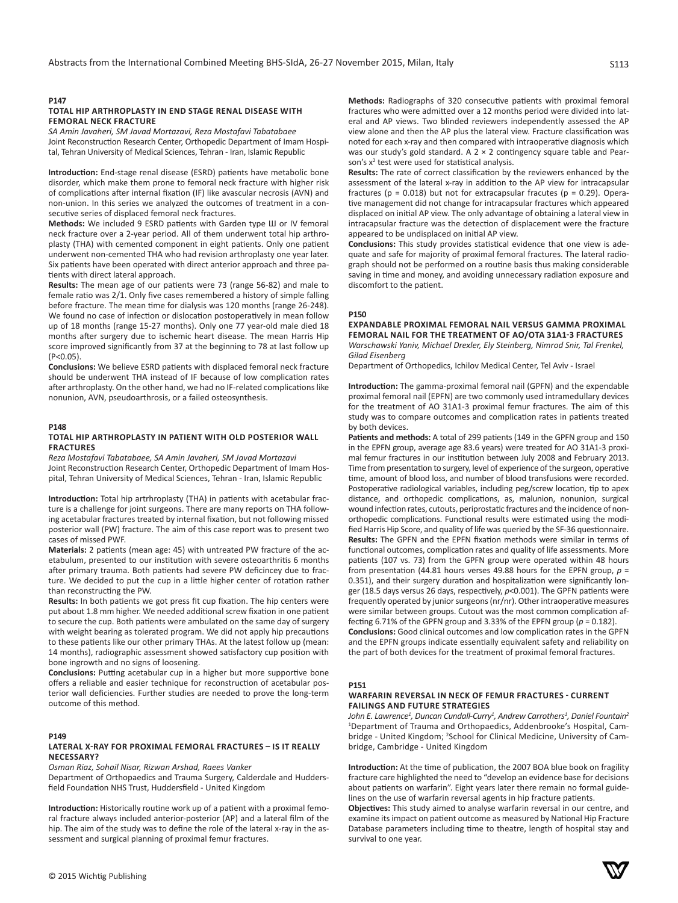# **P147**

#### **TOTAL HIP ARTHROPLASTY IN END STAGE RENAL DISEASE WITH FEMORAL NECK FRACTURE**

*SA Amin Javaheri, SM Javad Mortazavi, Reza Mostafavi Tabatabaee* Joint Reconstruction Research Center, Orthopedic Department of Imam Hospi-

tal, Tehran University of Medical Sciences, Tehran - Iran, Islamic Republic

**Introduction:** End-stage renal disease (ESRD) patients have metabolic bone disorder, which make them prone to femoral neck fracture with higher risk of complications after internal fixation (IF) like avascular necrosis (AVN) and non-union. In this series we analyzed the outcomes of treatment in a consecutive series of displaced femoral neck fractures.

**Methods:** We included 9 ESRD patients with Garden type Ш or ІV femoral neck fracture over a 2-year period. All of them underwent total hip arthroplasty (THA) with cemented component in eight patients. Only one patient underwent non-cemented THA who had revision arthroplasty one year later. Six patients have been operated with direct anterior approach and three patients with direct lateral approach.

**Results:** The mean age of our patients were 73 (range 56-82) and male to female ratio was 2/1. Only five cases remembered a history of simple falling before fracture. The mean time for dialysis was 120 months (range 26-248). We found no case of infection or dislocation postoperatively in mean follow up of 18 months (range 15-27 months). Only one 77 year-old male died 18 months after surgery due to ischemic heart disease. The mean Harris Hip score improved significantly from 37 at the beginning to 78 at last follow up  $(P<0.05)$ 

**Conclusions:** We believe ESRD patients with displaced femoral neck fracture should be underwent THA instead of IF because of low complication rates after arthroplasty. On the other hand, we had no IF-related complications like nonunion, AVN, pseudoarthrosis, or a failed osteosynthesis.

## **P148**

#### **TOTAL HIP ARTHROPLASTY IN PATIENT WITH OLD POSTERIOR WALL FRACTURES**

*Reza Mostafavi Tabatabaee, SA Amin Javaheri, SM Javad Mortazavi* Joint Reconstruction Research Center, Orthopedic Department of Imam Hospital, Tehran University of Medical Sciences, Tehran - Iran, Islamic Republic

**Introduction:** Total hip artrhroplasty (THA) in patients with acetabular fracture is a challenge for joint surgeons. There are many reports on THA following acetabular fractures treated by internal fixation, but not following missed posterior wall (PW) fracture. The aim of this case report was to present two cases of missed PWF.

**Materials:** 2 patients (mean age: 45) with untreated PW fracture of the acetabulum, presented to our institution with severe osteoarthritis 6 months after primary trauma. Both patients had severe PW deficincey due to fracture. We decided to put the cup in a little higher center of rotation rather than reconstructing the PW.

**Results:** In both patients we got press fit cup fixation. The hip centers were put about 1.8 mm higher. We needed additional screw fixation in one patient to secure the cup. Both patients were ambulated on the same day of surgery with weight bearing as tolerated program. We did not apply hip precautions to these patients like our other primary THAs. At the latest follow up (mean: 14 months), radiographic assessment showed satisfactory cup position with bone ingrowth and no signs of loosening.

**Conclusions:** Putting acetabular cup in a higher but more supportive bone offers a reliable and easier technique for reconstruction of acetabular posterior wall deficiencies. Further studies are needed to prove the long-term outcome of this method.

#### **P149**

## **LATERAL X-RAY FOR PROXIMAL FEMORAL FRACTURES – IS IT REALLY NECESSARY?**

*Osman Riaz, Sohail Nisar, Rizwan Arshad, Raees Vanker*

Department of Orthopaedics and Trauma Surgery, Calderdale and Huddersfield Foundation NHS Trust, Huddersfield - United Kingdom

**Introduction:** Historically routine work up of a patient with a proximal femoral fracture always included anterior-posterior (AP) and a lateral film of the hip. The aim of the study was to define the role of the lateral x-ray in the assessment and surgical planning of proximal femur fractures.

**Methods:** Radiographs of 320 consecutive patients with proximal femoral fractures who were admitted over a 12 months period were divided into lateral and AP views. Two blinded reviewers independently assessed the AP view alone and then the AP plus the lateral view. Fracture classification was noted for each x-ray and then compared with intraoperative diagnosis which was our study's gold standard. A  $2 \times 2$  contingency square table and Pearson's x<sup>2</sup> test were used for statistical analysis.

**Results:** The rate of correct classification by the reviewers enhanced by the assessment of the lateral x-ray in addition to the AP view for intracapsular fractures ( $p = 0.018$ ) but not for extracapsular fracutes ( $p = 0.29$ ). Operative management did not change for intracapsular fractures which appeared displaced on initial AP view. The only advantage of obtaining a lateral view in intracapsular fracture was the detection of displacement were the fracture appeared to be undisplaced on initial AP view.

**Conclusions:** This study provides statistical evidence that one view is adequate and safe for majority of proximal femoral fractures. The lateral radiograph should not be performed on a routine basis thus making considerable saving in time and money, and avoiding unnecessary radiation exposure and discomfort to the patient.

#### **P150**

#### **EXPANDABLE PROXIMAL FEMORAL NAIL VERSUS GAMMA PROXIMAL FEMORAL NAIL FOR THE TREATMENT OF AO/OTA 31A1-3 FRACTURES** *Warschawski Yaniv, Michael Drexler, Ely Steinberg, Nimrod Snir, Tal Frenkel, Gilad Eisenberg*

Department of Orthopedics, Ichilov Medical Center, Tel Aviv - Israel

**Introduction:** The gamma-proximal femoral nail (GPFN) and the expendable proximal femoral nail (EPFN) are two commonly used intramedullary devices for the treatment of AO 31A1-3 proximal femur fractures. The aim of this study was to compare outcomes and complication rates in patients treated by both devices.

**Patients and methods:** A total of 299 patients (149 in the GPFN group and 150 in the EPFN group, average age 83.6 years) were treated for AO 31A1-3 proximal femur fractures in our institution between July 2008 and February 2013. Time from presentation to surgery, level of experience of the surgeon, operative time, amount of blood loss, and number of blood transfusions were recorded. Postoperative radiological variables, including peg/screw location, tip to apex distance, and orthopedic complications, as, malunion, nonunion, surgical wound infection rates, cutouts, periprostatic fractures and the incidence of nonorthopedic complications. Functional results were estimated using the modified Harris Hip Score, and quality of life was queried by the SF-36 questionnaire. **Results:** The GPFN and the EPFN fixation methods were similar in terms of functional outcomes, complication rates and quality of life assessments. More patients (107 vs. 73) from the GPFN group were operated within 48 hours from presentation (44.81 hours verses 49.88 hours for the EPFN group, *p* = 0.351), and their surgery duration and hospitalization were significantly longer (18.5 days versus 26 days, respectively, *p*<0.001). The GPFN patients were frequently operated by junior surgeons (nr/nr). Other intraoperative measures were similar between groups. Cutout was the most common complication affecting 6.71% of the GPFN group and 3.33% of the EPFN group ( $p = 0.182$ ). **Conclusions:** Good clinical outcomes and low complication rates in the GPFN and the EPFN groups indicate essentially equivalent safety and reliability on the part of both devices for the treatment of proximal femoral fractures.

**P151**

## **WARFARIN REVERSAL IN NECK OF FEMUR FRACTURES - CURRENT FAILINGS AND FUTURE STRATEGIES**

*John E. Lawrence<sup>1</sup> , Duncan Cundall-Curry<sup>1</sup> , Andrew Carrothers<sup>1</sup> , Daniel Fountain<sup>2</sup>* 1 Department of Trauma and Orthopaedics, Addenbrooke's Hospital, Cambridge - United Kingdom; <sup>2</sup>School for Clinical Medicine, University of Cambridge, Cambridge - United Kingdom

**Introduction:** At the time of publication, the 2007 BOA blue book on fragility fracture care highlighted the need to "develop an evidence base for decisions about patients on warfarin". Eight years later there remain no formal guidelines on the use of warfarin reversal agents in hip fracture patients.

**Objectives:** This study aimed to analyse warfarin reversal in our centre, and examine its impact on patient outcome as measured by National Hip Fracture Database parameters including time to theatre, length of hospital stay and survival to one year.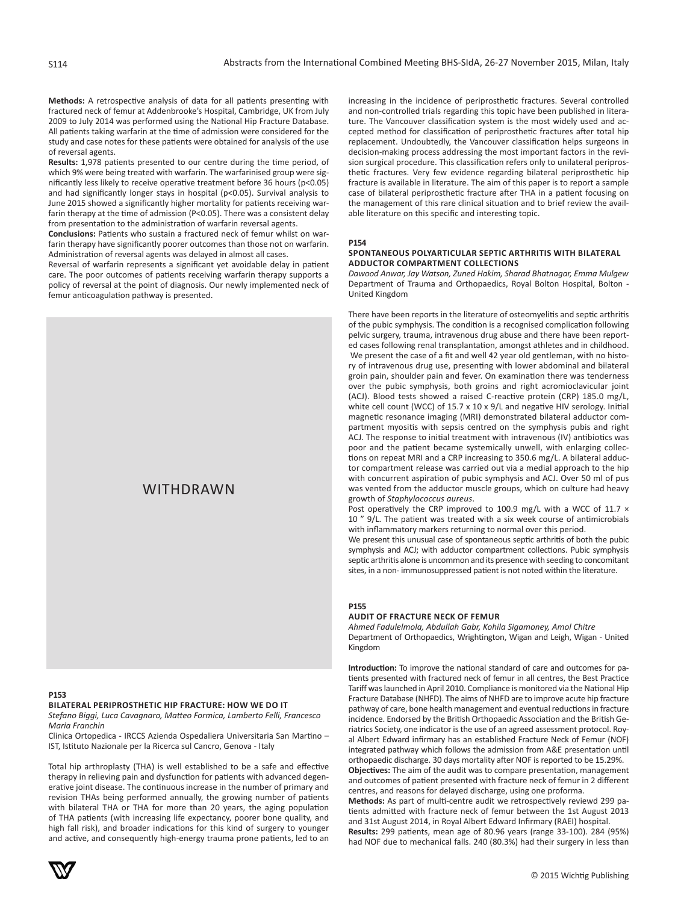**Methods:** A retrospective analysis of data for all patients presenting with fractured neck of femur at Addenbrooke's Hospital, Cambridge, UK from July 2009 to July 2014 was performed using the National Hip Fracture Database. All patients taking warfarin at the time of admission were considered for the study and case notes for these patients were obtained for analysis of the use of reversal agents.

**Results:** 1,978 patients presented to our centre during the time period, of which 9% were being treated with warfarin. The warfarinised group were significantly less likely to receive operative treatment before 36 hours (p<0.05) and had significantly longer stays in hospital (p<0.05). Survival analysis to June 2015 showed a significantly higher mortality for patients receiving warfarin therapy at the time of admission (P<0.05). There was a consistent delay from presentation to the administration of warfarin reversal agents.

**Conclusions:** Patients who sustain a fractured neck of femur whilst on warfarin therapy have significantly poorer outcomes than those not on warfarin. Administration of reversal agents was delayed in almost all cases.

Reversal of warfarin represents a significant yet avoidable delay in patient care. The poor outcomes of patients receiving warfarin therapy supports a policy of reversal at the point of diagnosis. Our newly implemented neck of femur anticoagulation pathway is presented.



#### **P153**

#### **BILATERAL PERIPROSTHETIC HIP FRACTURE: HOW WE DO IT**

*Stefano Biggi, Luca Cavagnaro, Matteo Formica, Lamberto Felli, Francesco Maria Franchin*

Clinica Ortopedica - IRCCS Azienda Ospedaliera Universitaria San Martino – IST, Istituto Nazionale per la Ricerca sul Cancro, Genova - Italy

Total hip arthroplasty (THA) is well established to be a safe and effective therapy in relieving pain and dysfunction for patients with advanced degenerative joint disease. The continuous increase in the number of primary and revision THAs being performed annually, the growing number of patients with bilateral THA or THA for more than 20 years, the aging population of THA patients (with increasing life expectancy, poorer bone quality, and high fall risk), and broader indications for this kind of surgery to younger and active, and consequently high-energy trauma prone patients, led to an

increasing in the incidence of periprosthetic fractures. Several controlled and non-controlled trials regarding this topic have been published in literature. The Vancouver classification system is the most widely used and accepted method for classification of periprosthetic fractures after total hip replacement. Undoubtedly, the Vancouver classification helps surgeons in decision-making process addressing the most important factors in the revision surgical procedure. This classification refers only to unilateral periprosthetic fractures. Very few evidence regarding bilateral periprosthetic hip fracture is available in literature. The aim of this paper is to report a sample case of bilateral periprosthetic fracture after THA in a patient focusing on the management of this rare clinical situation and to brief review the available literature on this specific and interesting topic.

**P154**

# **SPONTANEOUS POLYARTICULAR SEPTIC ARTHRITIS WITH BILATERAL ADDUCTOR COMPARTMENT COLLECTIONS**

*Dawood Anwar, Jay Watson, Zuned Hakim, Sharad Bhatnagar, Emma Mulgew* Department of Trauma and Orthopaedics, Royal Bolton Hospital, Bolton - United Kingdom

There have been reports in the literature of osteomyelitis and septic arthritis of the pubic symphysis. The condition is a recognised complication following pelvic surgery, trauma, intravenous drug abuse and there have been reported cases following renal transplantation, amongst athletes and in childhood. We present the case of a fit and well 42 year old gentleman, with no history of intravenous drug use, presenting with lower abdominal and bilateral groin pain, shoulder pain and fever. On examination there was tenderness over the pubic symphysis, both groins and right acromioclavicular joint (ACJ). Blood tests showed a raised C-reactive protein (CRP) 185.0 mg/L, white cell count (WCC) of 15.7 x 10 x 9/L and negative HIV serology. Initial magnetic resonance imaging (MRI) demonstrated bilateral adductor compartment myositis with sepsis centred on the symphysis pubis and right ACJ. The response to initial treatment with intravenous (IV) antibiotics was poor and the patient became systemically unwell, with enlarging collections on repeat MRI and a CRP increasing to 350.6 mg/L. A bilateral adductor compartment release was carried out via a medial approach to the hip with concurrent aspiration of pubic symphysis and ACJ. Over 50 ml of pus was vented from the adductor muscle groups, which on culture had heavy growth of *Staphylococcus aureus*.

Post operatively the CRP improved to 100.9 mg/L with a WCC of 11.7  $\times$ 10 " 9/L. The patient was treated with a six week course of antimicrobials with inflammatory markers returning to normal over this period.

We present this unusual case of spontaneous septic arthritis of both the pubic symphysis and ACJ; with adductor compartment collections. Pubic symphysis septic arthritis alone is uncommon and its presence with seeding to concomitant sites, in a non- immunosuppressed patient is not noted within the literature.

#### **P155**

#### **AUDIT OF FRACTURE NECK OF FEMUR**

*Ahmed Fadulelmola, Abdullah Gabr, Kohila Sigamoney, Amol Chitre* Department of Orthopaedics, Wrightington, Wigan and Leigh, Wigan - United Kingdom

**Introduction:** To improve the national standard of care and outcomes for patients presented with fractured neck of femur in all centres, the Best Practice Tariff was launched in April 2010. Compliance is monitored via the National Hip Fracture Database (NHFD). The aims of NHFD are to improve acute hip fracture pathway of care, bone health management and eventual reductions in fracture incidence. Endorsed by the British Orthopaedic Association and the British Geriatrics Society, one indicator is the use of an agreed assessment protocol. Royal Albert Edward infirmary has an established Fracture Neck of Femur (NOF) integrated pathway which follows the admission from A&E presentation until orthopaedic discharge. 30 days mortality after NOF is reported to be 15.29%. **Objectives:** The aim of the audit was to compare presentation, management

and outcomes of patient presented with fracture neck of femur in 2 different centres, and reasons for delayed discharge, using one proforma.

**Methods:** As part of multi-centre audit we retrospectively reviewd 299 patients admitted with fracture neck of femur between the 1st August 2013 and 31st August 2014, in Royal Albert Edward Infirmary (RAEI) hospital. **Results:** 299 patients, mean age of 80.96 years (range 33-100). 284 (95%) had NOF due to mechanical falls. 240 (80.3%) had their surgery in less than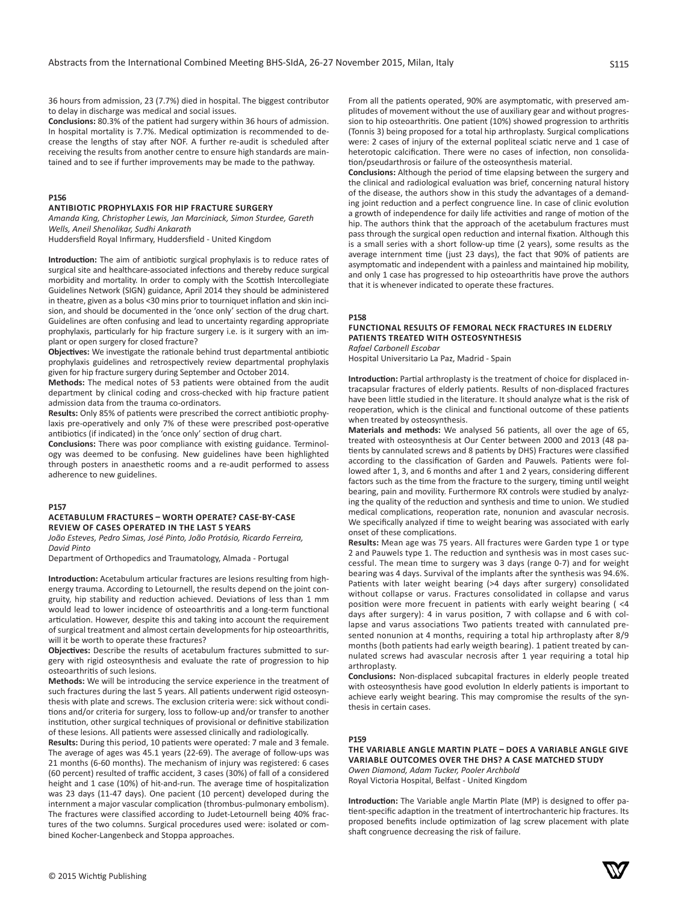36 hours from admission, 23 (7.7%) died in hospital. The biggest contributor to delay in discharge was medical and social issues.

**Conclusions:** 80.3% of the patient had surgery within 36 hours of admission. In hospital mortality is 7.7%. Medical optimization is recommended to decrease the lengths of stay after NOF. A further re-audit is scheduled after receiving the results from another centre to ensure high standards are maintained and to see if further improvements may be made to the pathway.

# **P156**

# **ANTIBIOTIC PROPHYLAXIS FOR HIP FRACTURE SURGERY**

*Amanda King, Christopher Lewis, Jan Marciniack, Simon Sturdee, Gareth Wells, Aneil Shenolikar, Sudhi Ankarath*

Huddersfield Royal Infirmary, Huddersfield - United Kingdom

**Introduction:** The aim of antibiotic surgical prophylaxis is to reduce rates of surgical site and healthcare-associated infections and thereby reduce surgical morbidity and mortality. In order to comply with the Scottish Intercollegiate Guidelines Network (SIGN) guidance, April 2014 they should be administered in theatre, given as a bolus <30 mins prior to tourniquet inflation and skin incision, and should be documented in the 'once only' section of the drug chart. Guidelines are often confusing and lead to uncertainty regarding appropriate prophylaxis, particularly for hip fracture surgery i.e. is it surgery with an implant or open surgery for closed fracture?

**Objectives:** We investigate the rationale behind trust departmental antibiotic prophylaxis guidelines and retrospectively review departmental prophylaxis given for hip fracture surgery during September and October 2014.

**Methods:** The medical notes of 53 patients were obtained from the audit department by clinical coding and cross-checked with hip fracture patient admission data from the trauma co-ordinators.

**Results:** Only 85% of patients were prescribed the correct antibiotic prophylaxis pre-operatively and only 7% of these were prescribed post-operative antibiotics (if indicated) in the 'once only' section of drug chart.

**Conclusions:** There was poor compliance with existing guidance. Terminology was deemed to be confusing. New guidelines have been highlighted through posters in anaesthetic rooms and a re-audit performed to assess adherence to new guidelines.

#### **P157**

## **ACETABULUM FRACTURES – WORTH OPERATE? CASE-BY-CASE REVIEW OF CASES OPERATED IN THE LAST 5 YEARS**

*João Esteves, Pedro Simas, José Pinto, João Protásio, Ricardo Ferreira, David Pinto*

Department of Orthopedics and Traumatology, Almada - Portugal

**Introduction:** Acetabulum articular fractures are lesions resulting from highenergy trauma. According to Letournell, the results depend on the joint congruity, hip stability and reduction achieved. Deviations of less than 1 mm would lead to lower incidence of osteoarthritis and a long-term functional articulation. However, despite this and taking into account the requirement of surgical treatment and almost certain developments for hip osteoarthritis, will it be worth to operate these fractures?

**Objectives:** Describe the results of acetabulum fractures submitted to surgery with rigid osteosynthesis and evaluate the rate of progression to hip osteoarthritis of such lesions.

**Methods:** We will be introducing the service experience in the treatment of such fractures during the last 5 years. All patients underwent rigid osteosynthesis with plate and screws. The exclusion criteria were: sick without conditions and/or criteria for surgery, loss to follow-up and/or transfer to another institution, other surgical techniques of provisional or definitive stabilization of these lesions. All patients were assessed clinically and radiologically.

**Results:** During this period, 10 patients were operated: 7 male and 3 female. The average of ages was 45.1 years (22-69). The average of follow-ups was 21 months (6-60 months). The mechanism of injury was registered: 6 cases (60 percent) resulted of traffic accident, 3 cases (30%) of fall of a considered height and 1 case (10%) of hit-and-run. The average time of hospitalization was 23 days (11-47 days). One pacient (10 percent) developed during the internment a major vascular complication (thrombus-pulmonary embolism). The fractures were classified according to Judet-Letournell being 40% fractures of the two columns. Surgical procedures used were: isolated or combined Kocher-Langenbeck and Stoppa approaches.

From all the patients operated, 90% are asymptomatic, with preserved amplitudes of movement without the use of auxiliary gear and without progression to hip osteoarthritis. One patient (10%) showed progression to arthritis (Tonnis 3) being proposed for a total hip arthroplasty. Surgical complications were: 2 cases of injury of the external popliteal sciatic nerve and 1 case of heterotopic calcification. There were no cases of infection, non consolidation/pseudarthrosis or failure of the osteosynthesis material.

**Conclusions:** Although the period of time elapsing between the surgery and the clinical and radiological evaluation was brief, concerning natural history of the disease, the authors show in this study the advantages of a demanding joint reduction and a perfect congruence line. In case of clinic evolution a growth of independence for daily life activities and range of motion of the hip. The authors think that the approach of the acetabulum fractures must pass through the surgical open reduction and internal fixation. Although this is a small series with a short follow-up time (2 years), some results as the average internment time (just 23 days), the fact that 90% of patients are asymptomatic and independent with a painless and maintained hip mobility, and only 1 case has progressed to hip osteoarthritis have prove the authors that it is whenever indicated to operate these fractures.

#### **P158**

# **FUNCTIONAL RESULTS OF FEMORAL NECK FRACTURES IN ELDERLY PATIENTS TREATED WITH OSTEOSYNTHESIS**

*Rafael Carbonell Escobar*

Hospital Universitario La Paz, Madrid - Spain

**Introduction:** Partial arthroplasty is the treatment of choice for displaced intracapsular fractures of elderly patients. Results of non-displaced fractures have been little studied in the literature. It should analyze what is the risk of reoperation, which is the clinical and functional outcome of these patients when treated by osteosynthesis.

**Materials and methods:** We analysed 56 patients, all over the age of 65, treated with osteosynthesis at Our Center between 2000 and 2013 (48 patients by cannulated screws and 8 patients by DHS) Fractures were classified according to the classification of Garden and Pauwels. Patients were followed after 1, 3, and 6 months and after 1 and 2 years, considering different factors such as the time from the fracture to the surgery, timing until weight bearing, pain and movility. Furthermore RX controls were studied by analyzing the quality of the reduction and synthesis and time to union. We studied medical complications, reoperation rate, nonunion and avascular necrosis. We specifically analyzed if time to weight bearing was associated with early onset of these complications.

**Results:** Mean age was 75 years. All fractures were Garden type 1 or type 2 and Pauwels type 1. The reduction and synthesis was in most cases successful. The mean time to surgery was 3 days (range 0-7) and for weight bearing was 4 days. Survival of the implants after the synthesis was 94.6%. Patients with later weight bearing (>4 days after surgery) consolidated without collapse or varus. Fractures consolidated in collapse and varus position were more frecuent in patients with early weight bearing ( <4 days after surgery): 4 in varus position, 7 with collapse and 6 with collapse and varus associations Two patients treated with cannulated presented nonunion at 4 months, requiring a total hip arthroplasty after 8/9 months (both patients had early weigth bearing). 1 patient treated by cannulated screws had avascular necrosis after 1 year requiring a total hip arthroplasty.

**Conclusions:** Non-displaced subcapital fractures in elderly people treated with osteosynthesis have good evolution In elderly patients is important to achieve early weight bearing. This may compromise the results of the synthesis in certain cases.

## **P159**

# **THE VARIABLE ANGLE MARTIN PLATE – DOES A VARIABLE ANGLE GIVE VARIABLE OUTCOMES OVER THE DHS? A CASE MATCHED STUDY**

*Owen Diamond, Adam Tucker, Pooler Archbold* Royal Victoria Hospital, Belfast - United Kingdom

**Introduction:** The Variable angle Martin Plate (MP) is designed to offer patient-specific adaption in the treatment of intertrochanteric hip fractures. Its proposed benefits include optimization of lag screw placement with plate shaft congruence decreasing the risk of failure.